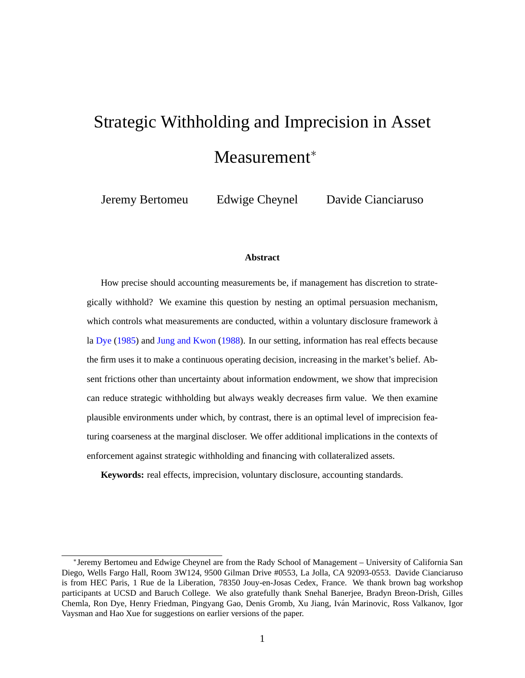# Strategic Withholding and Imprecision in Asset Measurement<sup>∗</sup>

Jeremy Bertomeu Edwige Cheynel Davide Cianciaruso

#### **Abstract**

How precise should accounting measurements be, if management has discretion to strategically withhold? We examine this question by nesting an optimal persuasion mechanism, which controls what measurements are conducted, within a voluntary disclosure framework à la [Dye](#page-65-0) ([1985](#page-65-0)) and [Jung and Kwon](#page-67-0) [\(1988](#page-67-0)). In our setting, information has real effects because the firm uses it to make a continuous operating decision, increasing in the market's belief. Absent frictions other than uncertainty about information endowment, we show that imprecision can reduce strategic withholding but always weakly decreases firm value. We then examine plausible environments under which, by contrast, there is an optimal level of imprecision featuring coarseness at the marginal discloser. We offer additional implications in the contexts of enforcement against strategic withholding and financing with collateralized assets.

**Keywords:** real effects, imprecision, voluntary disclosure, accounting standards.

<sup>∗</sup>Jeremy Bertomeu and Edwige Cheynel are from the Rady School of Management – University of California San Diego, Wells Fargo Hall, Room 3W124, 9500 Gilman Drive #0553, La Jolla, CA 92093-0553. Davide Cianciaruso is from HEC Paris, 1 Rue de la Liberation, 78350 Jouy-en-Josas Cedex, France. We thank brown bag workshop participants at UCSD and Baruch College. We also gratefully thank Snehal Banerjee, Bradyn Breon-Drish, Gilles Chemla, Ron Dye, Henry Friedman, Pingyang Gao, Denis Gromb, Xu Jiang, Ivan Marinovic, Ross Valkanov, Igor ´ Vaysman and Hao Xue for suggestions on earlier versions of the paper.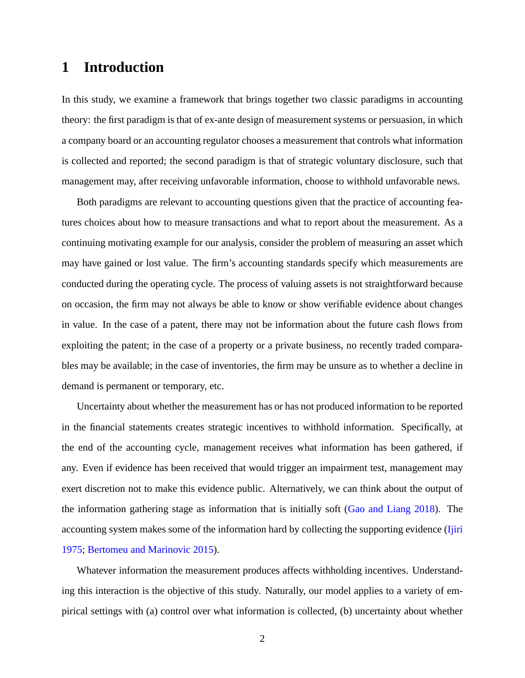# **1 Introduction**

In this study, we examine a framework that brings together two classic paradigms in accounting theory: the first paradigm is that of ex-ante design of measurement systems or persuasion, in which a company board or an accounting regulator chooses a measurement that controls what information is collected and reported; the second paradigm is that of strategic voluntary disclosure, such that management may, after receiving unfavorable information, choose to withhold unfavorable news.

Both paradigms are relevant to accounting questions given that the practice of accounting features choices about how to measure transactions and what to report about the measurement. As a continuing motivating example for our analysis, consider the problem of measuring an asset which may have gained or lost value. The firm's accounting standards specify which measurements are conducted during the operating cycle. The process of valuing assets is not straightforward because on occasion, the firm may not always be able to know or show verifiable evidence about changes in value. In the case of a patent, there may not be information about the future cash flows from exploiting the patent; in the case of a property or a private business, no recently traded comparables may be available; in the case of inventories, the firm may be unsure as to whether a decline in demand is permanent or temporary, etc.

Uncertainty about whether the measurement has or has not produced information to be reported in the financial statements creates strategic incentives to withhold information. Specifically, at the end of the accounting cycle, management receives what information has been gathered, if any. Even if evidence has been received that would trigger an impairment test, management may exert discretion not to make this evidence public. Alternatively, we can think about the output of the information gathering stage as information that is initially soft ([Gao and Liang 2018](#page-66-0)). The accounting system makes some of the information hard by collecting the supporting evidence [\(Ijiri](#page-66-0) [1975;](#page-66-0) [Bertomeu and Marinovic 2015](#page-64-0)).

Whatever information the measurement produces affects withholding incentives. Understanding this interaction is the objective of this study. Naturally, our model applies to a variety of empirical settings with (a) control over what information is collected, (b) uncertainty about whether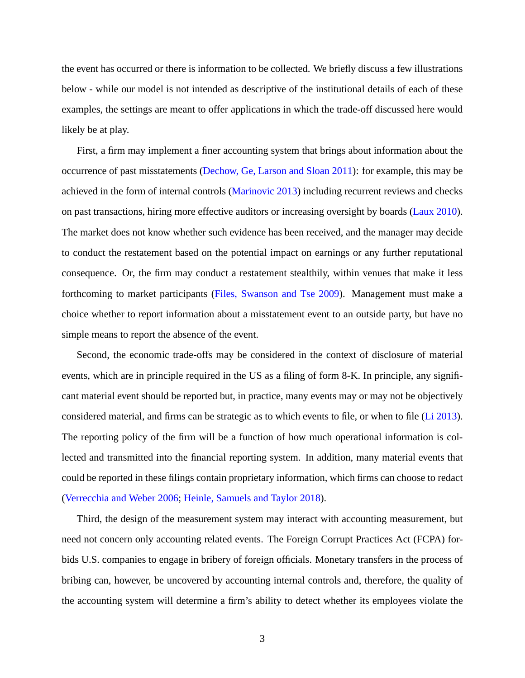the event has occurred or there is information to be collected. We briefly discuss a few illustrations below - while our model is not intended as descriptive of the institutional details of each of these examples, the settings are meant to offer applications in which the trade-off discussed here would likely be at play.

First, a firm may implement a finer accounting system that brings about information about the occurrence of past misstatements ([Dechow, Ge, Larson and Sloan 2011](#page-65-0)): for example, this may be achieved in the form of internal controls [\(Marinovic 2013\)](#page-67-0) including recurrent reviews and checks on past transactions, hiring more effective auditors or increasing oversight by boards ([Laux 2010](#page-67-0)). The market does not know whether such evidence has been received, and the manager may decide to conduct the restatement based on the potential impact on earnings or any further reputational consequence. Or, the firm may conduct a restatement stealthily, within venues that make it less forthcoming to market participants [\(Files, Swanson and Tse 2009\)](#page-65-0). Management must make a choice whether to report information about a misstatement event to an outside party, but have no simple means to report the absence of the event.

Second, the economic trade-offs may be considered in the context of disclosure of material events, which are in principle required in the US as a filing of form 8-K. In principle, any significant material event should be reported but, in practice, many events may or may not be objectively considered material, and firms can be strategic as to which events to file, or when to file ([Li 2013](#page-67-0)). The reporting policy of the firm will be a function of how much operational information is collected and transmitted into the financial reporting system. In addition, many material events that could be reported in these filings contain proprietary information, which firms can choose to redact ([Verrecchia and Weber 2006](#page-68-0); [Heinle, Samuels and Taylor 2018\)](#page-66-0).

Third, the design of the measurement system may interact with accounting measurement, but need not concern only accounting related events. The Foreign Corrupt Practices Act (FCPA) forbids U.S. companies to engage in bribery of foreign officials. Monetary transfers in the process of bribing can, however, be uncovered by accounting internal controls and, therefore, the quality of the accounting system will determine a firm's ability to detect whether its employees violate the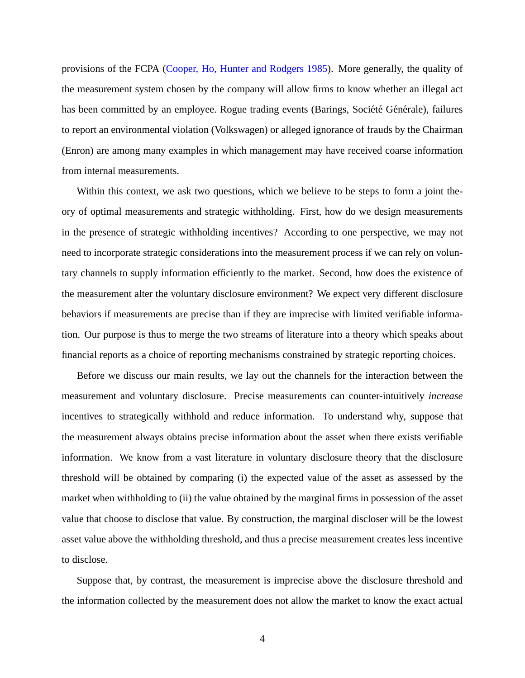provisions of the FCPA ([Cooper, Ho, Hunter and Rodgers 1985\)](#page-65-0). More generally, the quality of the measurement system chosen by the company will allow firms to know whether an illegal act has been committed by an employee. Rogue trading events (Barings, Société Générale), failures to report an environmental violation (Volkswagen) or alleged ignorance of frauds by the Chairman (Enron) are among many examples in which management may have received coarse information from internal measurements.

Within this context, we ask two questions, which we believe to be steps to form a joint theory of optimal measurements and strategic withholding. First, how do we design measurements in the presence of strategic withholding incentives? According to one perspective, we may not need to incorporate strategic considerations into the measurement process if we can rely on voluntary channels to supply information efficiently to the market. Second, how does the existence of the measurement alter the voluntary disclosure environment? We expect very different disclosure behaviors if measurements are precise than if they are imprecise with limited verifiable information. Our purpose is thus to merge the two streams of literature into a theory which speaks about financial reports as a choice of reporting mechanisms constrained by strategic reporting choices.

Before we discuss our main results, we lay out the channels for the interaction between the measurement and voluntary disclosure. Precise measurements can counter-intuitively *increase* incentives to strategically withhold and reduce information. To understand why, suppose that the measurement always obtains precise information about the asset when there exists verifiable information. We know from a vast literature in voluntary disclosure theory that the disclosure threshold will be obtained by comparing (i) the expected value of the asset as assessed by the market when withholding to (ii) the value obtained by the marginal firms in possession of the asset value that choose to disclose that value. By construction, the marginal discloser will be the lowest asset value above the withholding threshold, and thus a precise measurement creates less incentive to disclose.

Suppose that, by contrast, the measurement is imprecise above the disclosure threshold and the information collected by the measurement does not allow the market to know the exact actual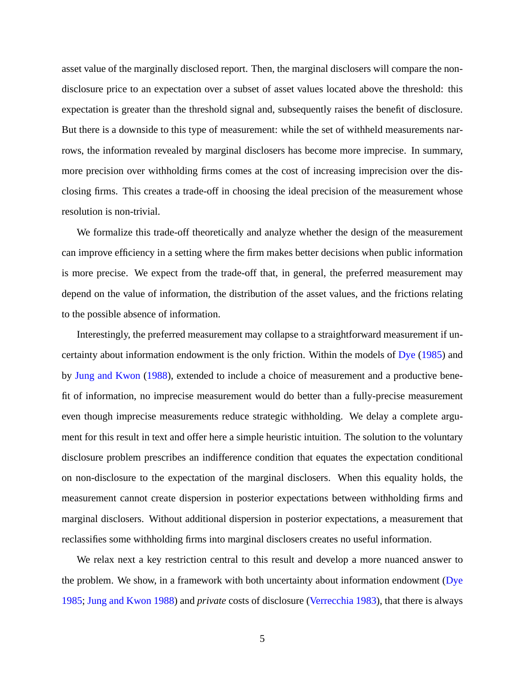asset value of the marginally disclosed report. Then, the marginal disclosers will compare the nondisclosure price to an expectation over a subset of asset values located above the threshold: this expectation is greater than the threshold signal and, subsequently raises the benefit of disclosure. But there is a downside to this type of measurement: while the set of withheld measurements narrows, the information revealed by marginal disclosers has become more imprecise. In summary, more precision over withholding firms comes at the cost of increasing imprecision over the disclosing firms. This creates a trade-off in choosing the ideal precision of the measurement whose resolution is non-trivial.

We formalize this trade-off theoretically and analyze whether the design of the measurement can improve efficiency in a setting where the firm makes better decisions when public information is more precise. We expect from the trade-off that, in general, the preferred measurement may depend on the value of information, the distribution of the asset values, and the frictions relating to the possible absence of information.

Interestingly, the preferred measurement may collapse to a straightforward measurement if uncertainty about information endowment is the only friction. Within the models of [Dye](#page-65-0) ([1985\)](#page-65-0) and by [Jung and Kwon](#page-67-0) [\(1988](#page-67-0)), extended to include a choice of measurement and a productive benefit of information, no imprecise measurement would do better than a fully-precise measurement even though imprecise measurements reduce strategic withholding. We delay a complete argument for this result in text and offer here a simple heuristic intuition. The solution to the voluntary disclosure problem prescribes an indifference condition that equates the expectation conditional on non-disclosure to the expectation of the marginal disclosers. When this equality holds, the measurement cannot create dispersion in posterior expectations between withholding firms and marginal disclosers. Without additional dispersion in posterior expectations, a measurement that reclassifies some withholding firms into marginal disclosers creates no useful information.

We relax next a key restriction central to this result and develop a more nuanced answer to the problem. We show, in a framework with both uncertainty about information endowment [\(Dye](#page-65-0) [1985;](#page-65-0) [Jung and Kwon 1988](#page-67-0)) and *private* costs of disclosure [\(Verrecchia 1983](#page-68-0)), that there is always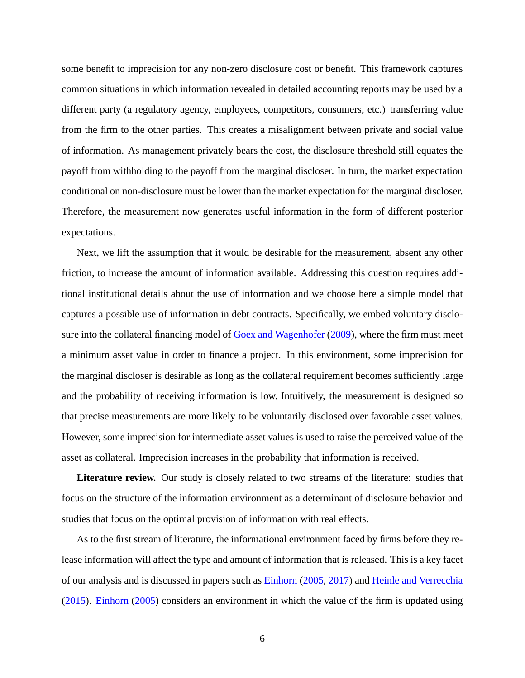some benefit to imprecision for any non-zero disclosure cost or benefit. This framework captures common situations in which information revealed in detailed accounting reports may be used by a different party (a regulatory agency, employees, competitors, consumers, etc.) transferring value from the firm to the other parties. This creates a misalignment between private and social value of information. As management privately bears the cost, the disclosure threshold still equates the payoff from withholding to the payoff from the marginal discloser. In turn, the market expectation conditional on non-disclosure must be lower than the market expectation for the marginal discloser. Therefore, the measurement now generates useful information in the form of different posterior expectations.

Next, we lift the assumption that it would be desirable for the measurement, absent any other friction, to increase the amount of information available. Addressing this question requires additional institutional details about the use of information and we choose here a simple model that captures a possible use of information in debt contracts. Specifically, we embed voluntary disclosure into the collateral financing model of [Goex and Wagenhofer](#page-66-0) ([2009](#page-66-0)), where the firm must meet a minimum asset value in order to finance a project. In this environment, some imprecision for the marginal discloser is desirable as long as the collateral requirement becomes sufficiently large and the probability of receiving information is low. Intuitively, the measurement is designed so that precise measurements are more likely to be voluntarily disclosed over favorable asset values. However, some imprecision for intermediate asset values is used to raise the perceived value of the asset as collateral. Imprecision increases in the probability that information is received.

**Literature review.** Our study is closely related to two streams of the literature: studies that focus on the structure of the information environment as a determinant of disclosure behavior and studies that focus on the optimal provision of information with real effects.

As to the first stream of literature, the informational environment faced by firms before they release information will affect the type and amount of information that is released. This is a key facet of our analysis and is discussed in papers such as [Einhorn](#page-65-0) ([2005](#page-65-0), [2017](#page-65-0)) and [Heinle and Verrecchia](#page-66-0) ([2015\)](#page-66-0). [Einhorn](#page-65-0) [\(2005](#page-65-0)) considers an environment in which the value of the firm is updated using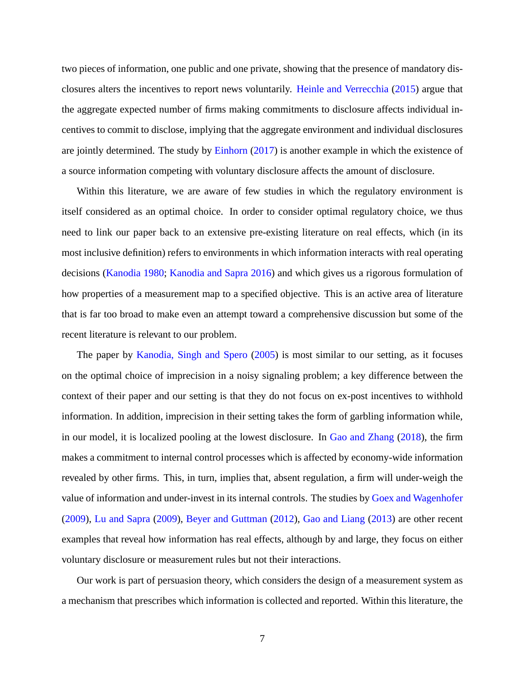two pieces of information, one public and one private, showing that the presence of mandatory disclosures alters the incentives to report news voluntarily. [Heinle and Verrecchia](#page-66-0) ([2015\)](#page-66-0) argue that the aggregate expected number of firms making commitments to disclosure affects individual incentives to commit to disclose, implying that the aggregate environment and individual disclosures are jointly determined. The study by [Einhorn](#page-65-0) ([2017\)](#page-65-0) is another example in which the existence of a source information competing with voluntary disclosure affects the amount of disclosure.

Within this literature, we are aware of few studies in which the regulatory environment is itself considered as an optimal choice. In order to consider optimal regulatory choice, we thus need to link our paper back to an extensive pre-existing literature on real effects, which (in its most inclusive definition) refers to environments in which information interacts with real operating decisions ([Kanodia 1980](#page-67-0); [Kanodia and Sapra](#page-67-0) [2016\)](#page-67-0) and which gives us a rigorous formulation of how properties of a measurement map to a specified objective. This is an active area of literature that is far too broad to make even an attempt toward a comprehensive discussion but some of the recent literature is relevant to our problem.

The paper by [Kanodia, Singh and Spero](#page-67-0) ([2005\)](#page-67-0) is most similar to our setting, as it focuses on the optimal choice of imprecision in a noisy signaling problem; a key difference between the context of their paper and our setting is that they do not focus on ex-post incentives to withhold information. In addition, imprecision in their setting takes the form of garbling information while, in our model, it is localized pooling at the lowest disclosure. In [Gao and Zhang](#page-65-0) [\(2018](#page-65-0)), the firm makes a commitment to internal control processes which is affected by economy-wide information revealed by other firms. This, in turn, implies that, absent regulation, a firm will under-weigh the value of information and under-invest in its internal controls. The studies by [Goex and Wagenhofer](#page-66-0) ([2009\)](#page-66-0), [Lu and Sapra](#page-67-0) ([2009\)](#page-67-0), [Beyer and Guttman](#page-64-0) [\(2012](#page-64-0)), [Gao and Liang](#page-65-0) [\(2013](#page-65-0)) are other recent examples that reveal how information has real effects, although by and large, they focus on either voluntary disclosure or measurement rules but not their interactions.

Our work is part of persuasion theory, which considers the design of a measurement system as a mechanism that prescribes which information is collected and reported. Within this literature, the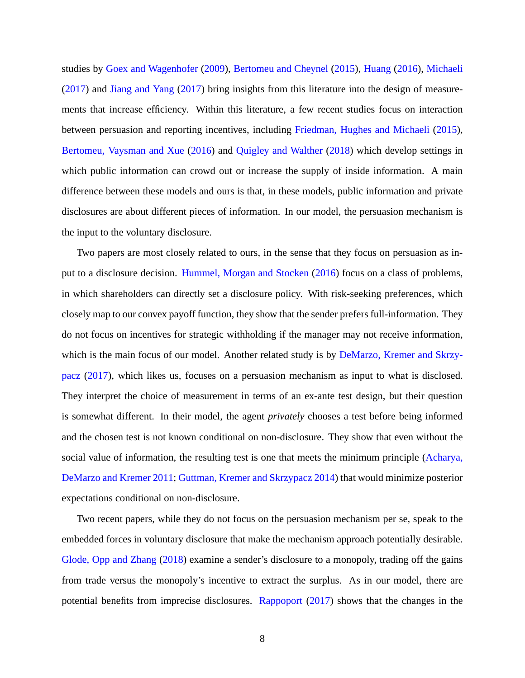studies by [Goex and Wagenhofer](#page-66-0) [\(2009](#page-66-0)), [Bertomeu and Cheynel](#page-64-0) [\(2015](#page-64-0)), [Huang](#page-66-0) [\(2016](#page-66-0)), [Michaeli](#page-67-0) ([2017\)](#page-67-0) and [Jiang and Yang](#page-67-0) ([2017\)](#page-67-0) bring insights from this literature into the design of measurements that increase efficiency. Within this literature, a few recent studies focus on interaction between persuasion and reporting incentives, including [Friedman, Hughes and Michaeli](#page-65-0) [\(2015](#page-65-0)), [Bertomeu, Vaysman and Xue](#page-64-0) ([2016\)](#page-64-0) and [Quigley and Walther](#page-67-0) [\(2018](#page-67-0)) which develop settings in which public information can crowd out or increase the supply of inside information. A main difference between these models and ours is that, in these models, public information and private disclosures are about different pieces of information. In our model, the persuasion mechanism is the input to the voluntary disclosure.

Two papers are most closely related to ours, in the sense that they focus on persuasion as input to a disclosure decision. [Hummel, Morgan and Stocken](#page-66-0) ([2016\)](#page-66-0) focus on a class of problems, in which shareholders can directly set a disclosure policy. With risk-seeking preferences, which closely map to our convex payoff function, they show that the sender prefers full-information. They do not focus on incentives for strategic withholding if the manager may not receive information, which is the main focus of our model. Another related study is by [DeMarzo, Kremer and Skrzy](#page-65-0)[pacz](#page-65-0) [\(2017](#page-65-0)), which likes us, focuses on a persuasion mechanism as input to what is disclosed. They interpret the choice of measurement in terms of an ex-ante test design, but their question is somewhat different. In their model, the agent *privately* chooses a test before being informed and the chosen test is not known conditional on non-disclosure. They show that even without the social value of information, the resulting test is one that meets the minimum principle ([Acharya,](#page-64-0) [DeMarzo and Kremer 2011](#page-64-0); [Guttman, Kremer and Skrzypacz](#page-66-0) [2014\)](#page-66-0) that would minimize posterior expectations conditional on non-disclosure.

Two recent papers, while they do not focus on the persuasion mechanism per se, speak to the embedded forces in voluntary disclosure that make the mechanism approach potentially desirable. [Glode, Opp and Zhang](#page-66-0) ([2018\)](#page-66-0) examine a sender's disclosure to a monopoly, trading off the gains from trade versus the monopoly's incentive to extract the surplus. As in our model, there are potential benefits from imprecise disclosures. [Rappoport](#page-68-0) [\(2017](#page-68-0)) shows that the changes in the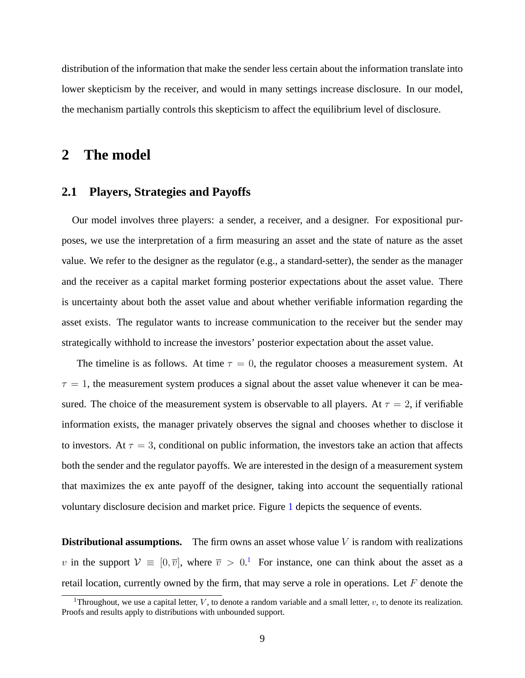distribution of the information that make the sender less certain about the information translate into lower skepticism by the receiver, and would in many settings increase disclosure. In our model, the mechanism partially controls this skepticism to affect the equilibrium level of disclosure.

# **2 The model**

#### **2.1 Players, Strategies and Payoffs**

Our model involves three players: a sender, a receiver, and a designer. For expositional purposes, we use the interpretation of a firm measuring an asset and the state of nature as the asset value. We refer to the designer as the regulator (e.g., a standard-setter), the sender as the manager and the receiver as a capital market forming posterior expectations about the asset value. There is uncertainty about both the asset value and about whether verifiable information regarding the asset exists. The regulator wants to increase communication to the receiver but the sender may strategically withhold to increase the investors' posterior expectation about the asset value.

The timeline is as follows. At time  $\tau = 0$ , the regulator chooses a measurement system. At  $\tau = 1$ , the measurement system produces a signal about the asset value whenever it can be measured. The choice of the measurement system is observable to all players. At  $\tau = 2$ , if verifiable information exists, the manager privately observes the signal and chooses whether to disclose it to investors. At  $\tau = 3$ , conditional on public information, the investors take an action that affects both the sender and the regulator payoffs. We are interested in the design of a measurement system that maximizes the ex ante payoff of the designer, taking into account the sequentially rational voluntary disclosure decision and market price. Figure [1](#page-9-0) depicts the sequence of events.

**Distributional assumptions.** The firm owns an asset whose value V is random with realizations v in the support  $V \equiv [0, \overline{v}]$ , where  $\overline{v} > 0$ .<sup>1</sup> For instance, one can think about the asset as a retail location, currently owned by the firm, that may serve a role in operations. Let  $F$  denote the

<sup>&</sup>lt;sup>1</sup>Throughout, we use a capital letter, V, to denote a random variable and a small letter,  $v$ , to denote its realization. Proofs and results apply to distributions with unbounded support.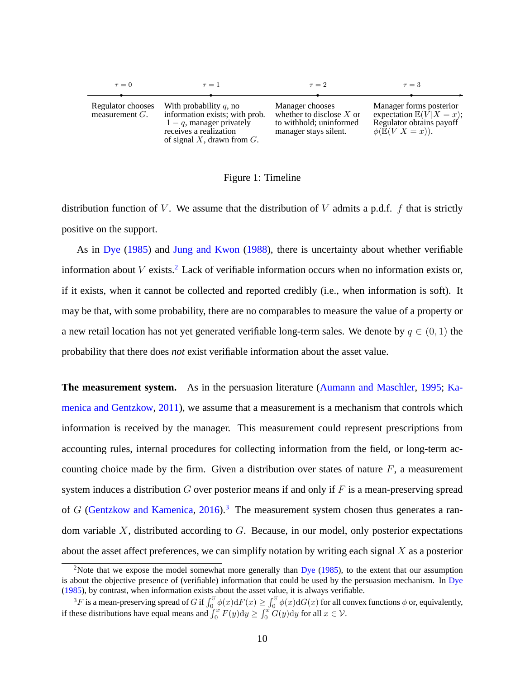<span id="page-9-0"></span>

| $\tau = 0$                             | $\tau=1$                                                                                                                                                 | $\tau = 2$                                                                                        | $\tau = 3$                                                                                                                       |
|----------------------------------------|----------------------------------------------------------------------------------------------------------------------------------------------------------|---------------------------------------------------------------------------------------------------|----------------------------------------------------------------------------------------------------------------------------------|
| Regulator chooses<br>measurement $G$ . | With probability $q$ , no<br>information exists; with prob.<br>$1 - q$ , manager privately<br>receives a realization<br>of signal $X$ , drawn from $G$ . | Manager chooses<br>whether to disclose $X$ or<br>to withhold; uninformed<br>manager stays silent. | Manager forms posterior<br>expectation $\mathbb{E}(\overline{V} X=x);$<br>Regulator obtains payoff<br>$\phi(\mathbb{E}(V X=x)).$ |

#### Figure 1: Timeline

distribution function of  $V$ . We assume that the distribution of  $V$  admits a p.d.f.  $f$  that is strictly positive on the support.

As in [Dye](#page-65-0) ([1985\)](#page-65-0) and [Jung and Kwon](#page-67-0) ([1988\)](#page-67-0), there is uncertainty about whether verifiable information about  $V$  exists.<sup>2</sup> Lack of verifiable information occurs when no information exists or, if it exists, when it cannot be collected and reported credibly (i.e., when information is soft). It may be that, with some probability, there are no comparables to measure the value of a property or a new retail location has not yet generated verifiable long-term sales. We denote by  $q \in (0, 1)$  the probability that there does *not* exist verifiable information about the asset value.

**The measurement system.** As in the persuasion literature [\(Aumann and Maschler](#page-64-0), [1995;](#page-64-0) [Ka](#page-67-0)[menica and Gentzkow,](#page-67-0) [2011\)](#page-67-0), we assume that a measurement is a mechanism that controls which information is received by the manager. This measurement could represent prescriptions from accounting rules, internal procedures for collecting information from the field, or long-term accounting choice made by the firm. Given a distribution over states of nature  $F$ , a measurement system induces a distribution  $G$  over posterior means if and only if  $F$  is a mean-preserving spread of G [\(Gentzkow and Kamenica](#page-66-0),  $2016$ ).<sup>3</sup> The measurement system chosen thus generates a random variable  $X$ , distributed according to  $G$ . Because, in our model, only posterior expectations about the asset affect preferences, we can simplify notation by writing each signal  $X$  as a posterior

<sup>&</sup>lt;sup>2</sup>Note that we expose the model somewhat more generally than  $Dye$  ([1985\)](#page-65-0), to the extent that our assumption is about the objective presence of (verifiable) information that could be used by the persuasion mechanism. In [Dye](#page-65-0) [\(1985](#page-65-0)), by contrast, when information exists about the asset value, it is always verifiable.

 $^3F$  is a mean-preserving spread of G if  $\int_0^{\overline{v}} \phi(x) dF(x) \geq \int_0^{\overline{v}} \phi(x) dG(x)$  for all convex functions  $\phi$  or, equivalently, if these distributions have equal means and  $\int_0^x F(y) dy \ge \int_0^x G(y) dy$  for all  $x \in V$ .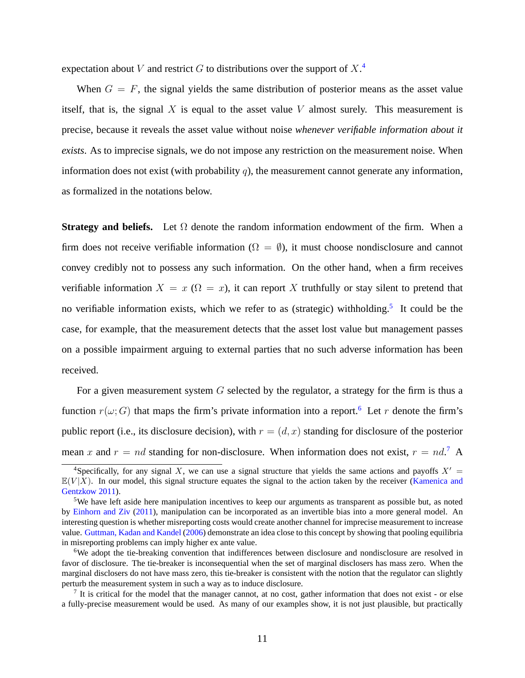expectation about V and restrict G to distributions over the support of  $X^A$ .

When  $G = F$ , the signal yields the same distribution of posterior means as the asset value itself, that is, the signal  $X$  is equal to the asset value  $V$  almost surely. This measurement is precise, because it reveals the asset value without noise *whenever verifiable information about it exists*. As to imprecise signals, we do not impose any restriction on the measurement noise. When information does not exist (with probability q), the measurement cannot generate any information, as formalized in the notations below.

**Strategy and beliefs.** Let  $\Omega$  denote the random information endowment of the firm. When a firm does not receive verifiable information ( $\Omega = \emptyset$ ), it must choose nondisclosure and cannot convey credibly not to possess any such information. On the other hand, when a firm receives verifiable information  $X = x$  ( $\Omega = x$ ), it can report X truthfully or stay silent to pretend that no verifiable information exists, which we refer to as (strategic) withholding.<sup>5</sup> It could be the case, for example, that the measurement detects that the asset lost value but management passes on a possible impairment arguing to external parties that no such adverse information has been received.

For a given measurement system  $G$  selected by the regulator, a strategy for the firm is thus a function  $r(\omega; G)$  that maps the firm's private information into a report.<sup>6</sup> Let r denote the firm's public report (i.e., its disclosure decision), with  $r = (d, x)$  standing for disclosure of the posterior mean x and  $r = nd$  standing for non-disclosure. When information does not exist,  $r = nd$ .<sup>7</sup> A

<sup>&</sup>lt;sup>4</sup>Specifically, for any signal X, we can use a signal structure that yields the same actions and payoffs  $X' =$  $\mathbb{E}(V|X)$ . In our model, this signal structure equates the signal to the action taken by the receiver ([Kamenica and](#page-67-0) [Gentzkow 2011](#page-67-0)).

<sup>&</sup>lt;sup>5</sup>We have left aside here manipulation incentives to keep our arguments as transparent as possible but, as noted by [Einhorn and Ziv](#page-65-0) ([2011](#page-65-0)), manipulation can be incorporated as an invertible bias into a more general model. An interesting question is whether misreporting costs would create another channel for imprecise measurement to increase value. [Guttman, Kadan and Kandel](#page-66-0) ([2006\)](#page-66-0) demonstrate an idea close to this concept by showing that pooling equilibria in misreporting problems can imply higher ex ante value.

<sup>&</sup>lt;sup>6</sup>We adopt the tie-breaking convention that indifferences between disclosure and nondisclosure are resolved in favor of disclosure. The tie-breaker is inconsequential when the set of marginal disclosers has mass zero. When the marginal disclosers do not have mass zero, this tie-breaker is consistent with the notion that the regulator can slightly perturb the measurement system in such a way as to induce disclosure.

 $<sup>7</sup>$  It is critical for the model that the manager cannot, at no cost, gather information that does not exist - or else</sup> a fully-precise measurement would be used. As many of our examples show, it is not just plausible, but practically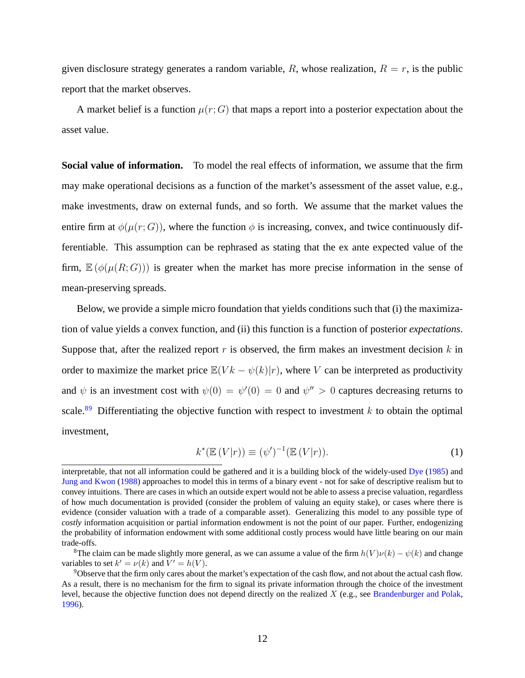given disclosure strategy generates a random variable, R, whose realization,  $R = r$ , is the public report that the market observes.

A market belief is a function  $\mu(r; G)$  that maps a report into a posterior expectation about the asset value.

**Social value of information.** To model the real effects of information, we assume that the firm may make operational decisions as a function of the market's assessment of the asset value, e.g., make investments, draw on external funds, and so forth. We assume that the market values the entire firm at  $\phi(\mu(r; G))$ , where the function  $\phi$  is increasing, convex, and twice continuously differentiable. This assumption can be rephrased as stating that the ex ante expected value of the firm,  $\mathbb{E}(\phi(\mu(R;G)))$  is greater when the market has more precise information in the sense of mean-preserving spreads.

Below, we provide a simple micro foundation that yields conditions such that (i) the maximization of value yields a convex function, and (ii) this function is a function of posterior *expectations*. Suppose that, after the realized report r is observed, the firm makes an investment decision  $k$  in order to maximize the market price  $\mathbb{E}(Vk - \psi(k)|r)$ , where V can be interpreted as productivity and  $\psi$  is an investment cost with  $\psi(0) = \psi'(0) = 0$  and  $\psi'' > 0$  captures decreasing returns to scale.<sup>89</sup> Differentiating the objective function with respect to investment k to obtain the optimal investment,

$$
k^*(\mathbb{E}(V|r)) \equiv (\psi')^{-1}(\mathbb{E}(V|r)).
$$
\n(1)

interpretable, that not all information could be gathered and it is a building block of the widely-used [Dye](#page-65-0) ([1985\)](#page-65-0) and [Jung and Kwon](#page-67-0) [\(1988](#page-67-0)) approaches to model this in terms of a binary event - not for sake of descriptive realism but to convey intuitions. There are cases in which an outside expert would not be able to assess a precise valuation, regardless of how much documentation is provided (consider the problem of valuing an equity stake), or cases where there is evidence (consider valuation with a trade of a comparable asset). Generalizing this model to any possible type of *costly* information acquisition or partial information endowment is not the point of our paper. Further, endogenizing the probability of information endowment with some additional costly process would have little bearing on our main trade-offs.

<sup>&</sup>lt;sup>8</sup>The claim can be made slightly more general, as we can assume a value of the firm  $h(V)\nu(k) - \psi(k)$  and change variables to set  $k' = \nu(k)$  and  $V' = h(V)$ .

<sup>9</sup>Observe that the firm only cares about the market's expectation of the cash flow, and not about the actual cash flow. As a result, there is no mechanism for the firm to signal its private information through the choice of the investment level, because the objective function does not depend directly on the realized  $X$  (e.g., see [Brandenburger and Polak](#page-64-0), [1996\)](#page-64-0).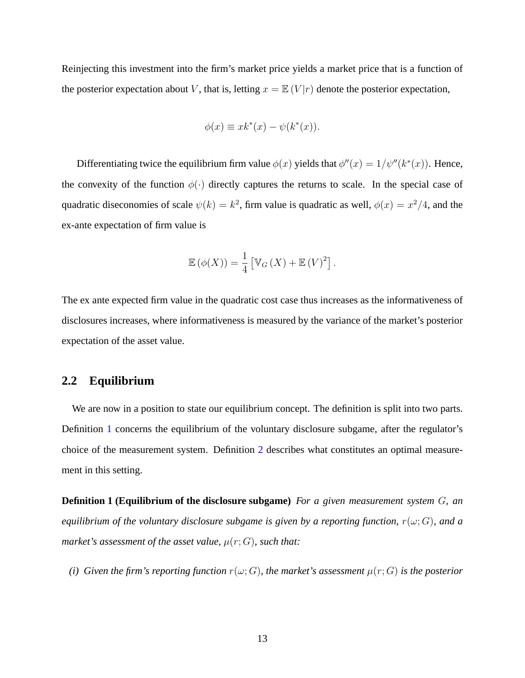<span id="page-12-0"></span>Reinjecting this investment into the firm's market price yields a market price that is a function of the posterior expectation about V, that is, letting  $x = \mathbb{E}(V|r)$  denote the posterior expectation,

$$
\phi(x) \equiv x k^*(x) - \psi(k^*(x)).
$$

Differentiating twice the equilibrium firm value  $\phi(x)$  yields that  $\phi''(x) = 1/\psi''(k^*(x))$ . Hence, the convexity of the function  $\phi(\cdot)$  directly captures the returns to scale. In the special case of quadratic diseconomies of scale  $\psi(k) = k^2$ , firm value is quadratic as well,  $\phi(x) = x^2/4$ , and the ex-ante expectation of firm value is

$$
\mathbb{E}(\phi(X)) = \frac{1}{4} [\mathbb{V}_G(X) + \mathbb{E}(V)^2].
$$

The ex ante expected firm value in the quadratic cost case thus increases as the informativeness of disclosures increases, where informativeness is measured by the variance of the market's posterior expectation of the asset value.

#### **2.2 Equilibrium**

We are now in a position to state our equilibrium concept. The definition is split into two parts. Definition 1 concerns the equilibrium of the voluntary disclosure subgame, after the regulator's choice of the measurement system. Definition [2](#page-13-0) describes what constitutes an optimal measurement in this setting.

**Definition 1 (Equilibrium of the disclosure subgame)** *For a given measurement system* G*, an equilibrium of the voluntary disclosure subgame is given by a reporting function,*  $r(\omega; G)$ *, and a market's assessment of the asset value,* μ(r; G)*, such that:*

*(i)* Given the firm's reporting function  $r(\omega; G)$ , the market's assessment  $\mu(r; G)$  is the posterior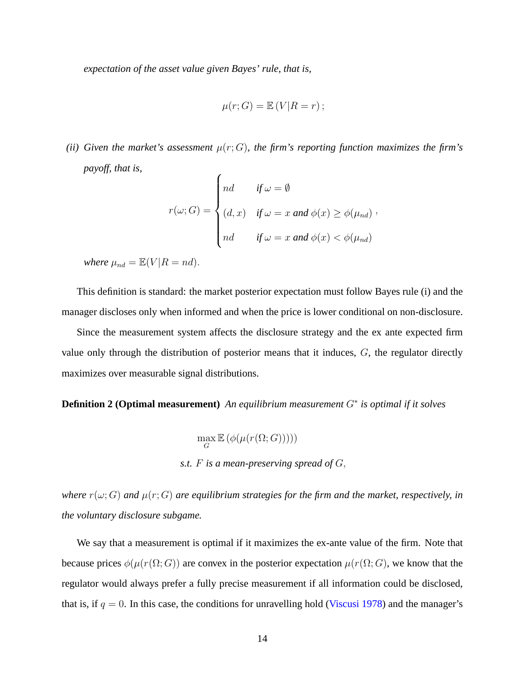<span id="page-13-0"></span>*expectation of the asset value given Bayes' rule, that is,*

$$
\mu(r;G) = \mathbb{E}(V|R=r);
$$

*(ii)* Given the market's assessment  $\mu(r; G)$ , the firm's reporting function maximizes the firm's *payoff, that is,*

$$
r(\omega; G) = \begin{cases} nd & \text{if } \omega = \emptyset \\ (d, x) & \text{if } \omega = x \text{ and } \phi(x) \ge \phi(\mu_{nd}), \\ nd & \text{if } \omega = x \text{ and } \phi(x) < \phi(\mu_{nd}) \end{cases}
$$

*where*  $\mu_{nd} = \mathbb{E}(V|R = nd)$ .

This definition is standard: the market posterior expectation must follow Bayes rule (i) and the manager discloses only when informed and when the price is lower conditional on non-disclosure.

Since the measurement system affects the disclosure strategy and the ex ante expected firm value only through the distribution of posterior means that it induces, G, the regulator directly maximizes over measurable signal distributions.

**Definition 2 (Optimal measurement)** *An equilibrium measurement* G<sup>∗</sup> *is optimal if it solves*

 $\max_{G} \mathbb{E} \left( \phi(\mu(r(\Omega;G)))) \right)$ *s.t.* F *is a mean-preserving spread of* G,

*where*  $r(\omega; G)$  *and*  $\mu(r; G)$  *are equilibrium strategies for the firm and the market, respectively, in the voluntary disclosure subgame.*

We say that a measurement is optimal if it maximizes the ex-ante value of the firm. Note that because prices  $\phi(\mu(r(\Omega; G))$  are convex in the posterior expectation  $\mu(r(\Omega; G))$ , we know that the regulator would always prefer a fully precise measurement if all information could be disclosed, that is, if  $q = 0$ . In this case, the conditions for unravelling hold ([Viscusi 1978\)](#page-68-0) and the manager's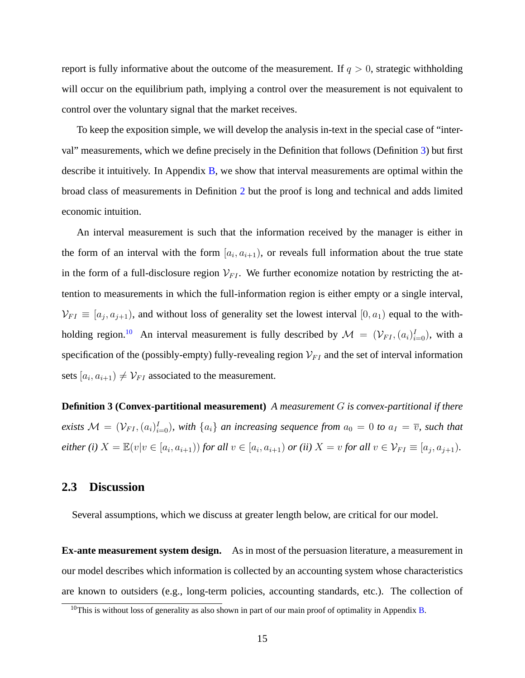report is fully informative about the outcome of the measurement. If  $q > 0$ , strategic withholding will occur on the equilibrium path, implying a control over the measurement is not equivalent to control over the voluntary signal that the market receives.

To keep the exposition simple, we will develop the analysis in-text in the special case of "interval" measurements, which we define precisely in the Definition that follows (Definition 3) but first describe it intuitively. In Appendix [B](#page-45-0), we show that interval measurements are optimal within the broad class of measurements in Definition [2](#page-13-0) but the proof is long and technical and adds limited economic intuition.

An interval measurement is such that the information received by the manager is either in the form of an interval with the form  $[a_i, a_{i+1})$ , or reveals full information about the true state in the form of a full-disclosure region  $V_{FI}$ . We further economize notation by restricting the attention to measurements in which the full-information region is either empty or a single interval,  $V_{FI} \equiv [a_j, a_{j+1})$ , and without loss of generality set the lowest interval  $[0, a_1)$  equal to the withholding region.<sup>10</sup> An interval measurement is fully described by  $\mathcal{M} = (\mathcal{V}_{FI}, (a_i)_{i=0}^I)$ , with a specification of the (possibly-empty) fully-revealing region  $\mathcal{V}_{FI}$  and the set of interval information sets  $[a_i, a_{i+1}) \neq \mathcal{V}_{FI}$  associated to the measurement.

**Definition 3 (Convex-partitional measurement)** *A measurement* G *is convex-partitional if there exists*  $\mathcal{M} = (\mathcal{V}_{FI}, (a_i)_{i=0}^I)$ , with  $\{a_i\}$  an increasing sequence from  $a_0 = 0$  to  $a_I = \overline{v}$ , such that *either (i)*  $X = \mathbb{E}(v|v \in [a_i, a_{i+1})$  *for all*  $v \in [a_i, a_{i+1})$  *or (ii)*  $X = v$  *for all*  $v \in V_{FI} \equiv [a_j, a_{j+1})$ *.* 

#### **2.3 Discussion**

Several assumptions, which we discuss at greater length below, are critical for our model.

**Ex-ante measurement system design.** As in most of the persuasion literature, a measurement in our model describes which information is collected by an accounting system whose characteristics are known to outsiders (e.g., long-term policies, accounting standards, etc.). The collection of

<sup>&</sup>lt;sup>10</sup>This is without loss of generality as also shown in part of our main proof of optimality in Appendix  $\overline{B}$  $\overline{B}$  $\overline{B}$ .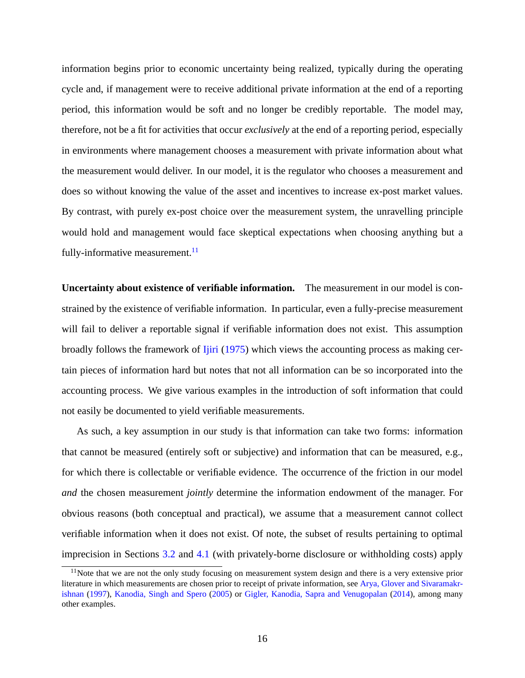information begins prior to economic uncertainty being realized, typically during the operating cycle and, if management were to receive additional private information at the end of a reporting period, this information would be soft and no longer be credibly reportable. The model may, therefore, not be a fit for activities that occur *exclusively* at the end of a reporting period, especially in environments where management chooses a measurement with private information about what the measurement would deliver. In our model, it is the regulator who chooses a measurement and does so without knowing the value of the asset and incentives to increase ex-post market values. By contrast, with purely ex-post choice over the measurement system, the unravelling principle would hold and management would face skeptical expectations when choosing anything but a fully-informative measurement. $11$ 

**Uncertainty about existence of verifiable information.** The measurement in our model is constrained by the existence of verifiable information. In particular, even a fully-precise measurement will fail to deliver a reportable signal if verifiable information does not exist. This assumption broadly follows the framework of [Ijiri](#page-66-0) [\(1975](#page-66-0)) which views the accounting process as making certain pieces of information hard but notes that not all information can be so incorporated into the accounting process. We give various examples in the introduction of soft information that could not easily be documented to yield verifiable measurements.

As such, a key assumption in our study is that information can take two forms: information that cannot be measured (entirely soft or subjective) and information that can be measured, e.g., for which there is collectable or verifiable evidence. The occurrence of the friction in our model *and* the chosen measurement *jointly* determine the information endowment of the manager. For obvious reasons (both conceptual and practical), we assume that a measurement cannot collect verifiable information when it does not exist. Of note, the subset of results pertaining to optimal imprecision in Sections [3.2](#page-21-0) and [4.1](#page-25-0) (with privately-borne disclosure or withholding costs) apply

<sup>&</sup>lt;sup>11</sup>Note that we are not the only study focusing on measurement system design and there is a very extensive prior literature in which measurements are chosen prior to receipt of private information, see [Arya, Glover and Sivaramakr](#page-64-0)[ishnan](#page-64-0) ([1997](#page-64-0)), [Kanodia, Singh and Spero](#page-67-0) [\(2005](#page-67-0)) or [Gigler, Kanodia, Sapra and Venugopalan](#page-66-0) [\(2014](#page-66-0)), among many other examples.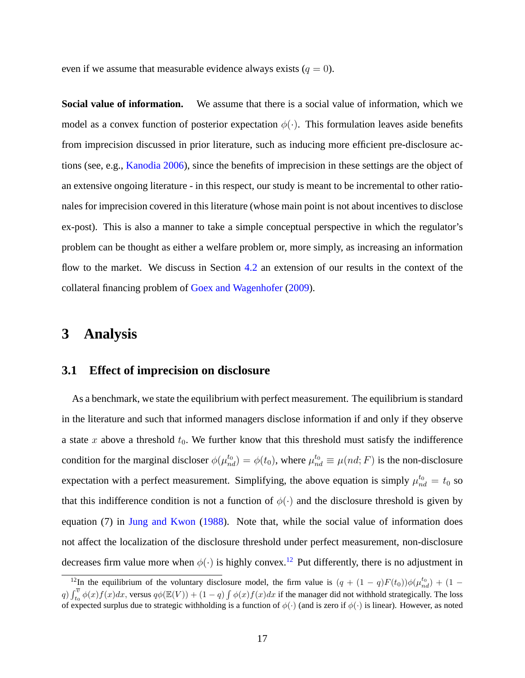even if we assume that measurable evidence always exists  $(q = 0)$ .

**Social value of information.** We assume that there is a social value of information, which we model as a convex function of posterior expectation  $\phi(\cdot)$ . This formulation leaves aside benefits from imprecision discussed in prior literature, such as inducing more efficient pre-disclosure actions (see, e.g., [Kanodia](#page-67-0) [2006](#page-67-0)), since the benefits of imprecision in these settings are the object of an extensive ongoing literature - in this respect, our study is meant to be incremental to other rationales for imprecision covered in this literature (whose main point is not about incentives to disclose ex-post). This is also a manner to take a simple conceptual perspective in which the regulator's problem can be thought as either a welfare problem or, more simply, as increasing an information flow to the market. We discuss in Section [4.2](#page-30-0) an extension of our results in the context of the collateral financing problem of [Goex and Wagenhofer](#page-66-0) ([2009\)](#page-66-0).

## **3 Analysis**

#### **3.1 Effect of imprecision on disclosure**

As a benchmark, we state the equilibrium with perfect measurement. The equilibrium is standard in the literature and such that informed managers disclose information if and only if they observe a state x above a threshold  $t_0$ . We further know that this threshold must satisfy the indifference condition for the marginal discloser  $\phi(\mu_{nd}^{t_0}) = \phi(t_0)$ , where  $\mu_{nd}^{t_0} \equiv \mu(nd; F)$  is the non-disclosure expectation with a perfect measurement. Simplifying, the above equation is simply  $\mu_{nd}^{t_0} = t_0$  so that this indifference condition is not a function of  $\phi(\cdot)$  and the disclosure threshold is given by equation (7) in [Jung and Kwon](#page-67-0) ([1988\)](#page-67-0). Note that, while the social value of information does not affect the localization of the disclosure threshold under perfect measurement, non-disclosure decreases firm value more when  $\phi(\cdot)$  is highly convex.<sup>12</sup> Put differently, there is no adjustment in

<sup>&</sup>lt;sup>12</sup>In the equilibrium of the voluntary disclosure model, the firm value is  $(q + (1 - q)F(t_0))\phi(\mu_{nd}^{t_0}) + (1$ q)  $\int_{t_0}^{\overline{v}} \phi(x) f(x) dx$ , versus  $q\phi(\mathbb{E}(V)) + (1-q) \int \phi(x) f(x) dx$  if the manager did not withhold strategically. The loss of expected surplus due to strategic withholding is a function of  $\phi(\cdot)$  (and is zero if  $\phi(\cdot)$  is linear). However, as noted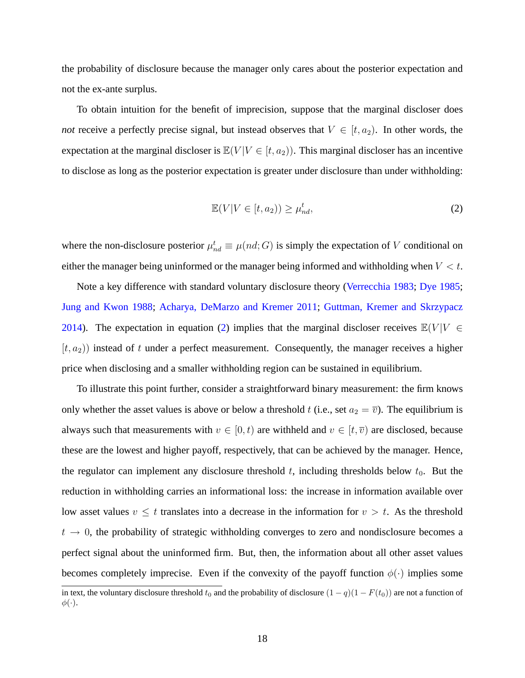<span id="page-17-0"></span>the probability of disclosure because the manager only cares about the posterior expectation and not the ex-ante surplus.

To obtain intuition for the benefit of imprecision, suppose that the marginal discloser does *not* receive a perfectly precise signal, but instead observes that  $V \in [t, a_2)$ . In other words, the expectation at the marginal discloser is  $\mathbb{E}(V | V \in [t, a_2))$ . This marginal discloser has an incentive to disclose as long as the posterior expectation is greater under disclosure than under withholding:

$$
\mathbb{E}(V|V \in [t, a_2)) \ge \mu_{nd}^t,
$$
\n(2)

where the non-disclosure posterior  $\mu_{nd}^t \equiv \mu(nd; G)$  is simply the expectation of V conditional on either the manager being uninformed or the manager being informed and withholding when  $V < t$ .

Note a key difference with standard voluntary disclosure theory [\(Verrecchia 1983;](#page-68-0) [Dye 1985;](#page-65-0) [Jung and Kwon 1988](#page-67-0); [Acharya, DeMarzo and Kremer 2011](#page-64-0); [Guttman, Kremer and Skrzypacz](#page-66-0) [2014\)](#page-66-0). The expectation in equation (2) implies that the marginal discloser receives  $\mathbb{E}(V | V \in$  $[t, a_2)$ ) instead of t under a perfect measurement. Consequently, the manager receives a higher price when disclosing and a smaller withholding region can be sustained in equilibrium.

To illustrate this point further, consider a straightforward binary measurement: the firm knows only whether the asset values is above or below a threshold t (i.e., set  $a_2 = \overline{v}$ ). The equilibrium is always such that measurements with  $v \in [0, t)$  are withheld and  $v \in [t, \overline{v})$  are disclosed, because these are the lowest and higher payoff, respectively, that can be achieved by the manager. Hence, the regulator can implement any disclosure threshold t, including thresholds below  $t_0$ . But the reduction in withholding carries an informational loss: the increase in information available over low asset values  $v \leq t$  translates into a decrease in the information for  $v > t$ . As the threshold  $t \rightarrow 0$ , the probability of strategic withholding converges to zero and nondisclosure becomes a perfect signal about the uninformed firm. But, then, the information about all other asset values becomes completely imprecise. Even if the convexity of the payoff function  $\phi(\cdot)$  implies some

in text, the voluntary disclosure threshold  $t_0$  and the probability of disclosure  $(1 - q)(1 - F(t_0))$  are not a function of  $\phi(\cdot).$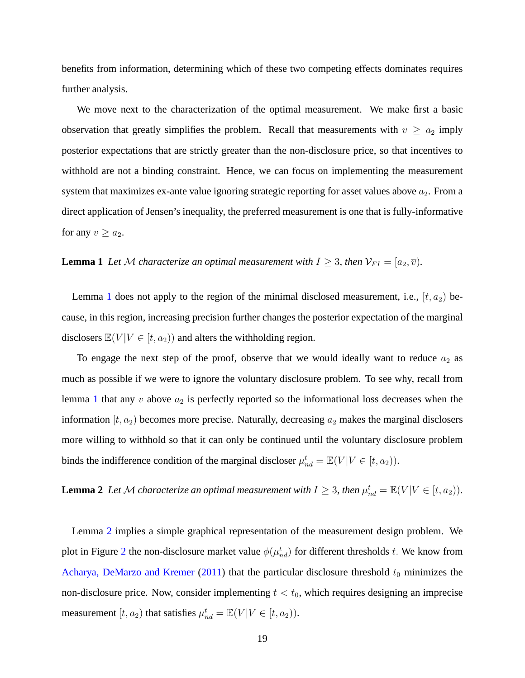benefits from information, determining which of these two competing effects dominates requires further analysis.

We move next to the characterization of the optimal measurement. We make first a basic observation that greatly simplifies the problem. Recall that measurements with  $v \ge a_2$  imply posterior expectations that are strictly greater than the non-disclosure price, so that incentives to withhold are not a binding constraint. Hence, we can focus on implementing the measurement system that maximizes ex-ante value ignoring strategic reporting for asset values above  $a_2$ . From a direct application of Jensen's inequality, the preferred measurement is one that is fully-informative for any  $v \ge a_2$ .

**Lemma 1** Let M characterize an optimal measurement with  $I \geq 3$ , then  $V_{FI} = [a_2, \overline{v})$ .

Lemma [1](#page-47-0) does not apply to the region of the minimal disclosed measurement, i.e.,  $[t, a_2)$  because, in this region, increasing precision further changes the posterior expectation of the marginal disclosers  $\mathbb{E}(V | V \in [t, a_2))$  and alters the withholding region.

To engage the next step of the proof, observe that we would ideally want to reduce  $a_2$  as much as possible if we were to ignore the voluntary disclosure problem. To see why, recall from lemma [1](#page-47-0) that any  $v$  above  $a_2$  is perfectly reported so the informational loss decreases when the information  $[t, a_2)$  becomes more precise. Naturally, decreasing  $a_2$  makes the marginal disclosers more willing to withhold so that it can only be continued until the voluntary disclosure problem binds the indifference condition of the marginal discloser  $\mu_{nd}^t = \mathbb{E}(V | V \in [t, a_2))$ .

**Lemma 2** Let M characterize an optimal measurement with  $I \geq 3$ , then  $\mu_{nd}^t = \mathbb{E}(V | V \in [t, a_2))$ .

Lemma [2](#page-49-0) implies a simple graphical representation of the measurement design problem. We plot in Figure [2](#page-19-0) the non-disclosure market value  $\phi(\mu_{nd}^t)$  for different thresholds t. We know from [Acharya, DeMarzo and Kremer](#page-64-0) ([2011\)](#page-64-0) that the particular disclosure threshold  $t_0$  minimizes the non-disclosure price. Now, consider implementing  $t < t_0$ , which requires designing an imprecise measurement  $[t, a_2)$  that satisfies  $\mu_{nd}^t = \mathbb{E}(V | V \in [t, a_2)).$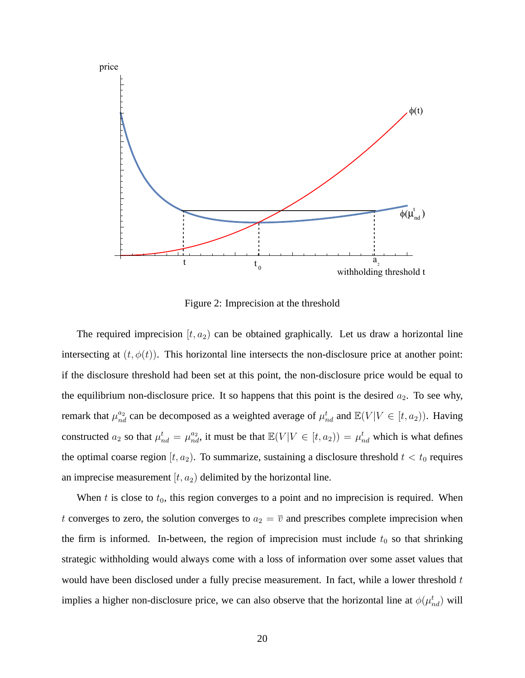<span id="page-19-0"></span>

Figure 2: Imprecision at the threshold

The required imprecision  $[t, a_2)$  can be obtained graphically. Let us draw a horizontal line intersecting at  $(t, \phi(t))$ . This horizontal line intersects the non-disclosure price at another point: if the disclosure threshold had been set at this point, the non-disclosure price would be equal to the equilibrium non-disclosure price. It so happens that this point is the desired  $a_2$ . To see why, remark that  $\mu_{nd}^{a_2}$  can be decomposed as a weighted average of  $\mu_{nd}^t$  and  $\mathbb{E}(V|V \in [t, a_2))$ . Having constructed  $a_2$  so that  $\mu_{nd}^t = \mu_{nd}^{a_2}$ , it must be that  $\mathbb{E}(V|V \in [t, a_2)) = \mu_{nd}^t$  which is what defines the optimal coarse region  $[t, a_2)$ . To summarize, sustaining a disclosure threshold  $t < t_0$  requires an imprecise measurement  $[t, a_2)$  delimited by the horizontal line.

When t is close to  $t_0$ , this region converges to a point and no imprecision is required. When t converges to zero, the solution converges to  $a_2 = \overline{v}$  and prescribes complete imprecision when the firm is informed. In-between, the region of imprecision must include  $t_0$  so that shrinking strategic withholding would always come with a loss of information over some asset values that would have been disclosed under a fully precise measurement. In fact, while a lower threshold t implies a higher non-disclosure price, we can also observe that the horizontal line at  $\phi(\mu_{nd}^t)$  will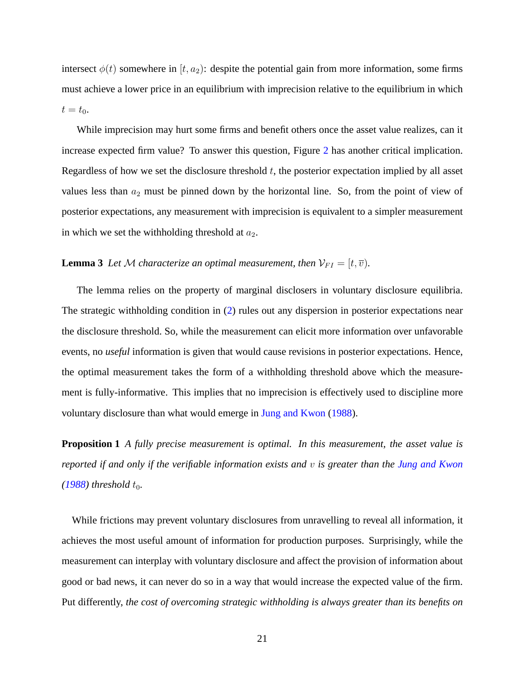<span id="page-20-0"></span>intersect  $\phi(t)$  somewhere in  $[t, a_2)$ : despite the potential gain from more information, some firms must achieve a lower price in an equilibrium with imprecision relative to the equilibrium in which  $t = t_0$ .

While imprecision may hurt some firms and benefit others once the asset value realizes, can it increase expected firm value? To answer this question, Figure [2](#page-19-0) has another critical implication. Regardless of how we set the disclosure threshold  $t$ , the posterior expectation implied by all asset values less than  $a_2$  must be pinned down by the horizontal line. So, from the point of view of posterior expectations, any measurement with imprecision is equivalent to a simpler measurement in which we set the withholding threshold at  $a_2$ .

# **Lemma 3** *Let* M *characterize an optimal measurement, then*  $V_{FI} = [t, \overline{v})$ *.*

The lemma relies on the property of marginal disclosers in voluntary disclosure equilibria. The strategic withholding condition in ([2\)](#page-17-0) rules out any dispersion in posterior expectations near the disclosure threshold. So, while the measurement can elicit more information over unfavorable events, no *useful* information is given that would cause revisions in posterior expectations. Hence, the optimal measurement takes the form of a withholding threshold above which the measurement is fully-informative. This implies that no imprecision is effectively used to discipline more voluntary disclosure than what would emerge in [Jung and Kwon](#page-67-0) ([1988\)](#page-67-0).

**Proposition 1** *A fully precise measurement is optimal. In this measurement, the asset value is reported if and only if the verifiable information exists and* v *is greater than the [Jung and Kwon](#page-67-0)*  $(1988)$  $(1988)$  *threshold*  $t_0$ *.* 

While frictions may prevent voluntary disclosures from unravelling to reveal all information, it achieves the most useful amount of information for production purposes. Surprisingly, while the measurement can interplay with voluntary disclosure and affect the provision of information about good or bad news, it can never do so in a way that would increase the expected value of the firm. Put differently, *the cost of overcoming strategic withholding is always greater than its benefits on*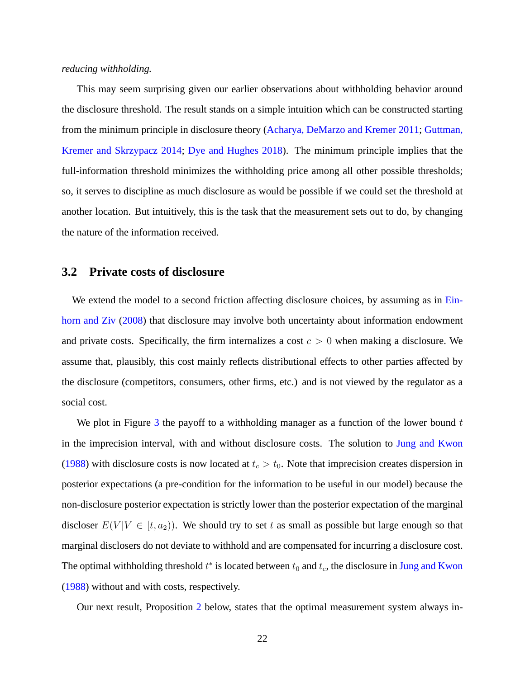#### <span id="page-21-0"></span>*reducing withholding.*

This may seem surprising given our earlier observations about withholding behavior around the disclosure threshold. The result stands on a simple intuition which can be constructed starting from the minimum principle in disclosure theory [\(Acharya, DeMarzo and Kremer 2011](#page-64-0); [Guttman,](#page-66-0) [Kremer and Skrzypacz 2014;](#page-66-0) [Dye and Hughes](#page-65-0) [2018\)](#page-65-0). The minimum principle implies that the full-information threshold minimizes the withholding price among all other possible thresholds; so, it serves to discipline as much disclosure as would be possible if we could set the threshold at another location. But intuitively, this is the task that the measurement sets out to do, by changing the nature of the information received.

#### **3.2 Private costs of disclosure**

We extend the model to a second friction affecting disclosure choices, by assuming as in [Ein](#page-65-0)[horn and Ziv](#page-65-0) ([2008\)](#page-65-0) that disclosure may involve both uncertainty about information endowment and private costs. Specifically, the firm internalizes a cost  $c > 0$  when making a disclosure. We assume that, plausibly, this cost mainly reflects distributional effects to other parties affected by the disclosure (competitors, consumers, other firms, etc.) and is not viewed by the regulator as a social cost.

We plot in Figure  $3$  the payoff to a withholding manager as a function of the lower bound  $t$ in the imprecision interval, with and without disclosure costs. The solution to [Jung and Kwon](#page-67-0) ([1988\)](#page-67-0) with disclosure costs is now located at  $t_c > t_0$ . Note that imprecision creates dispersion in posterior expectations (a pre-condition for the information to be useful in our model) because the non-disclosure posterior expectation is strictly lower than the posterior expectation of the marginal discloser  $E(V | V \in [t, a_2))$ . We should try to set t as small as possible but large enough so that marginal disclosers do not deviate to withhold and are compensated for incurring a disclosure cost. The optimal withholding threshold  $t^*$  is located between  $t_0$  and  $t_c$ , the disclosure in [Jung and Kwon](#page-67-0) ([1988\)](#page-67-0) without and with costs, respectively.

Our next result, Proposition [2](#page-22-0) below, states that the optimal measurement system always in-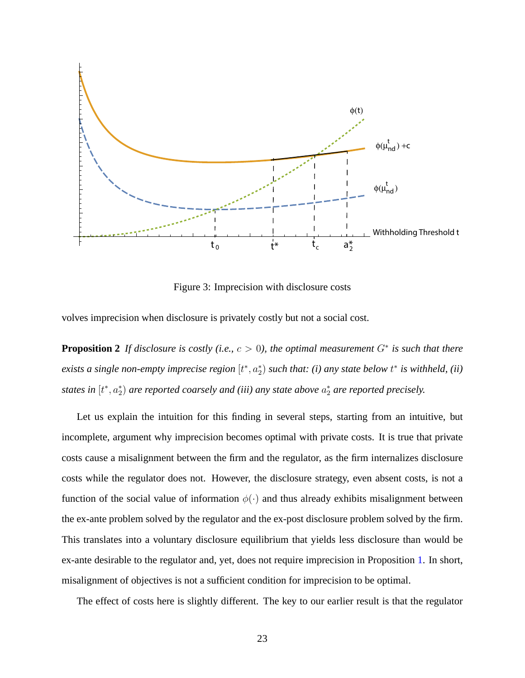<span id="page-22-0"></span>

Figure 3: Imprecision with disclosure costs

volves imprecision when disclosure is privately costly but not a social cost.

**Proposition 2** *If disclosure is costly (i.e., c > 0), the optimal measurement*  $G^*$  *is such that there exists a single non-empty imprecise region* [t <sup>∗</sup>, a<sup>∗</sup> <sup>2</sup>) *such that: (i) any state below* t <sup>∗</sup> *is withheld, (ii) states in*  $[t^*, a_2^*)$  are reported coarsely and (iii) any state above  $a_2^*$  are reported precisely.

Let us explain the intuition for this finding in several steps, starting from an intuitive, but incomplete, argument why imprecision becomes optimal with private costs. It is true that private costs cause a misalignment between the firm and the regulator, as the firm internalizes disclosure costs while the regulator does not. However, the disclosure strategy, even absent costs, is not a function of the social value of information  $\phi(\cdot)$  and thus already exhibits misalignment between the ex-ante problem solved by the regulator and the ex-post disclosure problem solved by the firm. This translates into a voluntary disclosure equilibrium that yields less disclosure than would be ex-ante desirable to the regulator and, yet, does not require imprecision in Proposition [1](#page-20-0). In short, misalignment of objectives is not a sufficient condition for imprecision to be optimal.

The effect of costs here is slightly different. The key to our earlier result is that the regulator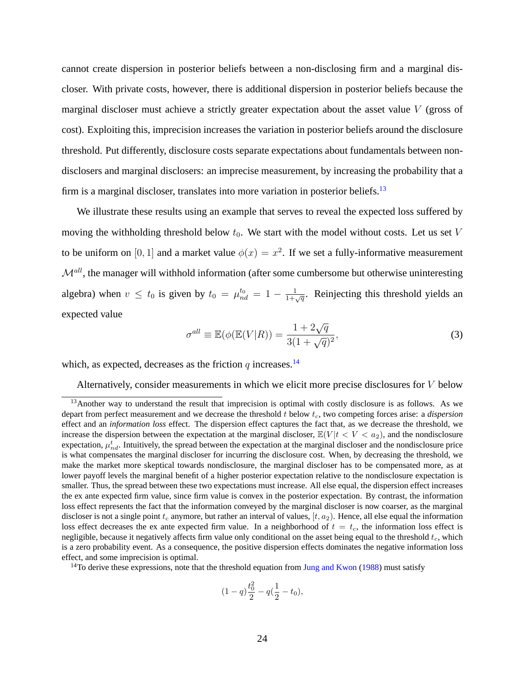cannot create dispersion in posterior beliefs between a non-disclosing firm and a marginal discloser. With private costs, however, there is additional dispersion in posterior beliefs because the marginal discloser must achieve a strictly greater expectation about the asset value  $V$  (gross of cost). Exploiting this, imprecision increases the variation in posterior beliefs around the disclosure threshold. Put differently, disclosure costs separate expectations about fundamentals between nondisclosers and marginal disclosers: an imprecise measurement, by increasing the probability that a firm is a marginal discloser, translates into more variation in posterior beliefs.<sup>13</sup>

We illustrate these results using an example that serves to reveal the expected loss suffered by moving the withholding threshold below  $t_0$ . We start with the model without costs. Let us set V to be uniform on [0, 1] and a market value  $\phi(x) = x^2$ . If we set a fully-informative measurement  $\mathcal{M}^{all}$ , the manager will withhold information (after some cumbersome but otherwise uninteresting algebra) when  $v \le t_0$  is given by  $t_0 = \mu_{nd}^{t_0} = 1 - \frac{1}{1 + \sqrt{q}}$ . Reinjecting this threshold yields an expected value

$$
\sigma^{all} \equiv \mathbb{E}(\phi(\mathbb{E}(V|R)) = \frac{1 + 2\sqrt{q}}{3(1 + \sqrt{q})^2},\tag{3}
$$

which, as expected, decreases as the friction q increases.<sup>14</sup>

Alternatively, consider measurements in which we elicit more precise disclosures for V below

$$
(1-q)\frac{t_0^2}{2}-q(\frac{1}{2}-t_0),
$$

<sup>&</sup>lt;sup>13</sup>Another way to understand the result that imprecision is optimal with costly disclosure is as follows. As we depart from perfect measurement and we decrease the threshold  $t$  below  $t_c$ , two competing forces arise: a *dispersion* effect and an *information loss* effect. The dispersion effect captures the fact that, as we decrease the threshold, we increase the dispersion between the expectation at the marginal discloser,  $\mathbb{E}(V | t < V < a_2)$ , and the nondisclosure expectation,  $\mu_{nd}^t$ . Intuitively, the spread between the expectation at the marginal discloser and the nondisclosure price is what compensates the marginal discloser for incurring the disclosure cost. When, by decreasing the threshold, we make the market more skeptical towards nondisclosure, the marginal discloser has to be compensated more, as at lower payoff levels the marginal benefit of a higher posterior expectation relative to the nondisclosure expectation is smaller. Thus, the spread between these two expectations must increase. All else equal, the dispersion effect increases the ex ante expected firm value, since firm value is convex in the posterior expectation. By contrast, the information loss effect represents the fact that the information conveyed by the marginal discloser is now coarser, as the marginal discloser is not a single point  $t_c$  anymore, but rather an interval of values,  $[t, a_2)$ . Hence, all else equal the information loss effect decreases the ex ante expected firm value. In a neighborhood of  $t = t_c$ , the information loss effect is negligible, because it negatively affects firm value only conditional on the asset being equal to the threshold  $t_c$ , which is a zero probability event. As a consequence, the positive dispersion effects dominates the negative information loss effect, and some imprecision is optimal.

<sup>&</sup>lt;sup>14</sup>To derive these expressions, note that the threshold equation from [Jung and Kwon](#page-67-0) [\(1988](#page-67-0)) must satisfy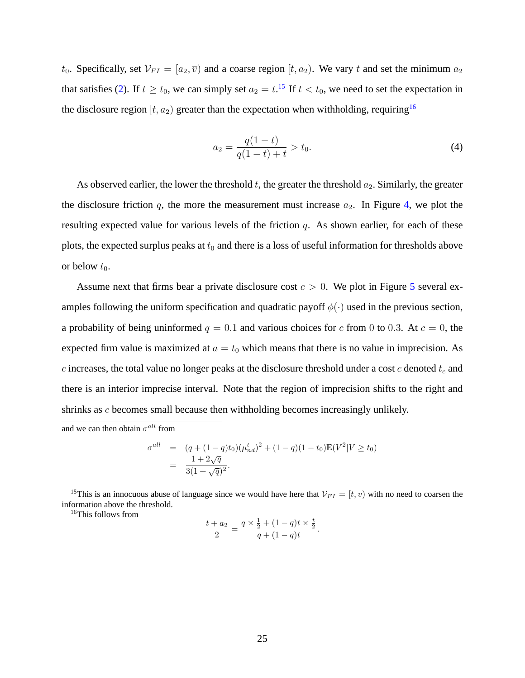$t_0$ . Specifically, set  $\mathcal{V}_{FI} = [a_2, \overline{v}]$  and a coarse region  $[t, a_2]$ . We vary t and set the minimum  $a_2$ that satisfies ([2\)](#page-17-0). If  $t \ge t_0$ , we can simply set  $a_2 = t$ .<sup>15</sup> If  $t < t_0$ , we need to set the expectation in the disclosure region  $[t, a_2)$  greater than the expectation when withholding, requiring<sup>16</sup>

$$
a_2 = \frac{q(1-t)}{q(1-t)+t} > t_0.
$$
\n(4)

As observed earlier, the lower the threshold  $t$ , the greater the threshold  $a_2$ . Similarly, the greater the disclosure friction q, the more the measurement must increase  $a_2$ . In Figure [4](#page-25-0), we plot the resulting expected value for various levels of the friction  $q$ . As shown earlier, for each of these plots, the expected surplus peaks at  $t_0$  and there is a loss of useful information for thresholds above or below  $t_0$ .

Assume next that firms bear a private disclosure cost  $c > 0$ . We plot in Figure [5](#page-26-0) several examples following the uniform specification and quadratic payoff  $\phi(\cdot)$  used in the previous section, a probability of being uninformed  $q = 0.1$  and various choices for c from 0 to 0.3. At  $c = 0$ , the expected firm value is maximized at  $a = t_0$  which means that there is no value in imprecision. As  $c$  increases, the total value no longer peaks at the disclosure threshold under a cost  $c$  denoted  $t_c$  and there is an interior imprecise interval. Note that the region of imprecision shifts to the right and shrinks as c becomes small because then withholding becomes increasingly unlikely.

and we can then obtain  $\sigma^{all}$  from

$$
\sigma^{all} = (q + (1 - q)t_0)(\mu_{nd}^t)^2 + (1 - q)(1 - t_0)\mathbb{E}(V^2|V \ge t_0)
$$
  
= 
$$
\frac{1 + 2\sqrt{q}}{3(1 + \sqrt{q})^2}.
$$

<sup>15</sup>This is an innocuous abuse of language since we would have here that  $V_{FI} = [t, \overline{v})$  with no need to coarsen the information above the threshold.

16This follows from

$$
\frac{t + a_2}{2} = \frac{q \times \frac{1}{2} + (1 - q)t \times \frac{t}{2}}{q + (1 - q)t}.
$$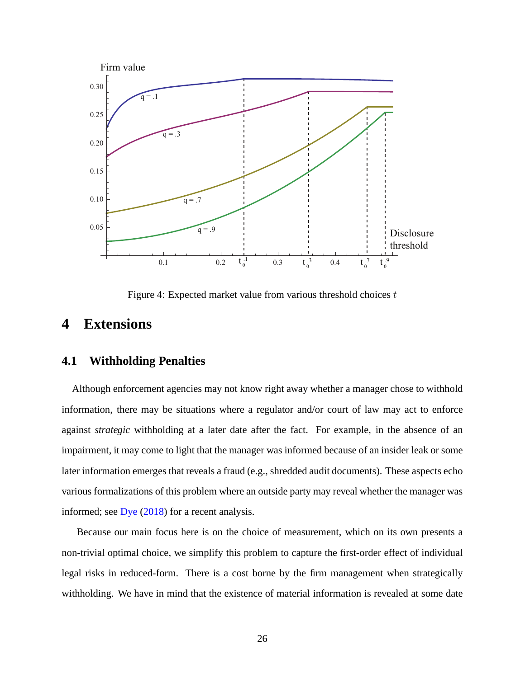<span id="page-25-0"></span>

Figure 4: Expected market value from various threshold choices  $t$ 

# **4 Extensions**

### **4.1 Withholding Penalties**

Although enforcement agencies may not know right away whether a manager chose to withhold information, there may be situations where a regulator and/or court of law may act to enforce against *strategic* withholding at a later date after the fact. For example, in the absence of an impairment, it may come to light that the manager was informed because of an insider leak or some later information emerges that reveals a fraud (e.g., shredded audit documents). These aspects echo various formalizations of this problem where an outside party may reveal whether the manager was informed; see [Dye](#page-65-0) [\(2018](#page-65-0)) for a recent analysis.

Because our main focus here is on the choice of measurement, which on its own presents a non-trivial optimal choice, we simplify this problem to capture the first-order effect of individual legal risks in reduced-form. There is a cost borne by the firm management when strategically withholding. We have in mind that the existence of material information is revealed at some date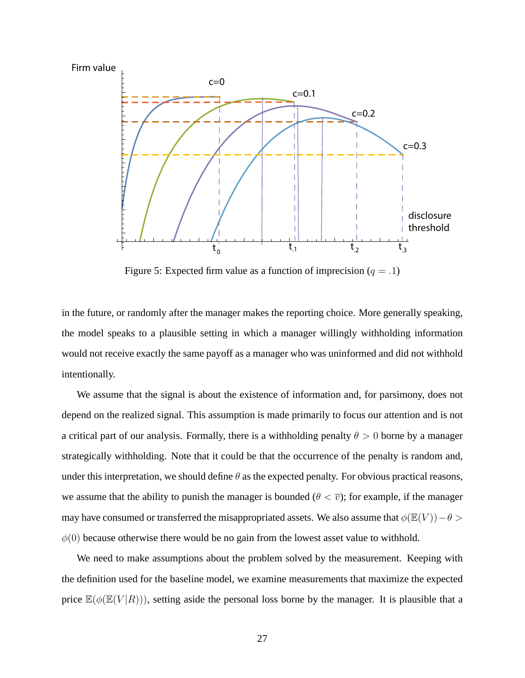<span id="page-26-0"></span>

Figure 5: Expected firm value as a function of imprecision ( $q = .1$ )

in the future, or randomly after the manager makes the reporting choice. More generally speaking, the model speaks to a plausible setting in which a manager willingly withholding information would not receive exactly the same payoff as a manager who was uninformed and did not withhold intentionally.

We assume that the signal is about the existence of information and, for parsimony, does not depend on the realized signal. This assumption is made primarily to focus our attention and is not a critical part of our analysis. Formally, there is a withholding penalty  $\theta > 0$  borne by a manager strategically withholding. Note that it could be that the occurrence of the penalty is random and, under this interpretation, we should define  $\theta$  as the expected penalty. For obvious practical reasons, we assume that the ability to punish the manager is bounded ( $\theta < \overline{v}$ ); for example, if the manager may have consumed or transferred the misappropriated assets. We also assume that  $\phi(\mathbb{E}(V))-\theta >$  $\phi(0)$  because otherwise there would be no gain from the lowest asset value to withhold.

We need to make assumptions about the problem solved by the measurement. Keeping with the definition used for the baseline model, we examine measurements that maximize the expected price  $\mathbb{E}(\phi(\mathbb{E}(V|R)))$ , setting aside the personal loss borne by the manager. It is plausible that a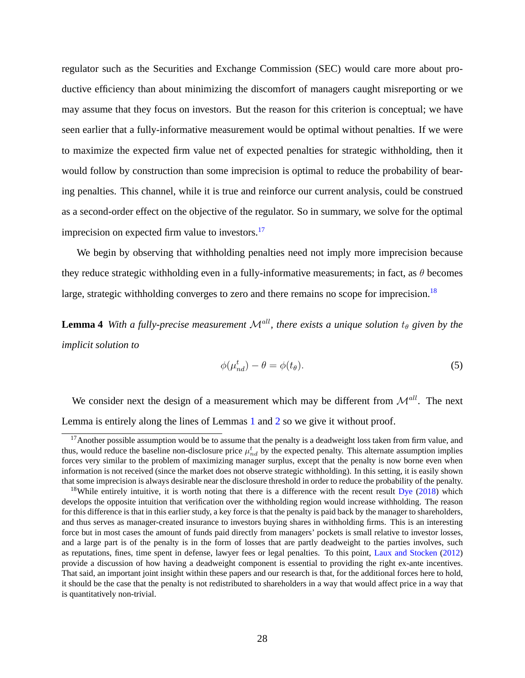regulator such as the Securities and Exchange Commission (SEC) would care more about productive efficiency than about minimizing the discomfort of managers caught misreporting or we may assume that they focus on investors. But the reason for this criterion is conceptual; we have seen earlier that a fully-informative measurement would be optimal without penalties. If we were to maximize the expected firm value net of expected penalties for strategic withholding, then it would follow by construction than some imprecision is optimal to reduce the probability of bearing penalties. This channel, while it is true and reinforce our current analysis, could be construed as a second-order effect on the objective of the regulator. So in summary, we solve for the optimal imprecision on expected firm value to investors. $17$ 

We begin by observing that withholding penalties need not imply more imprecision because they reduce strategic withholding even in a fully-informative measurements; in fact, as  $\theta$  becomes large, strategic withholding converges to zero and there remains no scope for imprecision.18

**Lemma 4** *With a fully-precise measurement*  $\mathcal{M}^{all}$ *, there exists a unique solution*  $t_{\theta}$  *given by the implicit solution to*

$$
\phi(\mu_{nd}^t) - \theta = \phi(t_\theta). \tag{5}
$$

We consider next the design of a measurement which may be different from  $\mathcal{M}^{all}$ . The next Lemma is entirely along the lines of Lemmas [1](#page-47-0) and [2](#page-49-0) so we give it without proof.

<sup>&</sup>lt;sup>17</sup> Another possible assumption would be to assume that the penalty is a deadweight loss taken from firm value, and thus, would reduce the baseline non-disclosure price  $\mu_{nd}^t$  by the expected penalty. This alternate assumption implies forces very similar to the problem of maximizing manager surplus, except that the penalty is now borne even when information is not received (since the market does not observe strategic withholding). In this setting, it is easily shown that some imprecision is always desirable near the disclosure threshold in order to reduce the probability of the penalty.

<sup>&</sup>lt;sup>18</sup>While entirely intuitive, it is worth noting that there is a difference with the recent result [Dye](#page-65-0) ([2018](#page-65-0)) which develops the opposite intuition that verification over the withholding region would increase withholding. The reason for this difference is that in this earlier study, a key force is that the penalty is paid back by the manager to shareholders, and thus serves as manager-created insurance to investors buying shares in withholding firms. This is an interesting force but in most cases the amount of funds paid directly from managers' pockets is small relative to investor losses, and a large part is of the penalty is in the form of losses that are partly deadweight to the parties involves, such as reputations, fines, time spent in defense, lawyer fees or legal penalties. To this point, [Laux and Stocken](#page-67-0) ([2012\)](#page-67-0) provide a discussion of how having a deadweight component is essential to providing the right ex-ante incentives. That said, an important joint insight within these papers and our research is that, for the additional forces here to hold, it should be the case that the penalty is not redistributed to shareholders in a way that would affect price in a way that is quantitatively non-trivial.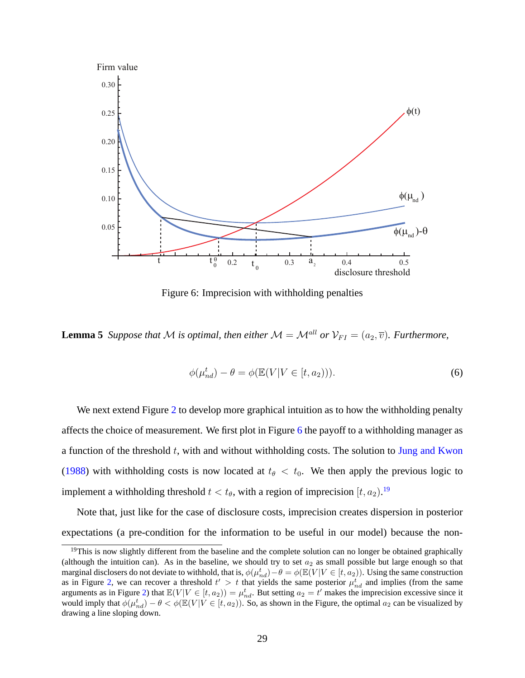

Figure 6: Imprecision with withholding penalties

**Lemma 5** *Suppose that* M *is optimal, then either*  $M = M^{all}$  *or*  $V_{FI} = (a_2, \overline{v})$ *. Furthermore,* 

$$
\phi(\mu_{nd}^t) - \theta = \phi(\mathbb{E}(V|V \in [t, a_2))).\tag{6}
$$

We next extend Figure [2](#page-19-0) to develop more graphical intuition as to how the withholding penalty affects the choice of measurement. We first plot in Figure 6 the payoff to a withholding manager as a function of the threshold t, with and without withholding costs. The solution to [Jung and Kwon](#page-67-0) ([1988\)](#page-67-0) with withholding costs is now located at  $t_{\theta} < t_0$ . We then apply the previous logic to implement a withholding threshold  $t < t_{\theta}$ , with a region of imprecision  $[t, a_2)$ .<sup>19</sup>

Note that, just like for the case of disclosure costs, imprecision creates dispersion in posterior expectations (a pre-condition for the information to be useful in our model) because the non-

<sup>&</sup>lt;sup>19</sup>This is now slightly different from the baseline and the complete solution can no longer be obtained graphically (although the intuition can). As in the baseline, we should try to set  $a_2$  as small possible but large enough so that marginal disclosers do not deviate to withhold, that is,  $\phi(\mu_{nd}^t) - \theta = \phi(\mathbb{E}(V | V \in [t, a_2))$ . Using the same construction as in Figure [2,](#page-19-0) we can recover a threshold  $t' > t$  that yields the same posterior  $\mu_{nd}^t$  and implies (from the same arguments as in Figure [2\)](#page-19-0) that  $\mathbb{E}(V|V \in [t, a_2)) = \mu_{nd}^t$ . But setting  $a_2 = t'$  makes the imprecision excessive since it would imply that  $\phi(\mu_{nd}^t) - \theta < \phi(\mathbb{E}(V | V \in [t, a_2))$ . So, as shown in the Figure, the optimal  $a_2$  can be visualized by drawing a line sloping down.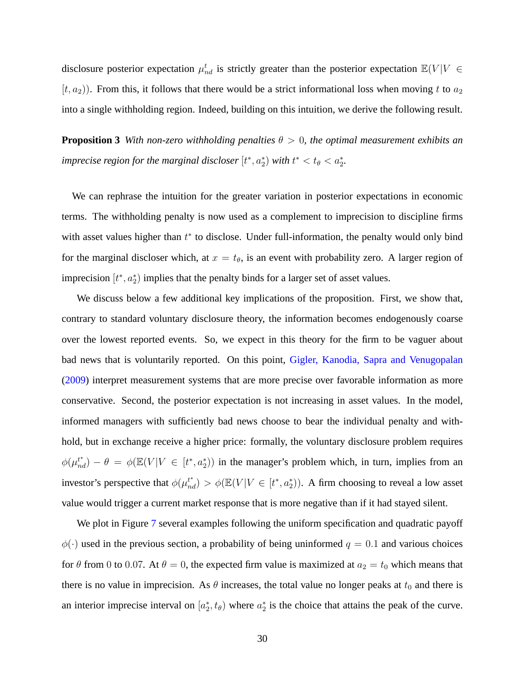<span id="page-29-0"></span>disclosure posterior expectation  $\mu_{nd}^t$  is strictly greater than the posterior expectation  $\mathbb{E}(V | V \in$  $[t, a_2)$ ). From this, it follows that there would be a strict informational loss when moving t to  $a_2$ into a single withholding region. Indeed, building on this intuition, we derive the following result.

**Proposition 3** *With non-zero withholding penalties*  $\theta > 0$ *, the optimal measurement exhibits an* imprecise region for the marginal discloser  $[t^*,a_2^*)$  with  $t^* < t_\theta < a_2^*.$ 

We can rephrase the intuition for the greater variation in posterior expectations in economic terms. The withholding penalty is now used as a complement to imprecision to discipline firms with asset values higher than  $t^*$  to disclose. Under full-information, the penalty would only bind for the marginal discloser which, at  $x = t_{\theta}$ , is an event with probability zero. A larger region of imprecision  $[t^*, a_2^*)$  implies that the penalty binds for a larger set of asset values.

We discuss below a few additional key implications of the proposition. First, we show that, contrary to standard voluntary disclosure theory, the information becomes endogenously coarse over the lowest reported events. So, we expect in this theory for the firm to be vaguer about bad news that is voluntarily reported. On this point, [Gigler, Kanodia, Sapra and Venugopalan](#page-66-0) ([2009\)](#page-66-0) interpret measurement systems that are more precise over favorable information as more conservative. Second, the posterior expectation is not increasing in asset values. In the model, informed managers with sufficiently bad news choose to bear the individual penalty and withhold, but in exchange receive a higher price: formally, the voluntary disclosure problem requires  $\phi(\mu_{nd}^{t*}) - \theta = \phi(\mathbb{E}(V | V \in [t^*, a_2^*))$  in the manager's problem which, in turn, implies from an investor's perspective that  $\phi(\mu_{nd}^{t*}) > \phi(\mathbb{E}(V|V \in [t^*, a_2^*) )$ . A firm choosing to reveal a low asset value would trigger a current market response that is more negative than if it had stayed silent.

We plot in Figure [7](#page-30-0) several examples following the uniform specification and quadratic payoff  $\phi(\cdot)$  used in the previous section, a probability of being uninformed  $q = 0.1$  and various choices for  $\theta$  from 0 to 0.07. At  $\theta = 0$ , the expected firm value is maximized at  $a_2 = t_0$  which means that there is no value in imprecision. As  $\theta$  increases, the total value no longer peaks at  $t_0$  and there is an interior imprecise interval on  $[a_2^*, t_\theta)$  where  $a_2^*$  is the choice that attains the peak of the curve.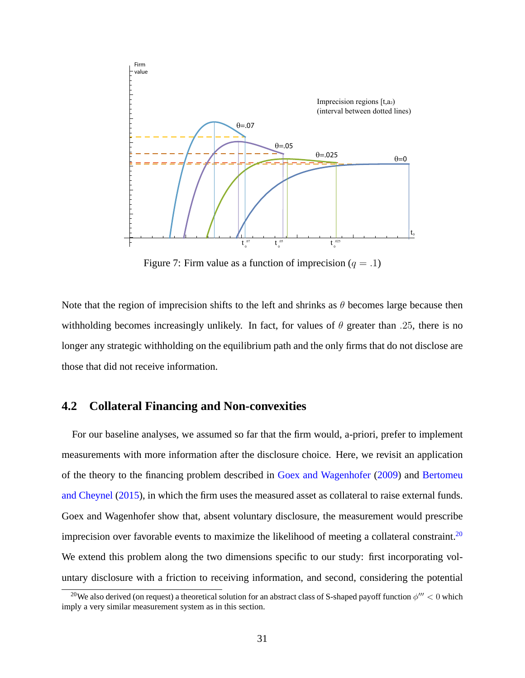<span id="page-30-0"></span>

Figure 7: Firm value as a function of imprecision ( $q = .1$ )

Note that the region of imprecision shifts to the left and shrinks as  $\theta$  becomes large because then withholding becomes increasingly unlikely. In fact, for values of  $\theta$  greater than .25, there is no longer any strategic withholding on the equilibrium path and the only firms that do not disclose are those that did not receive information.

#### **4.2 Collateral Financing and Non-convexities**

For our baseline analyses, we assumed so far that the firm would, a-priori, prefer to implement measurements with more information after the disclosure choice. Here, we revisit an application of the theory to the financing problem described in [Goex and Wagenhofer](#page-66-0) [\(2009](#page-66-0)) and [Bertomeu](#page-64-0) [and Cheynel](#page-64-0) [\(2015](#page-64-0)), in which the firm uses the measured asset as collateral to raise external funds. Goex and Wagenhofer show that, absent voluntary disclosure, the measurement would prescribe imprecision over favorable events to maximize the likelihood of meeting a collateral constraint.<sup>20</sup> We extend this problem along the two dimensions specific to our study: first incorporating voluntary disclosure with a friction to receiving information, and second, considering the potential

<sup>&</sup>lt;sup>20</sup>We also derived (on request) a theoretical solution for an abstract class of S-shaped payoff function  $\phi''' < 0$  which imply a very similar measurement system as in this section.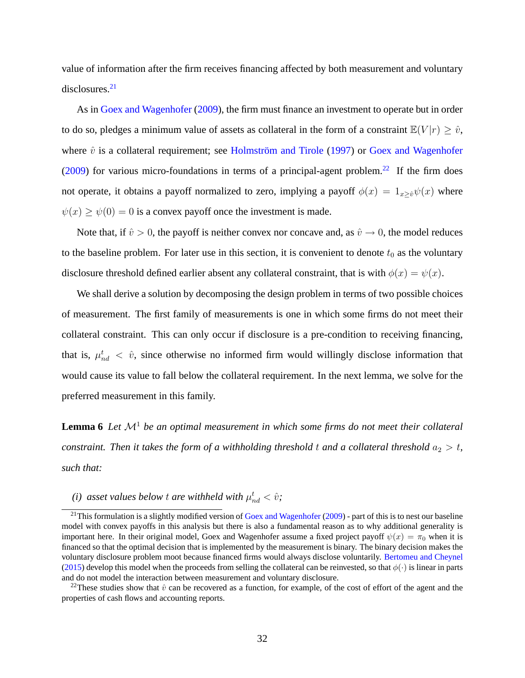value of information after the firm receives financing affected by both measurement and voluntary  $disclosures.<sup>21</sup>$ 

As in [Goex and Wagenhofer](#page-66-0) [\(2009](#page-66-0)), the firm must finance an investment to operate but in order to do so, pledges a minimum value of assets as collateral in the form of a constraint  $\mathbb{E}(V | r) \geq \hat{v}$ , where  $\hat{v}$  is a collateral requirement; see Holmström and Tirole [\(1997](#page-66-0)) or [Goex and Wagenhofer](#page-66-0) ([2009\)](#page-66-0) for various micro-foundations in terms of a principal-agent problem.<sup>22</sup> If the firm does not operate, it obtains a payoff normalized to zero, implying a payoff  $\phi(x) = 1_{x\geq \hat{v}}\psi(x)$  where  $\psi(x) \geq \psi(0) = 0$  is a convex payoff once the investment is made.

Note that, if  $\hat{v} > 0$ , the payoff is neither convex nor concave and, as  $\hat{v} \to 0$ , the model reduces to the baseline problem. For later use in this section, it is convenient to denote  $t_0$  as the voluntary disclosure threshold defined earlier absent any collateral constraint, that is with  $\phi(x) = \psi(x)$ .

We shall derive a solution by decomposing the design problem in terms of two possible choices of measurement. The first family of measurements is one in which some firms do not meet their collateral constraint. This can only occur if disclosure is a pre-condition to receiving financing, that is,  $\mu_{nd}^t < \hat{v}$ , since otherwise no informed firm would willingly disclose information that would cause its value to fall below the collateral requirement. In the next lemma, we solve for the preferred measurement in this family.

**Lemma 6** *Let* M<sup>1</sup> *be an optimal measurement in which some firms do not meet their collateral constraint. Then it takes the form of a withholding threshold t and a collateral threshold*  $a_2 > t$ , *such that:*

*(i)* asset values below t are withheld with  $\mu_{nd}^t < \hat{v}$ ;

<sup>&</sup>lt;sup>21</sup>This formulation is a slightly modified version of [Goex and Wagenhofer](#page-66-0) ([2009\)](#page-66-0) - part of this is to nest our baseline model with convex payoffs in this analysis but there is also a fundamental reason as to why additional generality is important here. In their original model, Goex and Wagenhofer assume a fixed project payoff  $\psi(x) = \pi_0$  when it is financed so that the optimal decision that is implemented by the measurement is binary. The binary decision makes the voluntary disclosure problem moot because financed firms would always disclose voluntarily. [Bertomeu and Cheynel](#page-64-0) [\(2015](#page-64-0)) develop this model when the proceeds from selling the collateral can be reinvested, so that  $\phi(\cdot)$  is linear in parts and do not model the interaction between measurement and voluntary disclosure.

<sup>&</sup>lt;sup>22</sup>These studies show that  $\hat{v}$  can be recovered as a function, for example, of the cost of effort of the agent and the properties of cash flows and accounting reports.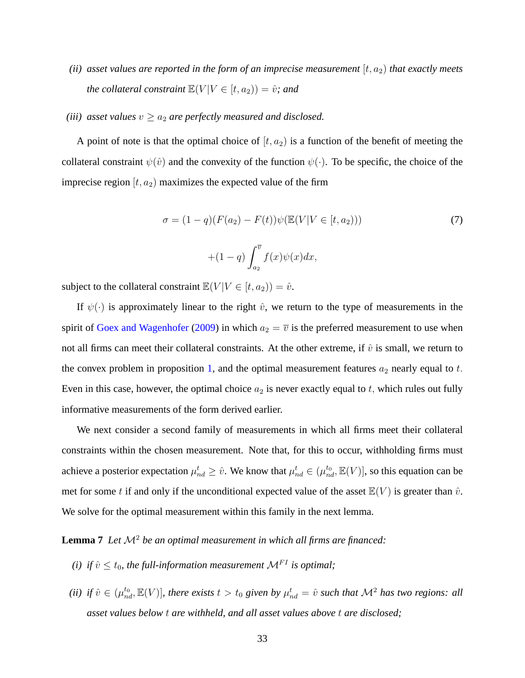<span id="page-32-0"></span>*(ii) asset values are reported in the form of an imprecise measurement*  $[t, a_2)$  *that exactly meets the collateral constraint*  $\mathbb{E}(V | V \in [t, a_2)) = \hat{v}$ *; and* 

#### *(iii)* asset values  $v \ge a_2$  are perfectly measured and disclosed.

A point of note is that the optimal choice of  $[t, a_2)$  is a function of the benefit of meeting the collateral constraint  $\psi(\hat{v})$  and the convexity of the function  $\psi(\cdot)$ . To be specific, the choice of the imprecise region  $[t, a_2)$  maximizes the expected value of the firm

$$
\sigma = (1 - q)(F(a_2) - F(t))\psi(\mathbb{E}(V|V \in [t, a_2)))
$$

$$
+ (1 - q) \int_{a_2}^{\overline{v}} f(x)\psi(x)dx,
$$
\n(7)

subject to the collateral constraint  $\mathbb{E}(V | V \in [t, a_2)) = \hat{v}$ .

If  $\psi(\cdot)$  is approximately linear to the right  $\hat{v}$ , we return to the type of measurements in the spirit of [Goex and Wagenhofer](#page-66-0) [\(2009](#page-66-0)) in which  $a_2 = \overline{v}$  is the preferred measurement to use when not all firms can meet their collateral constraints. At the other extreme, if  $\hat{v}$  is small, we return to the convex problem in proposition [1,](#page-20-0) and the optimal measurement features  $a_2$  nearly equal to t. Even in this case, however, the optimal choice  $a_2$  is never exactly equal to t, which rules out fully informative measurements of the form derived earlier.

We next consider a second family of measurements in which all firms meet their collateral constraints within the chosen measurement. Note that, for this to occur, withholding firms must achieve a posterior expectation  $\mu_{nd}^t \geq \hat{v}$ . We know that  $\mu_{nd}^t \in (\mu_{nd}^{t_0}, \mathbb{E}(V)]$ , so this equation can be met for some t if and only if the unconditional expected value of the asset  $\mathbb{E}(V)$  is greater than  $\hat{v}$ . We solve for the optimal measurement within this family in the next lemma.

**Lemma 7** *Let* M<sup>2</sup> *be an optimal measurement in which all firms are financed:*

- *(i) if*  $\hat{v} \le t_0$ *, the full-information measurement*  $\mathcal{M}^{FI}$  *is optimal*;
- (*ii*) if  $\hat{v} \in (\mu_{nd}^{t_0}, \mathbb{E}(V)]$ , there exists  $t > t_0$  given by  $\mu_{nd}^t = \hat{v}$  such that  $\mathcal{M}^2$  has two regions: all *asset values below* t *are withheld, and all asset values above* t *are disclosed;*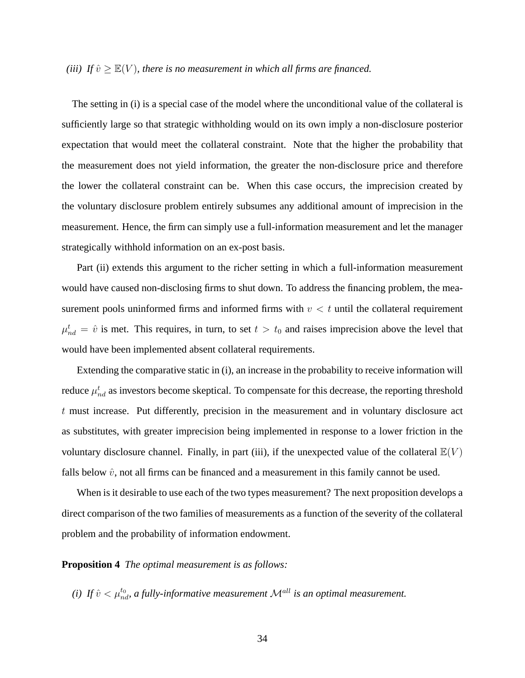#### <span id="page-33-0"></span>*(iii)* If  $\hat{v} \geq \mathbb{E}(V)$ *, there is no measurement in which all firms are financed.*

The setting in (i) is a special case of the model where the unconditional value of the collateral is sufficiently large so that strategic withholding would on its own imply a non-disclosure posterior expectation that would meet the collateral constraint. Note that the higher the probability that the measurement does not yield information, the greater the non-disclosure price and therefore the lower the collateral constraint can be. When this case occurs, the imprecision created by the voluntary disclosure problem entirely subsumes any additional amount of imprecision in the measurement. Hence, the firm can simply use a full-information measurement and let the manager strategically withhold information on an ex-post basis.

Part (ii) extends this argument to the richer setting in which a full-information measurement would have caused non-disclosing firms to shut down. To address the financing problem, the measurement pools uninformed firms and informed firms with  $v < t$  until the collateral requirement  $\mu_{nd}^t = \hat{v}$  is met. This requires, in turn, to set  $t > t_0$  and raises imprecision above the level that would have been implemented absent collateral requirements.

Extending the comparative static in (i), an increase in the probability to receive information will reduce  $\mu_{nd}^t$  as investors become skeptical. To compensate for this decrease, the reporting threshold  $t$  must increase. Put differently, precision in the measurement and in voluntary disclosure act as substitutes, with greater imprecision being implemented in response to a lower friction in the voluntary disclosure channel. Finally, in part (iii), if the unexpected value of the collateral  $\mathbb{E}(V)$ falls below  $\hat{v}$ , not all firms can be financed and a measurement in this family cannot be used.

When is it desirable to use each of the two types measurement? The next proposition develops a direct comparison of the two families of measurements as a function of the severity of the collateral problem and the probability of information endowment.

#### **Proposition 4** *The optimal measurement is as follows:*

*(i)* If  $\hat{v} < \mu_{nd}^{t_0}$ , a fully-informative measurement  $\mathcal{M}^{all}$  is an optimal measurement.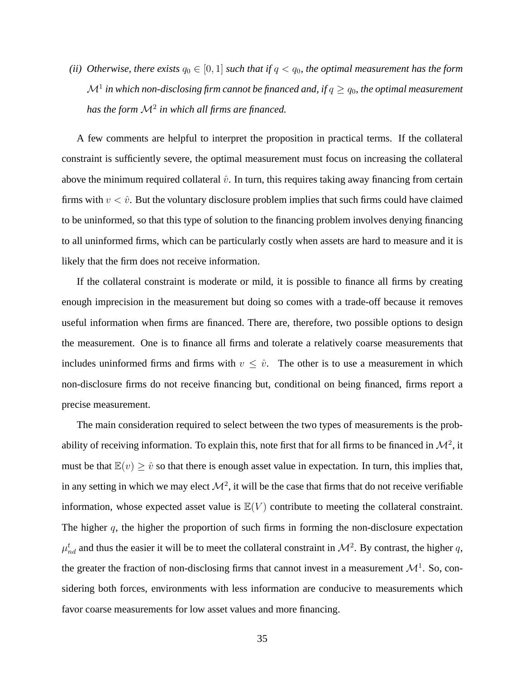*(ii) Otherwise, there exists*  $q_0 \in [0, 1]$  *such that if*  $q < q_0$ *, the optimal measurement has the form*  $\mathcal{M}^1$  in which non-disclosing firm cannot be financed and, if  $q \geq q_0$ , the optimal measurement *has the form* M<sup>2</sup> *in which all firms are financed.*

A few comments are helpful to interpret the proposition in practical terms. If the collateral constraint is sufficiently severe, the optimal measurement must focus on increasing the collateral above the minimum required collateral  $\hat{v}$ . In turn, this requires taking away financing from certain firms with  $v < \hat{v}$ . But the voluntary disclosure problem implies that such firms could have claimed to be uninformed, so that this type of solution to the financing problem involves denying financing to all uninformed firms, which can be particularly costly when assets are hard to measure and it is likely that the firm does not receive information.

If the collateral constraint is moderate or mild, it is possible to finance all firms by creating enough imprecision in the measurement but doing so comes with a trade-off because it removes useful information when firms are financed. There are, therefore, two possible options to design the measurement. One is to finance all firms and tolerate a relatively coarse measurements that includes uninformed firms and firms with  $v \leq \hat{v}$ . The other is to use a measurement in which non-disclosure firms do not receive financing but, conditional on being financed, firms report a precise measurement.

The main consideration required to select between the two types of measurements is the probability of receiving information. To explain this, note first that for all firms to be financed in  $\mathcal{M}^2$ , it must be that  $\mathbb{E}(v) \geq \hat{v}$  so that there is enough asset value in expectation. In turn, this implies that, in any setting in which we may elect  $\mathcal{M}^2$ , it will be the case that firms that do not receive verifiable information, whose expected asset value is  $\mathbb{E}(V)$  contribute to meeting the collateral constraint. The higher  $q$ , the higher the proportion of such firms in forming the non-disclosure expectation  $\mu_{nd}^t$  and thus the easier it will be to meet the collateral constraint in  $\mathcal{M}^2$ . By contrast, the higher q, the greater the fraction of non-disclosing firms that cannot invest in a measurement  $\mathcal{M}^1$ . So, considering both forces, environments with less information are conducive to measurements which favor coarse measurements for low asset values and more financing.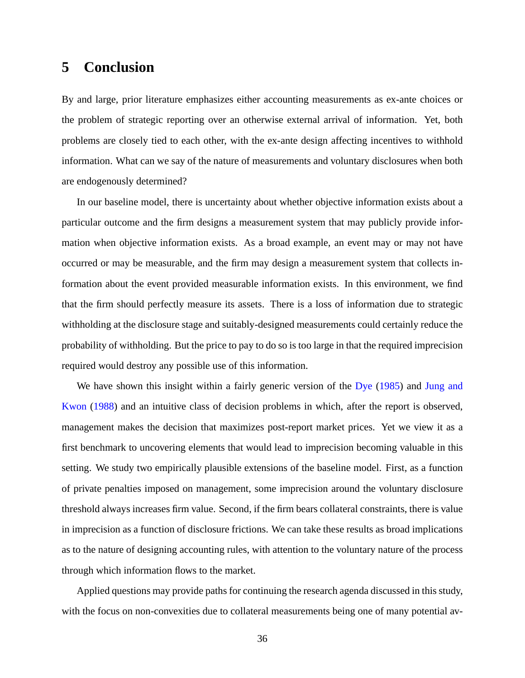# **5 Conclusion**

By and large, prior literature emphasizes either accounting measurements as ex-ante choices or the problem of strategic reporting over an otherwise external arrival of information. Yet, both problems are closely tied to each other, with the ex-ante design affecting incentives to withhold information. What can we say of the nature of measurements and voluntary disclosures when both are endogenously determined?

In our baseline model, there is uncertainty about whether objective information exists about a particular outcome and the firm designs a measurement system that may publicly provide information when objective information exists. As a broad example, an event may or may not have occurred or may be measurable, and the firm may design a measurement system that collects information about the event provided measurable information exists. In this environment, we find that the firm should perfectly measure its assets. There is a loss of information due to strategic withholding at the disclosure stage and suitably-designed measurements could certainly reduce the probability of withholding. But the price to pay to do so is too large in that the required imprecision required would destroy any possible use of this information.

We have shown this insight within a fairly generic version of the [Dye](#page-65-0) ([1985](#page-65-0)) and [Jung and](#page-67-0) [Kwon](#page-67-0) [\(1988](#page-67-0)) and an intuitive class of decision problems in which, after the report is observed, management makes the decision that maximizes post-report market prices. Yet we view it as a first benchmark to uncovering elements that would lead to imprecision becoming valuable in this setting. We study two empirically plausible extensions of the baseline model. First, as a function of private penalties imposed on management, some imprecision around the voluntary disclosure threshold always increases firm value. Second, if the firm bears collateral constraints, there is value in imprecision as a function of disclosure frictions. We can take these results as broad implications as to the nature of designing accounting rules, with attention to the voluntary nature of the process through which information flows to the market.

Applied questions may provide paths for continuing the research agenda discussed in this study, with the focus on non-convexities due to collateral measurements being one of many potential av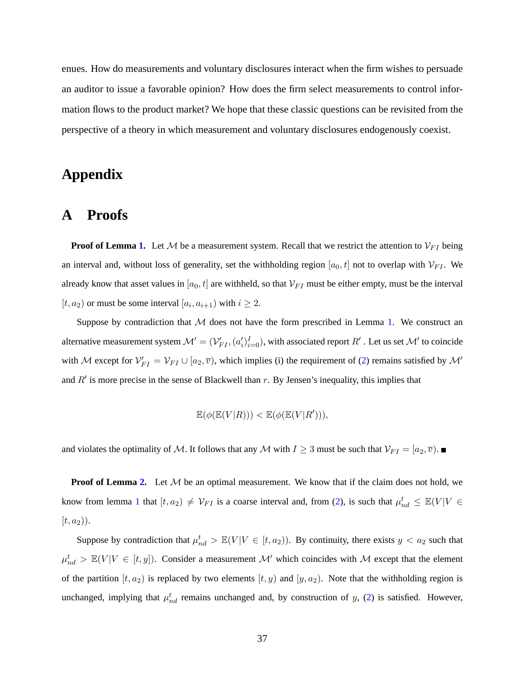enues. How do measurements and voluntary disclosures interact when the firm wishes to persuade an auditor to issue a favorable opinion? How does the firm select measurements to control information flows to the product market? We hope that these classic questions can be revisited from the perspective of a theory in which measurement and voluntary disclosures endogenously coexist.

# **Appendix**

# **A Proofs**

**Proof of Lemma [1](#page-47-0).** Let M be a measurement system. Recall that we restrict the attention to  $V_{FI}$  being an interval and, without loss of generality, set the withholding region  $[a_0, t]$  not to overlap with  $V_{FI}$ . We already know that asset values in  $[a_0, t]$  are withheld, so that  $V_{FI}$  must be either empty, must be the interval  $[t, a_2)$  or must be some interval  $[a_i, a_{i+1})$  with  $i \geq 2$ .

Suppose by contradiction that  $M$  does not have the form prescribed in Lemma [1.](#page-47-0) We construct an alternative measurement system  $\mathcal{M}' = (\mathcal{V}'_{FI}, (a'_i)_{i=0}^I)$ , with associated report  $R'$ . Let us set  $\mathcal{M}'$  to coincide with M except for  $\mathcal{V}_{FI}' = \mathcal{V}_{FI} \cup [a_2, \overline{v})$  $\mathcal{V}_{FI}' = \mathcal{V}_{FI} \cup [a_2, \overline{v})$  $\mathcal{V}_{FI}' = \mathcal{V}_{FI} \cup [a_2, \overline{v})$ , which implies (i) the requirement of (2) remains satisfied by M' and  $R'$  is more precise in the sense of Blackwell than r. By Jensen's inequality, this implies that

$$
\mathbb{E}(\phi(\mathbb{E}(V|R))) < \mathbb{E}(\phi(\mathbb{E}(V|R'))),
$$

and violates the optimality of M. It follows that any M with  $I \geq 3$  must be such that  $V_{FI} = [a_2, \overline{v})$ .

**Proof of Lemma [2.](#page-49-0)** Let M be an optimal measurement. We know that if the claim does not hold, we know from lemma [1](#page-47-0) that  $[t, a_2) \neq V_{FI}$  is a coarse interval and, from [\(2\)](#page-17-0), is such that  $\mu_{nd}^t \leq \mathbb{E}(V | V \in$  $[t, a_2)$ ).

Suppose by contradiction that  $\mu_{nd}^t > \mathbb{E}(V|V \in [t, a_2))$ . By continuity, there exists  $y < a_2$  such that  $\mu_{nd}^t$  >  $\mathbb{E}(V|V \in [t, y])$ . Consider a measurement M' which coincides with M except that the element of the partition  $[t, a_2)$  is replaced by two elements  $[t, y)$  and  $[y, a_2)$ . Note that the withholding region is unchanged, implying that  $\mu_{nd}^t$  remains unchanged and, by construction of y, ([2](#page-17-0)) is satisfied. However,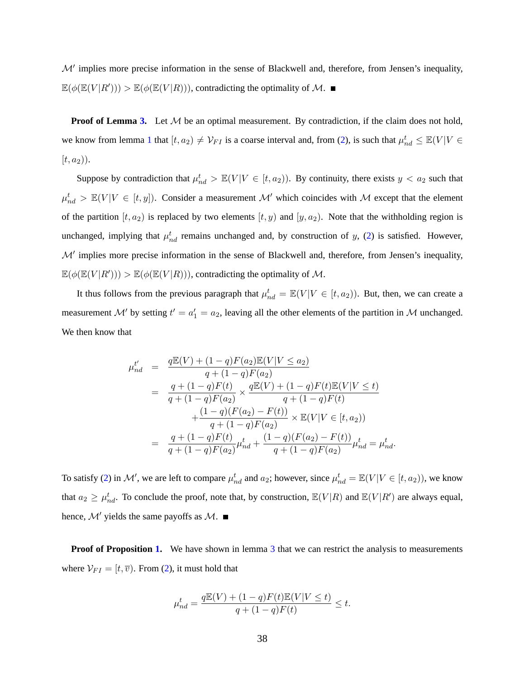$M'$  implies more precise information in the sense of Blackwell and, therefore, from Jensen's inequality,  $\mathbb{E}(\phi(\mathbb{E}(V|R'))) > \mathbb{E}(\phi(\mathbb{E}(V|R))),$  contradicting the optimality of  $\mathcal{M}$ .

**Proof of Lemma [3.](#page-53-0)** Let M be an optimal measurement. By contradiction, if the claim does not hold, we know from lemma [1](#page-47-0) that  $[t, a_2) \neq V_{FI}$  is a coarse interval and, from [\(2\)](#page-17-0), is such that  $\mu_{nd}^t \leq \mathbb{E}(V | V \in$  $[t, a_2)$ ).

Suppose by contradiction that  $\mu_{nd}^t > \mathbb{E}(V|V \in [t, a_2))$ . By continuity, there exists  $y < a_2$  such that  $\mu_{nd}^t$  >  $\mathbb{E}(V|V \in [t, y])$ . Consider a measurement M' which coincides with M except that the element of the partition  $[t, a_2)$  is replaced by two elements  $[t, y)$  and  $[y, a_2)$ . Note that the withholding region is unchanged, implying that  $\mu_{nd}^t$  remains unchanged and, by construction of y, ([2](#page-17-0)) is satisfied. However,  $\mathcal{M}'$  implies more precise information in the sense of Blackwell and, therefore, from Jensen's inequality,  $\mathbb{E}(\phi(\mathbb{E}(V|R'))) > \mathbb{E}(\phi(\mathbb{E}(V|R))),$  contradicting the optimality of  $\mathcal{M}$ .

It thus follows from the previous paragraph that  $\mu_{nd}^t = \mathbb{E}(V | V \in [t, a_2))$ . But, then, we can create a measurement M' by setting  $t' = a_1' = a_2$ , leaving all the other elements of the partition in M unchanged. We then know that

$$
\mu_{nd}^{t'} = \frac{q\mathbb{E}(V) + (1-q)F(a_2)\mathbb{E}(V|V \le a_2)}{q + (1-q)F(a_2)}
$$
  
\n
$$
= \frac{q + (1-q)F(t)}{q + (1-q)F(a_2)} \times \frac{q\mathbb{E}(V) + (1-q)F(t)\mathbb{E}(V|V \le t)}{q + (1-q)F(t)}
$$
  
\n
$$
+ \frac{(1-q)(F(a_2) - F(t))}{q + (1-q)F(a_2)} \times \mathbb{E}(V|V \in [t, a_2))
$$
  
\n
$$
= \frac{q + (1-q)F(t)}{q + (1-q)F(a_2)} \mu_{nd}^t + \frac{(1-q)(F(a_2) - F(t))}{q + (1-q)F(a_2)} \mu_{nd}^t = \mu_{nd}^t.
$$

To satisfy ([2](#page-17-0)) in M', we are left to compare  $\mu_{nd}^t$  and  $a_2$ ; however, since  $\mu_{nd}^t = \mathbb{E}(V|V \in [t, a_2))$ , we know that  $a_2 \ge \mu_{nd}^t$ . To conclude the proof, note that, by construction,  $\mathbb{E}(V|R)$  and  $\mathbb{E}(V|R')$  are always equal, hence,  $\mathcal{M}'$  yields the same payoffs as  $\mathcal{M}$ .

**Proof of Proposition [1](#page-20-0).** We have shown in lemma [3](#page-53-0) that we can restrict the analysis to measurements where  $V_{FI} = [t, \overline{v})$ . From ([2](#page-17-0)), it must hold that

$$
\mu_{nd}^{t} = \frac{q \mathbb{E}(V) + (1-q)F(t)\mathbb{E}(V|V \le t)}{q + (1-q)F(t)} \le t.
$$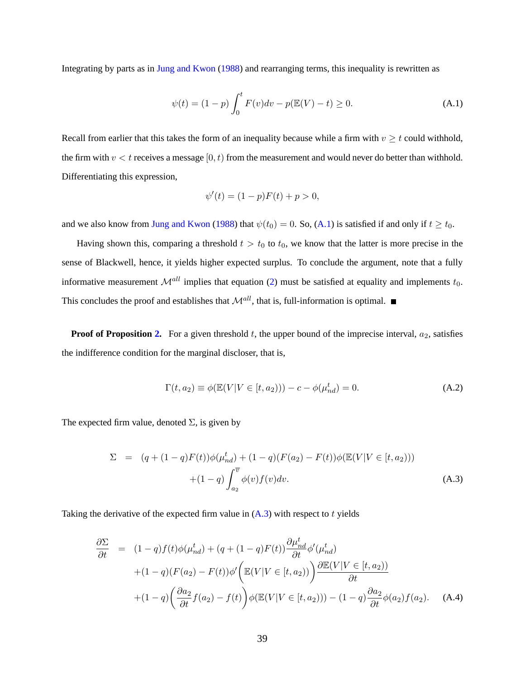<span id="page-38-0"></span>Integrating by parts as in [Jung and Kwon](#page-67-0) ([1988\)](#page-67-0) and rearranging terms, this inequality is rewritten as

$$
\psi(t) = (1 - p) \int_0^t F(v) dv - p(\mathbb{E}(V) - t) \ge 0.
$$
 (A.1)

Recall from earlier that this takes the form of an inequality because while a firm with  $v \ge t$  could withhold, the firm with  $v < t$  receives a message  $[0, t)$  from the measurement and would never do better than withhold. Differentiating this expression,

$$
\psi'(t) = (1 - p)F(t) + p > 0,
$$

and we also know from [Jung and Kwon](#page-67-0) ([1988](#page-67-0)) that  $\psi(t_0) = 0$ . So, (A.1) is satisfied if and only if  $t \ge t_0$ .

Having shown this, comparing a threshold  $t > t_0$  to  $t_0$ , we know that the latter is more precise in the sense of Blackwell, hence, it yields higher expected surplus. To conclude the argument, note that a fully informative measurement  $\mathcal{M}^{all}$  implies that equation ([2](#page-17-0)) must be satisfied at equality and implements  $t_0$ . This concludes the proof and establishes that  $\mathcal{M}^{all}$ , that is, full-information is optimal.

**Proof of Proposition [2.](#page-22-0)** For a given threshold  $t$ , the upper bound of the imprecise interval,  $a_2$ , satisfies the indifference condition for the marginal discloser, that is,

$$
\Gamma(t, a_2) \equiv \phi(\mathbb{E}(V|V \in [t, a_2))) - c - \phi(\mu_{nd}^t) = 0.
$$
 (A.2)

The expected firm value, denoted  $\Sigma$ , is given by

$$
\Sigma = (q + (1 - q)F(t))\phi(\mu_{nd}^t) + (1 - q)(F(a_2) - F(t))\phi(\mathbb{E}(V|V \in [t, a_2)))
$$
  
 
$$
+ (1 - q)\int_{a_2}^{\overline{v}} \phi(v)f(v)dv.
$$
 (A.3)

Taking the derivative of the expected firm value in  $(A.3)$  with respect to t yields

$$
\frac{\partial \Sigma}{\partial t} = (1-q)f(t)\phi(\mu_{nd}^t) + (q + (1-q)F(t))\frac{\partial \mu_{nd}^t}{\partial t}\phi'(\mu_{nd}^t) \n+ (1-q)(F(a_2) - F(t))\phi'\left(\mathbb{E}(V|V \in [t, a_2))\right)\frac{\partial \mathbb{E}(V|V \in [t, a_2))}{\partial t} \n+ (1-q)\left(\frac{\partial a_2}{\partial t}f(a_2) - f(t)\right)\phi(\mathbb{E}(V|V \in [t, a_2))) - (1-q)\frac{\partial a_2}{\partial t}\phi(a_2)f(a_2).
$$
\n(A.4)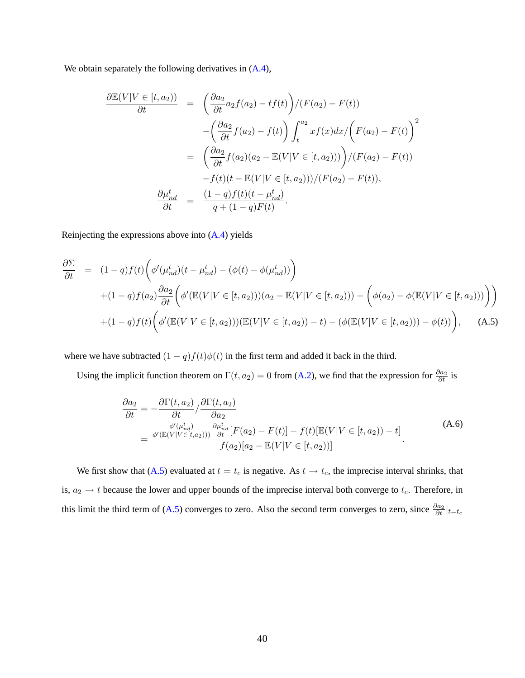<span id="page-39-0"></span>We obtain separately the following derivatives in  $(A.4)$  $(A.4)$ ,

$$
\frac{\partial \mathbb{E}(V|V \in [t, a_2))}{\partial t} = \left(\frac{\partial a_2}{\partial t} a_2 f(a_2) - tf(t)\right) / (F(a_2) - F(t))
$$

$$
-\left(\frac{\partial a_2}{\partial t} f(a_2) - f(t)\right) \int_t^{a_2} x f(x) dx / (F(a_2) - F(t))
$$

$$
= \left(\frac{\partial a_2}{\partial t} f(a_2)(a_2 - \mathbb{E}(V|V \in [t, a_2)))\right) / (F(a_2) - F(t))
$$

$$
-f(t)(t - \mathbb{E}(V|V \in [t, a_2))) / (F(a_2) - F(t)),
$$

$$
\frac{\partial \mu_{nd}^t}{\partial t} = \frac{(1-q) f(t)(t - \mu_{nd}^t)}{q + (1-q) F(t)}.
$$

Reinjecting the expressions above into [\(A.4](#page-38-0)) yields

$$
\frac{\partial \Sigma}{\partial t} = (1-q)f(t)\left(\phi'(\mu_{nd}^t)(t-\mu_{nd}^t) - (\phi(t) - \phi(\mu_{nd}^t))\right) \n+ (1-q)f(a_2)\frac{\partial a_2}{\partial t}\left(\phi'(\mathbb{E}(V|V \in [t, a_2)))(a_2 - \mathbb{E}(V|V \in [t, a_2))) - (\phi(a_2) - \phi(\mathbb{E}(V|V \in [t, a_2)))\right) \n+ (1-q)f(t)\left(\phi'(\mathbb{E}(V|V \in [t, a_2)))(\mathbb{E}(V|V \in [t, a_2)) - t) - (\phi(\mathbb{E}(V|V \in [t, a_2))) - \phi(t))\right), \quad (A.5)
$$

where we have subtracted  $(1 - q)f(t)\phi(t)$  in the first term and added it back in the third.

Using the implicit function theorem on  $\Gamma(t, a_2) = 0$  from [\(A.2](#page-38-0)), we find that the expression for  $\frac{\partial a_2}{\partial t}$  is

$$
\frac{\partial a_2}{\partial t} = -\frac{\partial \Gamma(t, a_2)}{\partial t} / \frac{\partial \Gamma(t, a_2)}{\partial a_2}
$$
\n
$$
= \frac{\frac{\phi'(\mu_{nd}^t)}{\phi'(\mathbb{E}(V|V \in [t, a_2)))} \frac{\partial \mu_{nd}^t}{\partial t} [F(a_2) - F(t)] - f(t)[\mathbb{E}(V|V \in [t, a_2)) - t]}{f(a_2)[a_2 - \mathbb{E}(V|V \in [t, a_2))]}.
$$
\n(A.6)

We first show that (A.5) evaluated at  $t = t_c$  is negative. As  $t \to t_c$ , the imprecise interval shrinks, that is,  $a_2 \rightarrow t$  because the lower and upper bounds of the imprecise interval both converge to  $t_c$ . Therefore, in this limit the third term of (A.5) converges to zero. Also the second term converges to zero, since  $\frac{\partial a_2}{\partial t}|_{t=t_c}$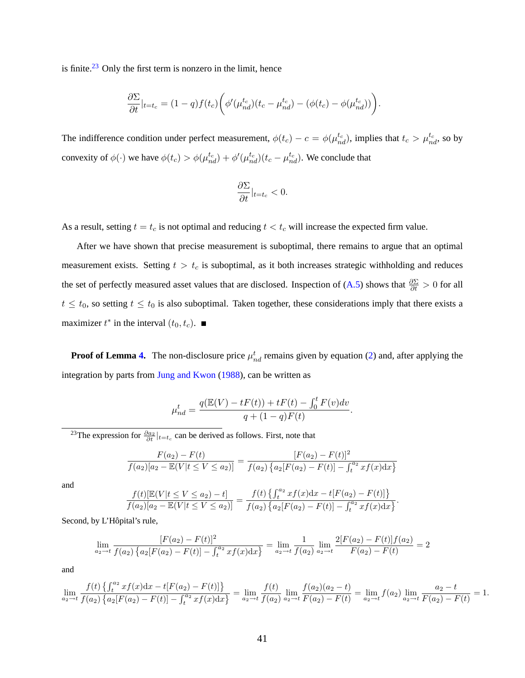is finite. $^{23}$  Only the first term is nonzero in the limit, hence

$$
\frac{\partial \Sigma}{\partial t}\Big|_{t=t_c} = (1-q)f(t_c)\bigg(\phi'(\mu_{nd}^{t_c})(t_c-\mu_{nd}^{t_c})-(\phi(t_c)-\phi(\mu_{nd}^{t_c}))\bigg).
$$

The indifference condition under perfect measurement,  $\phi(t_c) - c = \phi(\mu_{nd}^{t_c})$ , implies that  $t_c > \mu_{nd}^{t_c}$ , so by convexity of  $\phi(\cdot)$  we have  $\phi(t_c) > \phi(\mu_{nd}^{t_c}) + \phi'(\mu_{nd}^{t_c}) (t_c - \mu_{nd}^{t_c})$ . We conclude that

$$
\frac{\partial \Sigma}{\partial t}|_{t=t_c} < 0.
$$

As a result, setting  $t = t_c$  is not optimal and reducing  $t < t_c$  will increase the expected firm value.

After we have shown that precise measurement is suboptimal, there remains to argue that an optimal measurement exists. Setting  $t > t_c$  is suboptimal, as it both increases strategic withholding and reduces the set of perfectly measured asset values that are disclosed. Inspection of  $(A.5)$  $(A.5)$  shows that  $\frac{\partial \Sigma}{\partial t} > 0$  for all  $t \le t_0$ , so setting  $t \le t_0$  is also suboptimal. Taken together, these considerations imply that there exists a maximizer  $t^*$  in the interval  $(t_0, t_c)$ .

**Proof of Lemma [4](#page-53-0).** The non-disclosure price  $\mu_{nd}^t$  remains given by equation ([2](#page-17-0)) and, after applying the integration by parts from [Jung and Kwon](#page-67-0) [\(1988\)](#page-67-0), can be written as

$$
\mu_{nd}^t = \frac{q(\mathbb{E}(V) - tF(t)) + tF(t) - \int_0^t F(v)dv}{q + (1 - q)F(t)}.
$$

<sup>23</sup>The expression for  $\frac{\partial a_2}{\partial t}|_{t=t_c}$  can be derived as follows. First, note that

$$
\frac{F(a_2) - F(t)}{f(a_2)[a_2 - \mathbb{E}(V|t \le V \le a_2)]} = \frac{[F(a_2) - F(t)]^2}{f(a_2)\{a_2[F(a_2) - F(t)] - \int_t^{a_2} x f(x) \mathrm{d}x\}}
$$

and

$$
\frac{f(t)[\mathbb{E}(V|t\leq V\leq a_2)-t]}{f(a_2)[a_2-\mathbb{E}(V|t\leq V\leq a_2)]}=\frac{f(t)\left\{\int_t^{a_2}xf(x)\mathrm{d}x-t[F(a_2)-F(t)]\right\}}{f(a_2)\left\{a_2[F(a_2)-F(t)]-\int_t^{a_2}xf(x)\mathrm{d}x\right\}}.
$$

Second, by L'Hôpital's rule,

$$
\lim_{a_2 \to t} \frac{[F(a_2) - F(t)]^2}{f(a_2) \{a_2[F(a_2) - F(t)] - \int_t^{a_2} x f(x) dx\}} = \lim_{a_2 \to t} \frac{1}{f(a_2)} \lim_{a_2 \to t} \frac{2[F(a_2) - F(t)]f(a_2)}{F(a_2) - F(t)} = 2
$$

and

$$
\lim_{a_2 \to t} \frac{f(t) \left\{ \int_t^{a_2} x f(x) dx - t[F(a_2) - F(t)] \right\}}{f(a_2) \left\{ a_2 [F(a_2) - F(t)] - \int_t^{a_2} x f(x) dx \right\}} = \lim_{a_2 \to t} \frac{f(t)}{f(a_2)} \lim_{a_2 \to t} \frac{f(a_2)(a_2 - t)}{F(a_2) - F(t)} = \lim_{a_2 \to t} f(a_2) \lim_{a_2 \to t} \frac{a_2 - t}{F(a_2) - F(t)} = 1.
$$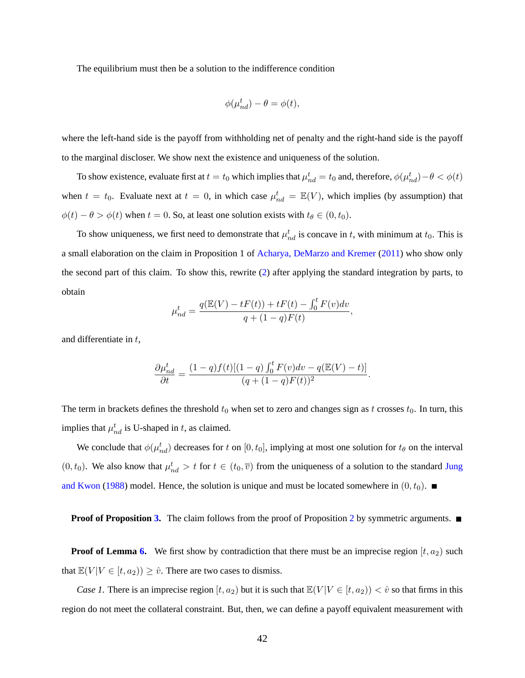The equilibrium must then be a solution to the indifference condition

$$
\phi(\mu_{nd}^t) - \theta = \phi(t),
$$

where the left-hand side is the payoff from withholding net of penalty and the right-hand side is the payoff to the marginal discloser. We show next the existence and uniqueness of the solution.

To show existence, evaluate first at  $t = t_0$  which implies that  $\mu_{nd}^t = t_0$  and, therefore,  $\phi(\mu_{nd}^t) - \theta < \phi(t)$ when  $t = t_0$ . Evaluate next at  $t = 0$ , in which case  $\mu_{nd}^t = \mathbb{E}(V)$ , which implies (by assumption) that  $\phi(t) - \theta > \phi(t)$  when  $t = 0$ . So, at least one solution exists with  $t_{\theta} \in (0, t_0)$ .

To show uniqueness, we first need to demonstrate that  $\mu_{nd}^t$  is concave in t, with minimum at  $t_0$ . This is a small elaboration on the claim in Proposition 1 of [Acharya, DeMarzo and Kremer](#page-64-0) [\(2011\)](#page-64-0) who show only the second part of this claim. To show this, rewrite ([2](#page-17-0)) after applying the standard integration by parts, to obtain

$$
\mu_{nd}^t = \frac{q(\mathbb{E}(V) - tF(t)) + tF(t) - \int_0^t F(v)dv}{q + (1 - q)F(t)},
$$

and differentiate in  $t$ ,

$$
\frac{\partial \mu_{nd}^t}{\partial t} = \frac{(1-q)f(t)[(1-q)\int_0^t F(v)dv - q(\mathbb{E}(V) - t)]}{(q + (1-q)F(t))^2}.
$$

The term in brackets defines the threshold  $t_0$  when set to zero and changes sign as t crosses  $t_0$ . In turn, this implies that  $\mu_{nd}^t$  is U-shaped in t, as claimed.

We conclude that  $\phi(\mu_{nd}^t)$  decreases for t on  $[0, t_0]$ , implying at most one solution for  $t_\theta$  on the interval  $(0, t_0)$ . We also know that  $\mu_{nd}^t > t$  for  $t \in (t_0, \overline{v})$  from the uniqueness of a solution to the standard [Jung](#page-67-0) [and Kwon](#page-67-0) [\(1988](#page-67-0)) model. Hence, the solution is unique and must be located somewhere in  $(0, t_0)$ .

**Proof of Proposition [3](#page-29-0).** The claim follows from the proof of Proposition [2](#page-22-0) by symmetric arguments. ■

**Proof of Lemma [6](#page-55-0).** We first show by contradiction that there must be an imprecise region  $[t, a_2)$  such that  $\mathbb{E}(V | V \in [t, a_2)) \ge \hat{v}$ . There are two cases to dismiss.

*Case 1.* There is an imprecise region  $[t, a_2)$  but it is such that  $\mathbb{E}(V | V \in [t, a_2)) < \hat{v}$  so that firms in this region do not meet the collateral constraint. But, then, we can define a payoff equivalent measurement with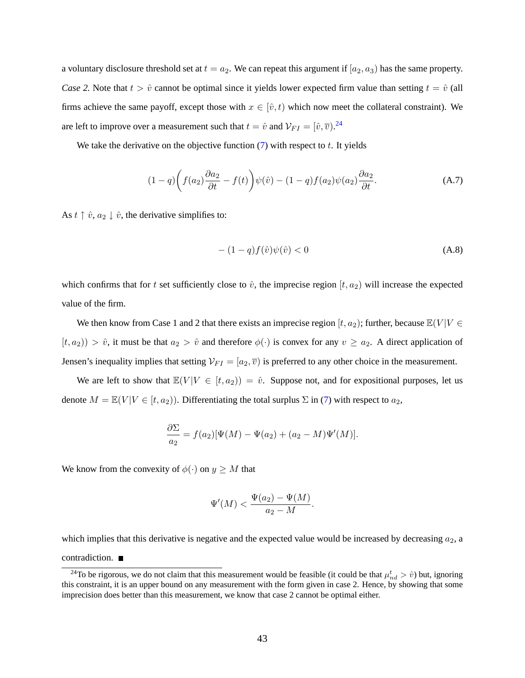a voluntary disclosure threshold set at  $t = a_2$ . We can repeat this argument if  $[a_2, a_3]$  has the same property. *Case 2.* Note that  $t > \hat{v}$  cannot be optimal since it yields lower expected firm value than setting  $t = \hat{v}$  (all firms achieve the same payoff, except those with  $x \in [\hat{v}, t)$  which now meet the collateral constraint). We are left to improve over a measurement such that  $t = \hat{v}$  and  $\mathcal{V}_{FI} = [\hat{v}, \overline{v})$ .<sup>24</sup>

We take the derivative on the objective function  $(7)$  with respect to t. It yields

$$
(1-q)\left(f(a_2)\frac{\partial a_2}{\partial t} - f(t)\right)\psi(\hat{v}) - (1-q)f(a_2)\psi(a_2)\frac{\partial a_2}{\partial t}.
$$
\n(A.7)

As  $t \uparrow \hat{v}$ ,  $a_2 \downarrow \hat{v}$ , the derivative simplifies to:

$$
-(1-q)f(\hat{v})\psi(\hat{v})<0
$$
\n(A.8)

which confirms that for t set sufficiently close to  $\hat{v}$ , the imprecise region  $[t, a_2)$  will increase the expected value of the firm.

We then know from Case 1 and 2 that there exists an imprecise region [t, a<sub>2</sub>); further, because  $\mathbb{E}(V | V \in$  $[t, a_2)$ ) >  $\hat{v}$ , it must be that  $a_2 > \hat{v}$  and therefore  $\phi(\cdot)$  is convex for any  $v \ge a_2$ . A direct application of Jensen's inequality implies that setting  $V_{FI} = [a_2, \overline{v}]$  is preferred to any other choice in the measurement.

We are left to show that  $\mathbb{E}(V | V \in [t, a_2)) = \hat{v}$ . Suppose not, and for expositional purposes, let us denote  $M = \mathbb{E}(V | V \in [t, a_2))$ . Differentiating the total surplus  $\Sigma$  in ([7](#page-32-0)) with respect to  $a_2$ ,

$$
\frac{\partial \Sigma}{a_2} = f(a_2)[\Psi(M) - \Psi(a_2) + (a_2 - M)\Psi'(M)].
$$

We know from the convexity of  $\phi(\cdot)$  on  $y \geq M$  that

$$
\Psi'(M) < \frac{\Psi(a_2) - \Psi(M)}{a_2 - M}.
$$

which implies that this derivative is negative and the expected value would be increased by decreasing  $a_2$ , a contradiction.

<sup>&</sup>lt;sup>24</sup>To be rigorous, we do not claim that this measurement would be feasible (it could be that  $\mu_{nd}^t > \hat{v}$ ) but, ignoring this constraint, it is an upper bound on any measurement with the form given in case 2. Hence, by showing that some imprecision does better than this measurement, we know that case 2 cannot be optimal either.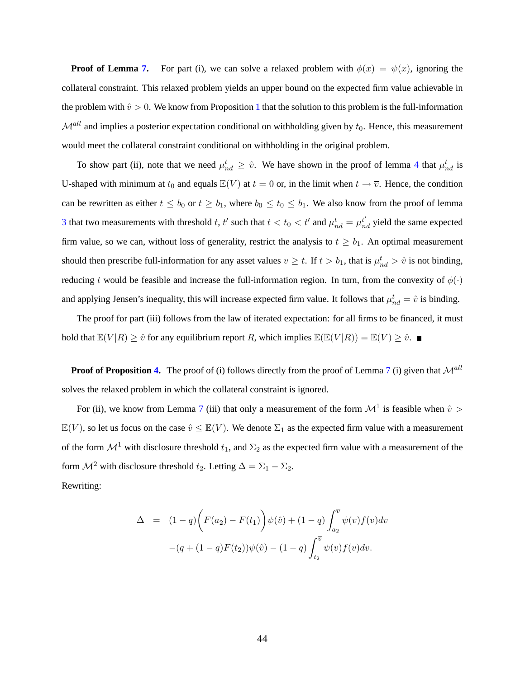**Proof of Lemma [7.](#page-56-0)** For part (i), we can solve a relaxed problem with  $\phi(x) = \psi(x)$ , ignoring the collateral constraint. This relaxed problem yields an upper bound on the expected firm value achievable in the problem with  $\hat{v} > 0$ . We know from Proposition [1](#page-20-0) that the solution to this problem is the full-information  $\mathcal{M}^{all}$  and implies a posterior expectation conditional on withholding given by  $t_0$ . Hence, this measurement would meet the collateral constraint conditional on withholding in the original problem.

To show part (ii), note that we need  $\mu_{nd}^t \geq \hat{v}$ . We have shown in the proof of lemma [4](#page-53-0) that  $\mu_{nd}^t$  is U-shaped with minimum at  $t_0$  and equals  $\mathbb{E}(V)$  at  $t = 0$  or, in the limit when  $t \to \overline{v}$ . Hence, the condition can be rewritten as either  $t \le b_0$  or  $t \ge b_1$ , where  $b_0 \le t_0 \le b_1$ . We also know from the proof of lemma [3](#page-53-0) that two measurements with threshold t, t' such that  $t < t_0 < t'$  and  $\mu_{nd}^t = \mu_{nd}^{t'}$  yield the same expected firm value, so we can, without loss of generality, restrict the analysis to  $t \geq b_1$ . An optimal measurement should then prescribe full-information for any asset values  $v \ge t$ . If  $t > b_1$ , that is  $\mu_{nd}^t > \hat{v}$  is not binding, reducing t would be feasible and increase the full-information region. In turn, from the convexity of  $\phi(\cdot)$ and applying Jensen's inequality, this will increase expected firm value. It follows that  $\mu_{nd}^t = \hat{v}$  is binding.

The proof for part (iii) follows from the law of iterated expectation: for all firms to be financed, it must hold that  $\mathbb{E}(V|R) \geq \hat{v}$  for any equilibrium report R, which implies  $\mathbb{E}(\mathbb{E}(V|R)) = \mathbb{E}(V) \geq \hat{v}$ .

**Proof of Proposition [4](#page-33-0).** The proof of (i) follows directly from the proof of Lemma [7](#page-56-0) (i) given that  $\mathcal{M}^{all}$ solves the relaxed problem in which the collateral constraint is ignored.

For (ii), we know from Lemma [7](#page-56-0) (iii) that only a measurement of the form  $\mathcal{M}^1$  is feasible when  $\hat{v}$  >  $\mathbb{E}(V)$ , so let us focus on the case  $\hat{v} \leq \mathbb{E}(V)$ . We denote  $\Sigma_1$  as the expected firm value with a measurement of the form  $\mathcal{M}^1$  with disclosure threshold  $t_1$ , and  $\Sigma_2$  as the expected firm value with a measurement of the form  $\mathcal{M}^2$  with disclosure threshold  $t_2$ . Letting  $\Delta = \Sigma_1 - \Sigma_2$ . Rewriting:

$$
\Delta = (1-q)\left(F(a_2) - F(t_1)\right)\psi(\hat{v}) + (1-q)\int_{a_2}^{\overline{v}} \psi(v)f(v)dv
$$

$$
-(q + (1-q)F(t_2))\psi(\hat{v}) - (1-q)\int_{t_2}^{\overline{v}} \psi(v)f(v)dv.
$$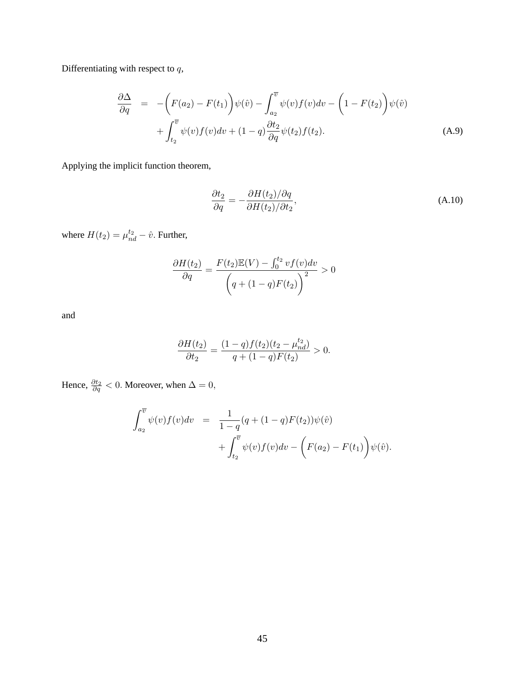<span id="page-44-0"></span>Differentiating with respect to  $q$ ,

$$
\frac{\partial \Delta}{\partial q} = -\left(F(a_2) - F(t_1)\right)\psi(\hat{v}) - \int_{a_2}^{\overline{v}} \psi(v)f(v)dv - \left(1 - F(t_2)\right)\psi(\hat{v}) \n+ \int_{t_2}^{\overline{v}} \psi(v)f(v)dv + (1 - q)\frac{\partial t_2}{\partial q}\psi(t_2)f(t_2).
$$
\n(A.9)

Applying the implicit function theorem,

$$
\frac{\partial t_2}{\partial q} = -\frac{\partial H(t_2)/\partial q}{\partial H(t_2)/\partial t_2},\tag{A.10}
$$

where  $H(t_2) = \mu_{nd}^{t_2} - \hat{v}$ . Further,

$$
\frac{\partial H(t_2)}{\partial q} = \frac{F(t_2)\mathbb{E}(V) - \int_0^{t_2} vf(v)dv}{\left(q + (1 - q)F(t_2)\right)^2} > 0
$$

and

$$
\frac{\partial H(t_2)}{\partial t_2} = \frac{(1-q)f(t_2)(t_2 - \mu_{nd}^{t_2})}{q + (1-q)F(t_2)} > 0.
$$

Hence,  $\frac{\partial t_2}{\partial q} < 0$ . Moreover, when  $\Delta = 0$ ,

$$
\int_{a_2}^{\overline{v}} \psi(v) f(v) dv = \frac{1}{1-q} (q + (1-q)F(t_2)) \psi(\hat{v}) \n+ \int_{t_2}^{\overline{v}} \psi(v) f(v) dv - \left( F(a_2) - F(t_1) \right) \psi(\hat{v}).
$$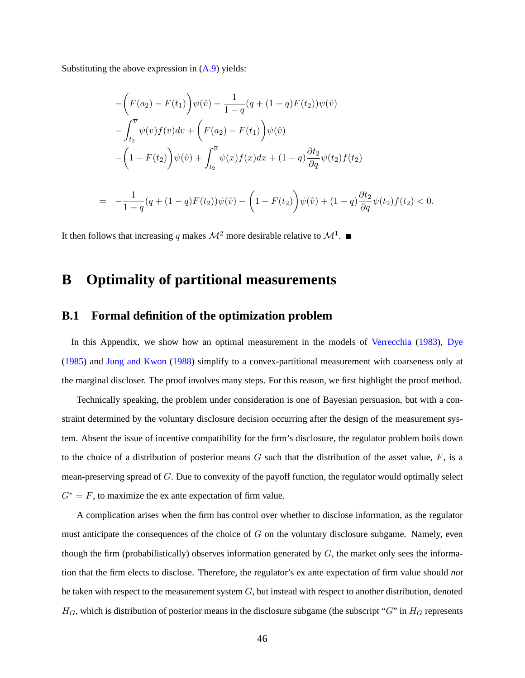<span id="page-45-0"></span>Substituting the above expression in [\(A.9](#page-44-0)) yields:

$$
-\left(F(a_2) - F(t_1)\right)\psi(\hat{v}) - \frac{1}{1-q}(q + (1-q)F(t_2))\psi(\hat{v})
$$
  

$$
-\int_{t_2}^{\overline{v}} \psi(v)f(v)dv + \left(F(a_2) - F(t_1)\right)\psi(\hat{v})
$$
  

$$
-\left(1 - F(t_2)\right)\psi(\hat{v}) + \int_{t_2}^{\overline{v}} \psi(x)f(x)dx + (1-q)\frac{\partial t_2}{\partial q}\psi(t_2)f(t_2)
$$
  

$$
= -\frac{1}{1-q}(q + (1-q)F(t_2))\psi(\hat{v}) - \left(1 - F(t_2)\right)\psi(\hat{v}) + (1-q)\frac{\partial t_2}{\partial q}\psi(t_2)f(t_2) < 0.
$$

It then follows that increasing q makes  $\mathcal{M}^2$  more desirable relative to  $\mathcal{M}^1$ .

# **B Optimality of partitional measurements**

#### **B.1 Formal definition of the optimization problem**

In this Appendix, we show how an optimal measurement in the models of [Verrecchia](#page-68-0) [\(1983](#page-68-0)), [Dye](#page-65-0) ([1985](#page-65-0)) and [Jung and Kwon](#page-67-0) [\(1988](#page-67-0)) simplify to a convex-partitional measurement with coarseness only at the marginal discloser. The proof involves many steps. For this reason, we first highlight the proof method.

Technically speaking, the problem under consideration is one of Bayesian persuasion, but with a constraint determined by the voluntary disclosure decision occurring after the design of the measurement system. Absent the issue of incentive compatibility for the firm's disclosure, the regulator problem boils down to the choice of a distribution of posterior means  $G$  such that the distribution of the asset value,  $F$ , is a mean-preserving spread of G. Due to convexity of the payoff function, the regulator would optimally select  $G^* = F$ , to maximize the ex ante expectation of firm value.

A complication arises when the firm has control over whether to disclose information, as the regulator must anticipate the consequences of the choice of  $G$  on the voluntary disclosure subgame. Namely, even though the firm (probabilistically) observes information generated by  $G$ , the market only sees the information that the firm elects to disclose. Therefore, the regulator's ex ante expectation of firm value should *not* be taken with respect to the measurement system  $G$ , but instead with respect to another distribution, denoted  $H_G$ , which is distribution of posterior means in the disclosure subgame (the subscript "G" in  $H_G$  represents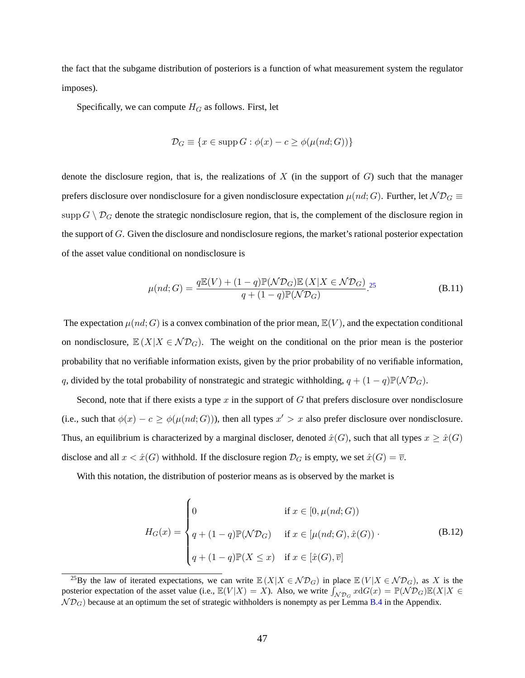<span id="page-46-0"></span>the fact that the subgame distribution of posteriors is a function of what measurement system the regulator imposes).

Specifically, we can compute  $H_G$  as follows. First, let

$$
\mathcal{D}_G \equiv \{ x \in \text{supp } G : \phi(x) - c \ge \phi(\mu(nd; G)) \}
$$

denote the disclosure region, that is, the realizations of  $X$  (in the support of  $G$ ) such that the manager prefers disclosure over nondisclosure for a given nondisclosure expectation  $\mu(nd; G)$ . Further, let  $N\mathcal{D}_G \equiv$ supp  $G \setminus \mathcal{D}_G$  denote the strategic nondisclosure region, that is, the complement of the disclosure region in the support of G. Given the disclosure and nondisclosure regions, the market's rational posterior expectation of the asset value conditional on nondisclosure is

$$
\mu(nd; G) = \frac{q\mathbb{E}(V) + (1-q)\mathbb{P}(\mathcal{N}\mathcal{D}_G)\mathbb{E}(X|X \in \mathcal{N}\mathcal{D}_G)}{q + (1-q)\mathbb{P}(\mathcal{N}\mathcal{D}_G)}.
$$
 (B.11)

The expectation  $\mu(nd; G)$  is a convex combination of the prior mean,  $\mathbb{E}(V)$ , and the expectation conditional on nondisclosure,  $\mathbb{E}(X|X \in \mathcal{ND}_G)$ . The weight on the conditional on the prior mean is the posterior probability that no verifiable information exists, given by the prior probability of no verifiable information, q, divided by the total probability of nonstrategic and strategic withholding,  $q + (1 - q)\mathbb{P}(\mathcal{N}\mathcal{D}_G)$ .

Second, note that if there exists a type x in the support of  $G$  that prefers disclosure over nondisclosure (i.e., such that  $\phi(x) - c \ge \phi(\mu(nd; G))$ ), then all types  $x' > x$  also prefer disclosure over nondisclosure. Thus, an equilibrium is characterized by a marginal discloser, denoted  $\hat{x}(G)$ , such that all types  $x \geq \hat{x}(G)$ disclose and all  $x < \hat{x}(G)$  withhold. If the disclosure region  $\mathcal{D}_G$  is empty, we set  $\hat{x}(G) = \overline{v}$ .

With this notation, the distribution of posterior means as is observed by the market is

$$
H_G(x) = \begin{cases} 0 & \text{if } x \in [0, \mu(nd; G)) \\ q + (1-q) \mathbb{P}(\mathcal{N}\mathcal{D}_G) & \text{if } x \in [\mu(nd; G), \hat{x}(G)) \\ q + (1-q) \mathbb{P}(X \le x) & \text{if } x \in [\hat{x}(G), \overline{v}] \end{cases}
$$
(B.12)

<sup>&</sup>lt;sup>25</sup>By the law of iterated expectations, we can write  $\mathbb{E}(X|X \in \mathcal{ND}_G)$  in place  $\mathbb{E}(V|X \in \mathcal{ND}_G)$ , as X is the posterior expectation of the asset value (i.e.,  $\mathbb{E}(V|X) = X$ ). Also, we write  $\int_{N\mathcal{D}_G} x dG(x) = \mathbb{P}(N\mathcal{D}_G)\mathbb{E}(X|X \in$  $N \mathcal{D}_G$ ) because at an optimum the set of strategic withholders is nonempty as per Lemma [B.4](#page-53-0) in the Appendix.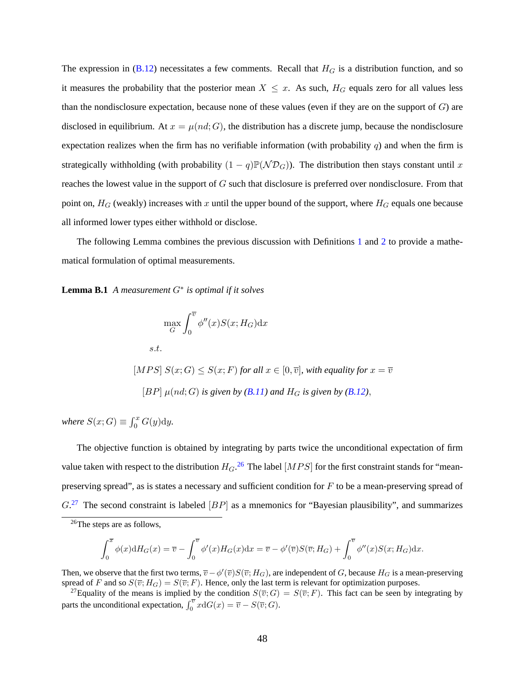<span id="page-47-0"></span>The expression in  $(B.12)$  $(B.12)$  necessitates a few comments. Recall that  $H_G$  is a distribution function, and so it measures the probability that the posterior mean  $X \leq x$ . As such,  $H_G$  equals zero for all values less than the nondisclosure expectation, because none of these values (even if they are on the support of  $G$ ) are disclosed in equilibrium. At  $x = \mu(nd; G)$ , the distribution has a discrete jump, because the nondisclosure expectation realizes when the firm has no verifiable information (with probability  $q$ ) and when the firm is strategically withholding (with probability  $(1 - q)\mathbb{P}(\mathcal{N}\mathcal{D}_G)$ ). The distribution then stays constant until x reaches the lowest value in the support of G such that disclosure is preferred over nondisclosure. From that point on,  $H_G$  (weakly) increases with x until the upper bound of the support, where  $H_G$  equals one because all informed lower types either withhold or disclose.

The following Lemma combines the previous discussion with Definitions [1](#page-12-0) and [2](#page-13-0) to provide a mathematical formulation of optimal measurements.

**Lemma B.1** *A measurement* G∗ *is optimal if it solves*

$$
\max_{G} \int_{0}^{\overline{v}} \phi''(x)S(x; H_G)dx
$$
  
s.t.  

$$
[MPS] S(x; G) \leq S(x; F) \text{ for all } x \in [0, \overline{v}], \text{ with equality for } x = \overline{v}
$$
  

$$
[BP] \mu(nd; G) \text{ is given by (B.11) and } H_G \text{ is given by (B.12),}
$$

*where*  $S(x;G) \equiv \int_0^x G(y) dy$ .

The objective function is obtained by integrating by parts twice the unconditional expectation of firm value taken with respect to the distribution  $H_G.^{26}$  The label  $[MPS]$  for the first constraint stands for "meanpreserving spread", as is states a necessary and sufficient condition for  $F$  to be a mean-preserving spread of  $G<sup>27</sup>$  The second constraint is labeled [BP] as a mnemonics for "Bayesian plausibility", and summarizes

$$
\int_0^{\overline{x}} \phi(x) dH_G(x) = \overline{v} - \int_0^{\overline{v}} \phi'(x) H_G(x) dx = \overline{v} - \phi'(\overline{v}) S(\overline{v}; H_G) + \int_0^{\overline{v}} \phi''(x) S(x; H_G) dx.
$$

Then, we observe that the first two terms,  $\overline{v} - \phi'(\overline{v})S(\overline{v}; H_G)$ , are independent of G, because  $H_G$  is a mean-preserving spread of F and so  $S(\overline{v}; H_G) = S(\overline{v}; F)$ . Hence, only the last term is relevant for optimization purposes.

<sup>27</sup>Equality of the means is implied by the condition  $S(\overline{v}; G) = S(\overline{v}; F)$ . This fact can be seen by integrating by parts the unconditional expectation,  $\int_0^{\overline{v}} x \, dG(x) = \overline{v} - S(\overline{v}; G)$ .

<sup>26</sup>The steps are as follows,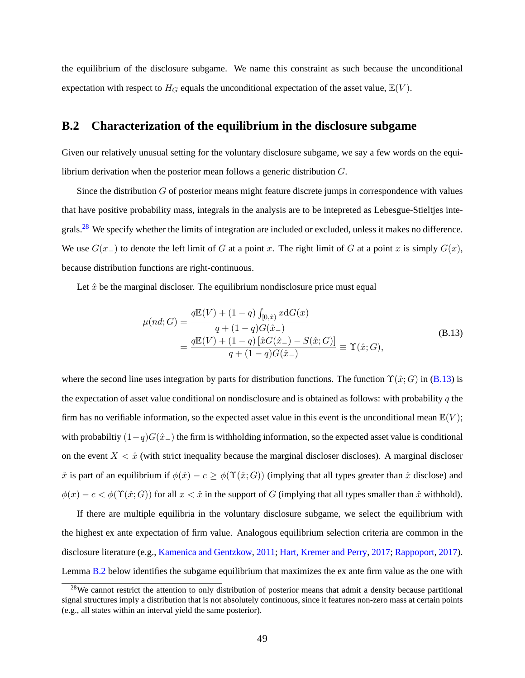<span id="page-48-0"></span>the equilibrium of the disclosure subgame. We name this constraint as such because the unconditional expectation with respect to  $H_G$  equals the unconditional expectation of the asset value,  $\mathbb{E}(V)$ .

#### **B.2 Characterization of the equilibrium in the disclosure subgame**

Given our relatively unusual setting for the voluntary disclosure subgame, we say a few words on the equilibrium derivation when the posterior mean follows a generic distribution G.

Since the distribution  $G$  of posterior means might feature discrete jumps in correspondence with values that have positive probability mass, integrals in the analysis are to be intepreted as Lebesgue-Stieltjes integrals.<sup>28</sup> We specify whether the limits of integration are included or excluded, unless it makes no difference. We use  $G(x<sub>-</sub>)$  to denote the left limit of G at a point x. The right limit of G at a point x is simply  $G(x)$ , because distribution functions are right-continuous.

Let  $\hat{x}$  be the marginal discloser. The equilibrium nondisclosure price must equal

$$
\mu(nd; G) = \frac{q\mathbb{E}(V) + (1-q)\int_{[0,\hat{x})} x dG(x)}{q + (1-q)G(\hat{x}_{-})}
$$
\n
$$
= \frac{q\mathbb{E}(V) + (1-q)\left[\hat{x}G(\hat{x}_{-}) - S(\hat{x};G)\right]}{q + (1-q)G(\hat{x}_{-})} \equiv \Upsilon(\hat{x}; G),
$$
\n(B.13)

where the second line uses integration by parts for distribution functions. The function  $\Upsilon(\hat{x}; G)$  in (B.13) is the expectation of asset value conditional on nondisclosure and is obtained as follows: with probability q the firm has no verifiable information, so the expected asset value in this event is the unconditional mean  $\mathbb{E}(V)$ ; with probabiltiy  $(1-q)G(\hat{x}_-)$  the firm is withholding information, so the expected asset value is conditional on the event  $X < \hat{x}$  (with strict inequality because the marginal discloser discloses). A marginal discloser  $\hat{x}$  is part of an equilibrium if  $\phi(\hat{x}) - c \geq \phi(\Upsilon(\hat{x}; G))$  (implying that all types greater than  $\hat{x}$  disclose) and  $\phi(x) - c < \phi(\Upsilon(\hat{x}; G))$  for all  $x < \hat{x}$  in the support of G (implying that all types smaller than  $\hat{x}$  withhold).

If there are multiple equilibria in the voluntary disclosure subgame, we select the equilibrium with the highest ex ante expectation of firm value. Analogous equilibrium selection criteria are common in the disclosure literature (e.g., [Kamenica and Gentzkow](#page-67-0), [2011;](#page-67-0) [Hart, Kremer and Perry](#page-66-0), [2017](#page-66-0); [Rappoport,](#page-68-0) [2017\)](#page-68-0). Lemma [B.2](#page-49-0) below identifies the subgame equilibrium that maximizes the ex ante firm value as the one with

 $^{28}$ We cannot restrict the attention to only distribution of posterior means that admit a density because partitional signal structures imply a distribution that is not absolutely continuous, since it features non-zero mass at certain points (e.g., all states within an interval yield the same posterior).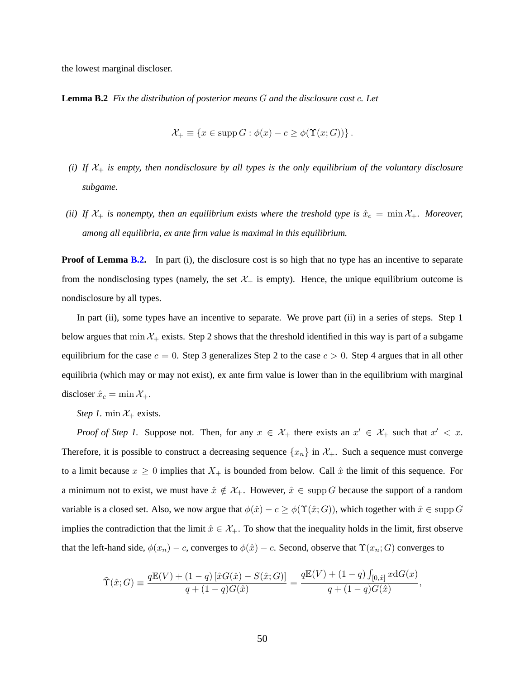<span id="page-49-0"></span>the lowest marginal discloser.

**Lemma B.2** *Fix the distribution of posterior means* G *and the disclosure cost* c*. Let*

$$
\mathcal{X}_{+} \equiv \{ x \in \mathrm{supp}\, G : \phi(x) - c \geq \phi(\Upsilon(x; G)) \}.
$$

- *(i) If*  $X_+$  *is empty, then nondisclosure by all types is the only equilibrium of the voluntary disclosure subgame.*
- *(ii) If*  $\mathcal{X}_+$  *is nonempty, then an equilibrium exists where the treshold type is*  $\hat{x}_c = \min \mathcal{X}_+$ *. Moreover, among all equilibria, ex ante firm value is maximal in this equilibrium.*

**Proof of Lemma B.2.** In part (i), the disclosure cost is so high that no type has an incentive to separate from the nondisclosing types (namely, the set  $\mathcal{X}_+$  is empty). Hence, the unique equilibrium outcome is nondisclosure by all types.

In part (ii), some types have an incentive to separate. We prove part (ii) in a series of steps. Step 1 below argues that  $\min \mathcal{X}_+$  exists. Step 2 shows that the threshold identified in this way is part of a subgame equilibrium for the case  $c = 0$ . Step 3 generalizes Step 2 to the case  $c > 0$ . Step 4 argues that in all other equilibria (which may or may not exist), ex ante firm value is lower than in the equilibrium with marginal discloser  $\hat{x}_c = \min \mathcal{X}_+$ .

*Step 1.* min  $\mathcal{X}_+$  exists.

*Proof of Step 1.* Suppose not. Then, for any  $x \in \mathcal{X}_+$  there exists an  $x' \in \mathcal{X}_+$  such that  $x' < x$ . Therefore, it is possible to construct a decreasing sequence  $\{x_n\}$  in  $\mathcal{X}_+$ . Such a sequence must converge to a limit because  $x \ge 0$  implies that  $X_+$  is bounded from below. Call  $\hat{x}$  the limit of this sequence. For a minimum not to exist, we must have  $\hat{x} \notin \mathcal{X}_+$ . However,  $\hat{x} \in \text{supp } G$  because the support of a random variable is a closed set. Also, we now argue that  $\phi(\hat{x}) - c \geq \phi(\Upsilon(\hat{x}; G))$ , which together with  $\hat{x} \in \text{supp } G$ implies the contradiction that the limit  $\hat{x} \in \mathcal{X}_+$ . To show that the inequality holds in the limit, first observe that the left-hand side,  $\phi(x_n) - c$ , converges to  $\phi(\hat{x}) - c$ . Second, observe that  $\Upsilon(x_n; G)$  converges to

$$
\tilde{\Upsilon}(\hat{x};G) \equiv \frac{q\mathbb{E}(V) + (1-q)\left[\hat{x}G(\hat{x}) - S(\hat{x};G)\right]}{q + (1-q)G(\hat{x})} = \frac{q\mathbb{E}(V) + (1-q)\int_{[0,\hat{x}]} x dG(x)}{q + (1-q)G(\hat{x})},
$$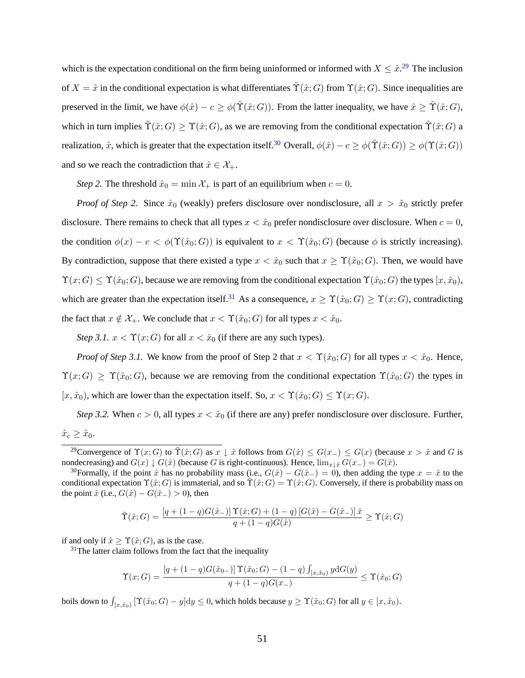which is the expectation conditional on the firm being uninformed or informed with  $X \leq \hat{x}$ .<sup>29</sup> The inclusion of  $X = \hat{x}$  in the conditional expectation is what differentiates  $\tilde{\Upsilon}(\hat{x}; G)$  from  $\Upsilon(\hat{x}; G)$ . Since inequalities are preserved in the limit, we have  $\phi(\hat{x}) - c \geq \phi(\tilde{\Upsilon}(\hat{x}; G))$ . From the latter inequality, we have  $\hat{x} \geq \tilde{\Upsilon}(\hat{x}; G)$ , which in turn implies  $\tilde{\Upsilon}(\hat{x}; G) \geq \Upsilon(\hat{x}; G)$ , as we are removing from the conditional expectation  $\tilde{\Upsilon}(\hat{x}; G)$  a realization,  $\hat{x}$ , which is greater that the expectation itself.<sup>30</sup> Overall,  $\phi(\hat{x}) - c \geq \phi(\tilde{\Upsilon}(\hat{x}; G)) \geq \phi(\Upsilon(\hat{x}; G))$ and so we reach the contradiction that  $\hat{x} \in \mathcal{X}_{+}$ .

*Step 2.* The threshold  $\hat{x}_0 = \min \mathcal{X}_+$  is part of an equilibrium when  $c = 0$ .

*Proof of Step 2.* Since  $\hat{x}_0$  (weakly) prefers disclosure over nondisclosure, all  $x > \hat{x}_0$  strictly prefer disclosure. There remains to check that all types  $x < \hat{x}_0$  prefer nondisclosure over disclosure. When  $c = 0$ , the condition  $\phi(x) - c < \phi(\Upsilon(\hat{x}_0; G))$  is equivalent to  $x < \Upsilon(\hat{x}_0; G)$  (because  $\phi$  is strictly increasing). By contradiction, suppose that there existed a type  $x < \hat{x}_0$  such that  $x \ge \Upsilon(\hat{x}_0; G)$ . Then, we would have  $\Upsilon(x; G) \leq \Upsilon(\hat{x}_0; G)$ , because we are removing from the conditional expectation  $\Upsilon(\hat{x}_0; G)$  the types  $(x, \hat{x}_0)$ , which are greater than the expectation itself.<sup>31</sup> As a consequence,  $x \geq \Upsilon(\hat{x}_0; G) \geq \Upsilon(x; G)$ , contradicting the fact that  $x \notin \mathcal{X}_+$ . We conclude that  $x < \Upsilon(\hat{x}_0; G)$  for all types  $x < \hat{x}_0$ .

*Step 3.1.*  $x < \Upsilon(x; G)$  for all  $x < \hat{x}_0$  (if there are any such types).

*Proof of Step 3.1.* We know from the proof of Step 2 that  $x < \Upsilon(\hat{x}_0; G)$  for all types  $x < \hat{x}_0$ . Hence,  $\Upsilon(x;G) \geq \Upsilon(\hat{x}_0;G)$ , because we are removing from the conditional expectation  $\Upsilon(\hat{x}_0;G)$  the types in  $[x, \hat{x}_0)$ , which are lower than the expectation itself. So,  $x < \Upsilon(\hat{x}_0; G) \leq \Upsilon(x; G)$ .

*Step 3.2.* When  $c > 0$ , all types  $x < \hat{x}_0$  (if there are any) prefer nondisclosure over disclosure. Further,  $\hat{x}_c \geq \hat{x}_0.$ 

$$
\tilde{\Upsilon}(\hat{x}; G) = \frac{\left[q + (1 - q)G(\hat{x}_-)\right]\Upsilon(\hat{x}; G) + (1 - q)\left[G(\hat{x}) - G(\hat{x}_-)\right]\hat{x}}{q + (1 - q)G(\hat{x})} \ge \Upsilon(\hat{x}; G)
$$

if and only if  $\hat{x} \geq \Upsilon(\hat{x}; G)$ , as is the case.

 $31$ The latter claim follows from the fact that the inequality

$$
\Upsilon(x;G) = \frac{[q + (1-q)G(\hat{x}_0)] \Upsilon(\hat{x}_0;G) - (1-q) \int_{[x,\hat{x}_0)} y dG(y)}{q + (1-q)G(x_-)} \leq \Upsilon(\hat{x}_0;G)
$$

boils down to  $\int_{[x,\hat{x}_0)} [\Upsilon(\hat{x}_0;G) - y] dy \leq 0$ , which holds because  $y \geq \Upsilon(\hat{x}_0;G)$  for all  $y \in [x,\hat{x}_0)$ .

<sup>&</sup>lt;sup>29</sup>Convergence of  $\Upsilon(x; G)$  to  $\tilde{\Upsilon}(\hat{x}; G)$  as  $x \downarrow \hat{x}$  follows from  $G(\hat{x}) \leq G(x_-) \leq G(x)$  (because  $x > \hat{x}$  and G is nondecreasing) and  $G(x) \downarrow G(\hat{x})$  (because G is right-continuous). Hence,  $\lim_{x \downarrow \hat{x}} G(x_-) = G(\hat{x})$ .

<sup>&</sup>lt;sup>30</sup>Formally, if the point  $\hat{x}$  has no probability mass (i.e.,  $G(\hat{x}) - G(\hat{x}_-) = 0$ ), then adding the type  $x = \hat{x}$  to the conditional expectation  $\Upsilon(\hat{x}; G)$  is immaterial, and so  $\Upsilon(\hat{x}; G) = \Upsilon(\hat{x}; G)$ . Conversely, if there is probability mass on the point  $\hat{x}$  (i.e.,  $G(\hat{x}) - G(\hat{x}_-) > 0$ ), then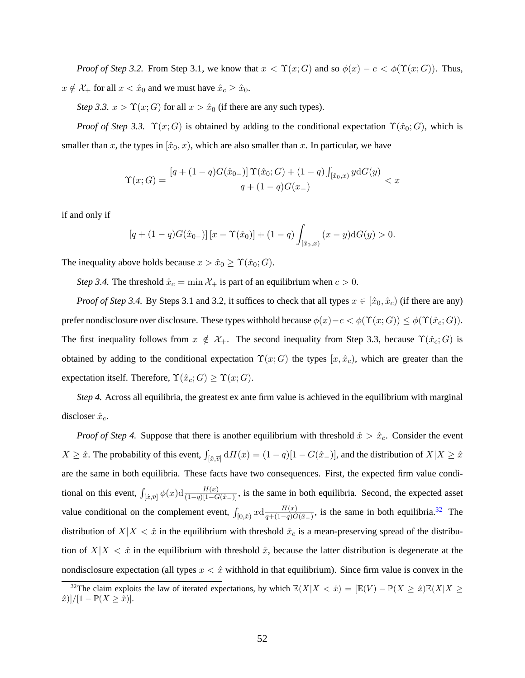*Proof of Step 3.2.* From Step 3.1, we know that  $x < \Upsilon(x; G)$  and so  $\phi(x) - c < \phi(\Upsilon(x; G))$ . Thus,  $x \notin \mathcal{X}_+$  for all  $x < \hat{x}_0$  and we must have  $\hat{x}_c \geq \hat{x}_0$ .

*Step 3.3.*  $x > \Upsilon(x; G)$  for all  $x > \hat{x}_0$  (if there are any such types).

*Proof of Step 3.3.*  $\Upsilon(x; G)$  is obtained by adding to the conditional expectation  $\Upsilon(\hat{x}_0; G)$ , which is smaller than x, the types in  $[\hat{x}_0, x)$ , which are also smaller than x. In particular, we have

$$
\Upsilon(x;G) = \frac{\left[q + (1-q)G(\hat{x}_{0-})\right]\Upsilon(\hat{x}_0;G) + (1-q)\int_{[\hat{x}_0,x)} y dG(y)}{q + (1-q)G(x-)} < x
$$

if and only if

$$
[q + (1-q)G(\hat{x}_{0-})] [x - \Upsilon(\hat{x}_0)] + (1-q) \int_{[\hat{x}_0, x)} (x-y) dG(y) > 0.
$$

The inequality above holds because  $x > \hat{x}_0 \geq \Upsilon(\hat{x}_0; G)$ .

*Step 3.4.* The threshold  $\hat{x}_c = \min \mathcal{X}_+$  is part of an equilibrium when  $c > 0$ .

*Proof of Step 3.4.* By Steps 3.1 and 3.2, it suffices to check that all types  $x \in [\hat{x}_0, \hat{x}_c)$  (if there are any) prefer nondisclosure over disclosure. These types withhold because  $\phi(x)-c < \phi(\Upsilon(x;G)) \leq \phi(\Upsilon(\hat{x}_c;G)).$ The first inequality follows from  $x \notin \mathcal{X}_+$ . The second inequality from Step 3.3, because  $\Upsilon(\hat{x}_c; G)$  is obtained by adding to the conditional expectation  $\Upsilon(x; G)$  the types  $[x, \hat{x}_c]$ , which are greater than the expectation itself. Therefore,  $\Upsilon(\hat{x}_c; G) \geq \Upsilon(x; G)$ .

*Step 4.* Across all equilibria, the greatest ex ante firm value is achieved in the equilibrium with marginal discloser  $\hat{x}_c$ .

*Proof of Step 4.* Suppose that there is another equilibrium with threshold  $\hat{x} > \hat{x}_c$ . Consider the event  $X \geq \hat{x}$ . The probability of this event,  $\int_{[\hat{x}, \overline{v}]} dH(x) = (1 - q)[1 - G(\hat{x}_-)],$  and the distribution of  $X|X \geq \hat{x}$ are the same in both equilibria. These facts have two consequences. First, the expected firm value conditional on this event,  $\int_{[\hat{x},\bar{v}]} \phi(x) d \frac{H(x)}{(1-q)[1-G(\hat{x}-)]}$ , is the same in both equilibria. Second, the expected asset value conditional on the complement event,  $\int_{[0,\hat{x})} x d \frac{H(x)}{q+(1-q)G(\hat{x}_-)}$ , is the same in both equilibria.<sup>32</sup> The distribution of  $X|X < \hat{x}$  in the equilibrium with threshold  $\hat{x}_c$  is a mean-preserving spread of the distribution of  $X|X < \hat{x}$  in the equilibrium with threshold  $\hat{x}$ , because the latter distribution is degenerate at the nondisclosure expectation (all types  $x < \hat{x}$  withhold in that equilibrium). Since firm value is convex in the

<sup>&</sup>lt;sup>32</sup>The claim exploits the law of iterated expectations, by which  $\mathbb{E}(X|X < \hat{x}) = [\mathbb{E}(V) - \mathbb{P}(X \ge \hat{x})\mathbb{E}(X|X \ge$  $\hat{x})$ ]/[1 –  $\mathbb{P}(X \geq \hat{x})$ ].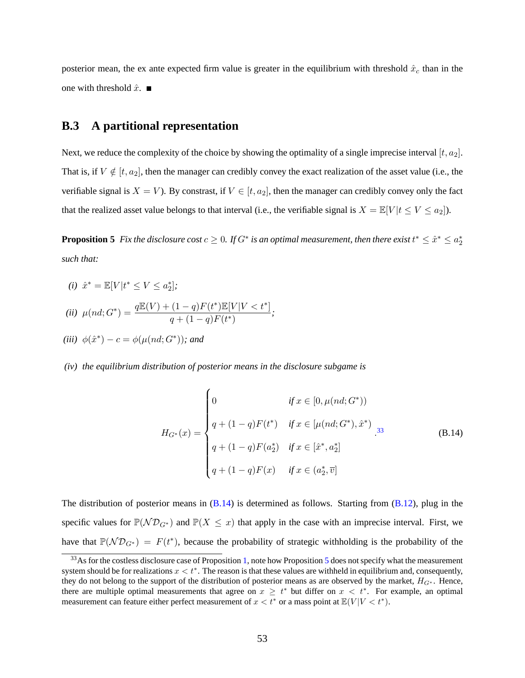<span id="page-52-0"></span>posterior mean, the ex ante expected firm value is greater in the equilibrium with threshold  $\hat{x}_c$  than in the one with threshold  $\hat{x}$ . ■

#### **B.3 A partitional representation**

Next, we reduce the complexity of the choice by showing the optimality of a single imprecise interval  $[t, a_2]$ . That is, if  $V \notin [t, a_2]$ , then the manager can credibly convey the exact realization of the asset value (i.e., the verifiable signal is  $X = V$ ). By constrast, if  $V \in [t, a_2]$ , then the manager can credibly convey only the fact that the realized asset value belongs to that interval (i.e., the verifiable signal is  $X = \mathbb{E}[V | t \le V \le a_2]$ ).

**Proposition 5** Fix the disclosure cost  $c \ge 0$ . If  $G^*$  is an optimal measurement, then there exist  $t^* \le \hat{x}^* \le a_2^*$ *such that:*

- *(i)*  $\hat{x}^* = \mathbb{E}[V|t^* \leq V \leq a_2^*];$
- (*ii*)  $\mu(nd; G^*) = \frac{q \mathbb{E}(V) + (1-q)F(t^*)\mathbb{E}[V|V < t^*]}{q + (1-q)F(t^*)}$ ;
- *(iii)*  $\phi(\hat{x}^*) c = \phi(\mu(nd; G^*))$ *; and*
- *(iv) the equilibrium distribution of posterior means in the disclosure subgame is*

$$
H_{G^*}(x) = \begin{cases} 0 & \text{if } x \in [0, \mu(nd; G^*)) \\ q + (1-q)F(t^*) & \text{if } x \in [\mu(nd; G^*), \hat{x}^*) \\ q + (1-q)F(a_2^*) & \text{if } x \in [\hat{x}^*, a_2^*] \\ q + (1-q)F(x) & \text{if } x \in (a_2^*, \overline{v}] \end{cases}
$$
(B.14)

The distribution of posterior means in  $(B.14)$  is determined as follows. Starting from  $(B.12)$  $(B.12)$  $(B.12)$ , plug in the specific values for  $\mathbb{P}(\mathcal{N}\mathcal{D}_{G^*})$  and  $\mathbb{P}(X \leq x)$  that apply in the case with an imprecise interval. First, we have that  $\mathbb{P}(\mathcal{N}\mathcal{D}_{G^*}) = F(t^*)$ , because the probability of strategic withholding is the probability of the

<sup>&</sup>lt;sup>33</sup>As for the costless disclosure case of Proposition [1](#page-20-0), note how Proposition 5 does not specify what the measurement system should be for realizations  $x < t^*$ . The reason is that these values are withheld in equilibrium and, consequently, they do not belong to the support of the distribution of posterior means as are observed by the market,  $H_{G^*}$ . Hence, there are multiple optimal measurements that agree on  $x \geq t^*$  but differ on  $x < t^*$ . For example, an optimal measurement can feature either perfect measurement of  $x < t^*$  or a mass point at  $\mathbb{E}(V|V < t^*)$ .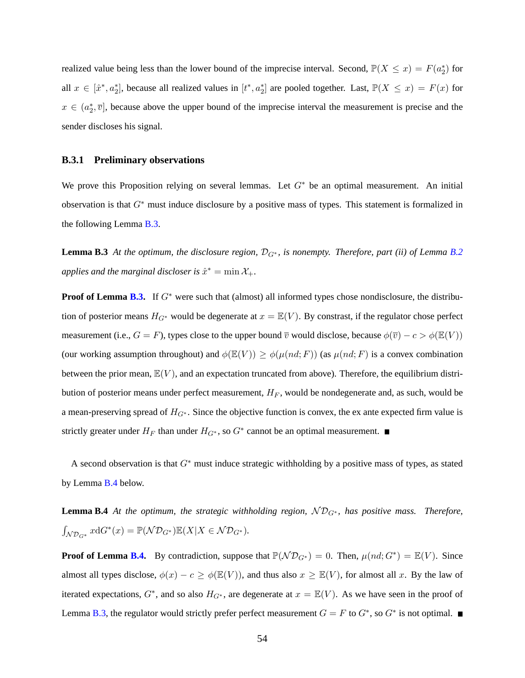<span id="page-53-0"></span>realized value being less than the lower bound of the imprecise interval. Second,  $\mathbb{P}(X \leq x) = F(a_2^*)$  for all  $x \in [\hat{x}^*, a_2^*]$ , because all realized values in  $[t^*, a_2^*]$  are pooled together. Last,  $\mathbb{P}(X \le x) = F(x)$  for  $x \in (a_2^*, \overline{v}]$ , because above the upper bound of the imprecise interval the measurement is precise and the sender discloses his signal.

#### **B.3.1 Preliminary observations**

We prove this Proposition relying on several lemmas. Let  $G^*$  be an optimal measurement. An initial observation is that  $G^*$  must induce disclosure by a positive mass of types. This statement is formalized in the following Lemma B.3.

**Lemma B.3** At the optimum, the disclosure region,  $D_{G^*}$ , is nonempty. Therefore, part (ii) of Lemma [B.2](#page-49-0) *applies and the marginal discloser is*  $\hat{x}^* = \min \mathcal{X}_+$ .

**Proof of Lemma B.3.** If G<sup>∗</sup> were such that (almost) all informed types chose nondisclosure, the distribution of posterior means  $H_{G^*}$  would be degenerate at  $x = \mathbb{E}(V)$ . By constrast, if the regulator chose perfect measurement (i.e.,  $G = F$ ), types close to the upper bound  $\overline{v}$  would disclose, because  $\phi(\overline{v}) - c > \phi(\mathbb{E}(V))$ (our working assumption throughout) and  $\phi(\mathbb{E}(V)) \geq \phi(\mu(nd; F))$  (as  $\mu(nd; F)$ ) is a convex combination between the prior mean,  $\mathbb{E}(V)$ , and an expectation truncated from above). Therefore, the equilibrium distribution of posterior means under perfect measurement,  $H_F$ , would be nondegenerate and, as such, would be a mean-preserving spread of  $H_{G^*}$ . Since the objective function is convex, the ex ante expected firm value is strictly greater under  $H_F$  than under  $H_{G^*}$ , so  $G^*$  cannot be an optimal measurement. ■

A second observation is that  $G^*$  must induce strategic withholding by a positive mass of types, as stated by Lemma B.4 below.

**Lemma B.4** *At the optimum, the strategic withholding region,*  $N\mathcal{D}_{G^*}$ *, has positive mass. Therefore,*  $\int_{\mathcal{N}\mathcal{D}_{G^*}} x \mathrm{d}G^*(x) = \mathbb{P}(\mathcal{N}\mathcal{D}_{G^*})\mathbb{E}(X|X \in \mathcal{N}\mathcal{D}_{G^*}).$ 

**Proof of Lemma B.4.** By contradiction, suppose that  $\mathbb{P}(\mathcal{N}\mathcal{D}_{G^*}) = 0$ . Then,  $\mu(nd; G^*) = \mathbb{E}(V)$ . Since almost all types disclose,  $\phi(x) - c \ge \phi(\mathbb{E}(V))$ , and thus also  $x \ge \mathbb{E}(V)$ , for almost all x. By the law of iterated expectations,  $G^*$ , and so also  $H_{G^*}$ , are degenerate at  $x = \mathbb{E}(V)$ . As we have seen in the proof of Lemma B.3, the regulator would strictly prefer perfect measurement  $G = F$  to  $G^*$ , so  $G^*$  is not optimal. ■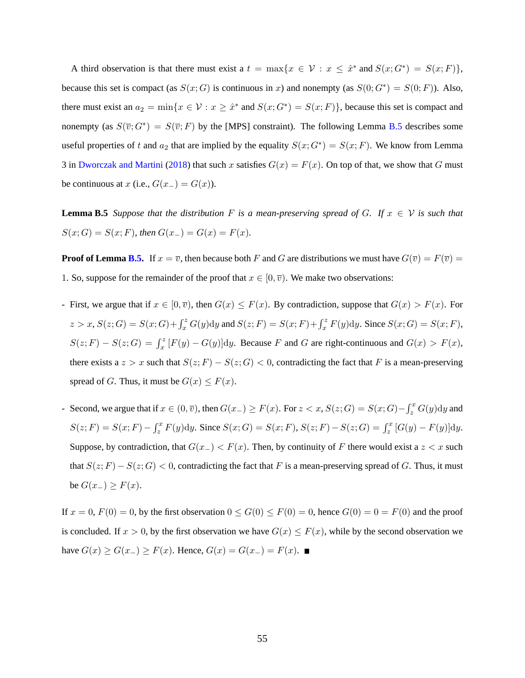<span id="page-54-0"></span>A third observation is that there must exist a  $t = \max\{x \in \mathcal{V} : x \leq \hat{x}^* \text{ and } S(x; G^*) = S(x; F)\}\,$ because this set is compact (as  $S(x; G)$  is continuous in x) and nonempty (as  $S(0; G^*) = S(0; F)$ ). Also, there must exist an  $a_2 = \min\{x \in \mathcal{V} : x \geq \hat{x}^* \text{ and } S(x; G^*) = S(x; F)\}\$ , because this set is compact and nonempty (as  $S(\overline{v}; G^*) = S(\overline{v}; F)$  by the [MPS] constraint). The following Lemma B.5 describes some useful properties of t and  $a_2$  that are implied by the equality  $S(x; G^*) = S(x; F)$ . We know from Lemma 3 in [Dworczak and Martini](#page-65-0) ([2018](#page-65-0)) that such x satisfies  $G(x) = F(x)$ . On top of that, we show that G must be continuous at x (i.e.,  $G(x_+) = G(x)$ ).

**Lemma B.5** *Suppose that the distribution* F *is a mean-preserving spread of* G. If  $x \in V$  *is such that*  $S(x;G) = S(x;F)$ , then  $G(x_{-}) = G(x) = F(x)$ .

**Proof of Lemma B.5.** If  $x = \overline{v}$ , then because both F and G are distributions we must have  $G(\overline{v}) = F(\overline{v}) =$ 1. So, suppose for the remainder of the proof that  $x \in [0, \overline{v})$ . We make two observations:

- First, we argue that if  $x \in [0, \overline{v})$ , then  $G(x) \leq F(x)$ . By contradiction, suppose that  $G(x) > F(x)$ . For  $z > x$ ,  $S(z; G) = S(x; G) + \int_x^z G(y) dy$  and  $S(z; F) = S(x; F) + \int_x^z F(y) dy$ . Since  $S(x; G) = S(x; F)$ ,  $S(z;F) - S(z;G) = \int_x^z [F(y) - G(y)] dy$ . Because F and G are right-continuous and  $G(x) > F(x)$ , there exists a  $z > x$  such that  $S(z; F) - S(z; G) < 0$ , contradicting the fact that F is a mean-preserving spread of G. Thus, it must be  $G(x) \leq F(x)$ .
- Second, we argue that if  $x \in (0, \overline{v})$ , then  $G(x_{-}) \ge F(x)$ . For  $z < x$ ,  $S(z; G) = S(x; G) \int_{z}^{x} G(y) dy$  and  $S(z; F) = S(x; F) - \int_z^x F(y) dy$ . Since  $S(x; G) = S(x; F)$ ,  $S(z; F) - S(z; G) = \int_z^x [G(y) - F(y)] dy$ . Suppose, by contradiction, that  $G(x<sub>-</sub>) < F(x)$ . Then, by continuity of F there would exist a  $z < x$  such that  $S(z; F) - S(z; G) < 0$ , contradicting the fact that F is a mean-preserving spread of G. Thus, it must be  $G(x_-\geq F(x)$ .

If  $x = 0$ ,  $F(0) = 0$ , by the first observation  $0 \le G(0) \le F(0) = 0$ , hence  $G(0) = 0 = F(0)$  and the proof is concluded. If  $x > 0$ , by the first observation we have  $G(x) \leq F(x)$ , while by the second observation we have  $G(x) \ge G(x_{-}) \ge F(x)$ . Hence,  $G(x) = G(x_{-}) = F(x)$ .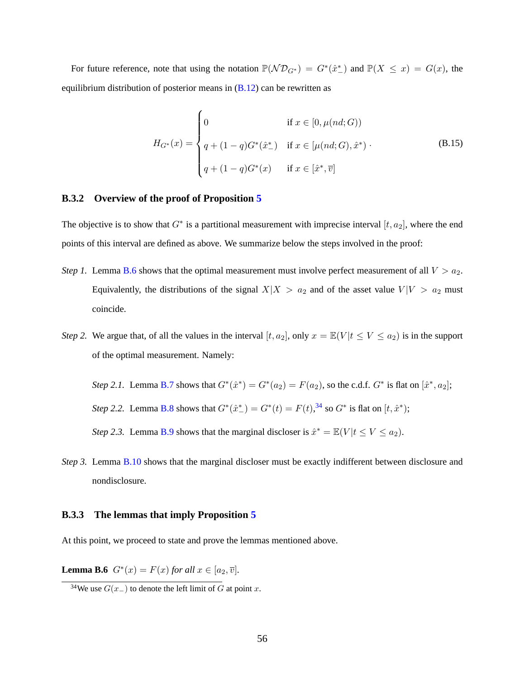<span id="page-55-0"></span>For future reference, note that using the notation  $\mathbb{P}(\mathcal{N}\mathcal{D}_{G^*}) = G^*(\hat{x}_{-}^*)$  and  $\mathbb{P}(X \leq x) = G(x)$ , the equilibrium distribution of posterior means in  $(B.12)$  $(B.12)$  can be rewritten as

$$
H_{G^*}(x) = \begin{cases} 0 & \text{if } x \in [0, \mu(nd; G)) \\ q + (1 - q)G^*(\hat{x}_{-}^*) & \text{if } x \in [\mu(nd; G), \hat{x}^*) \\ q + (1 - q)G^*(x) & \text{if } x \in [\hat{x}^*, \overline{v}] \end{cases}
$$
(B.15)

#### **B.3.2 Overview of the proof of Proposition [5](#page-52-0)**

The objective is to show that  $G^*$  is a partitional measurement with imprecise interval  $[t, a_2]$ , where the end points of this interval are defined as above. We summarize below the steps involved in the proof:

- *Step 1.* Lemma B.6 shows that the optimal measurement must involve perfect measurement of all  $V > a_2$ . Equivalently, the distributions of the signal  $X|X > a_2$  and of the asset value  $V|V > a_2$  must coincide.
- *Step 2.* We argue that, of all the values in the interval  $[t, a_2]$ , only  $x = \mathbb{E}(V | t \le V \le a_2)$  is in the support of the optimal measurement. Namely:
	- *Step 2.1.* Lemma [B.7](#page-56-0) shows that  $G^*(\hat{x}^*) = G^*(a_2) = F(a_2)$ , so the c.d.f.  $G^*$  is flat on  $[\hat{x}^*, a_2]$ ;
	- *Step 2.2.* Lemma [B.8](#page-58-0) shows that  $G^*(\hat{x}^*) = G^*(t) = F(t),^{34}$  so  $G^*$  is flat on  $[t, \hat{x}^*)$ ;
	- *Step 2.3.* Lemma [B.9](#page-62-0) shows that the marginal discloser is  $\hat{x}^* = \mathbb{E}(V | t \le V \le a_2)$ .
- *Step 3.* Lemma [B.10](#page-62-0) shows that the marginal discloser must be exactly indifferent between disclosure and nondisclosure.

#### **B.3.3 The lemmas that imply Proposition [5](#page-52-0)**

At this point, we proceed to state and prove the lemmas mentioned above.

**Lemma B.6**  $G^*(x) = F(x)$  *for all*  $x \in [a_2, \overline{v}].$ 

<sup>&</sup>lt;sup>34</sup>We use  $G(x_+)$  to denote the left limit of G at point x.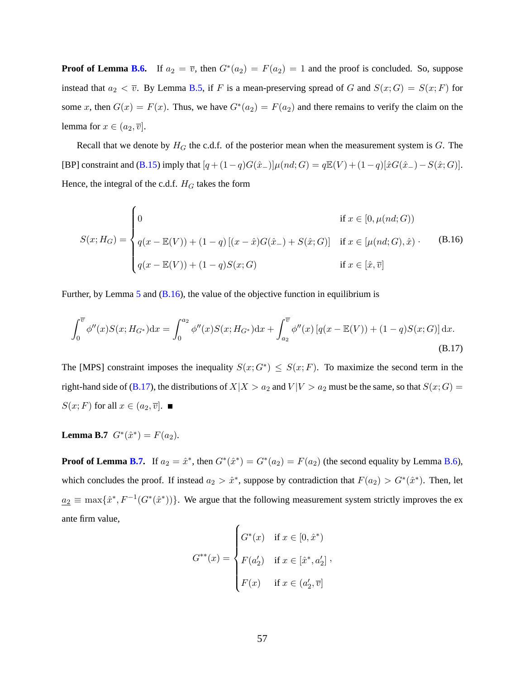<span id="page-56-0"></span>**Proof of Lemma [B.6.](#page-55-0)** If  $a_2 = \overline{v}$ , then  $G^*(a_2) = F(a_2) = 1$  and the proof is concluded. So, suppose instead that  $a_2 < \overline{v}$ . By Lemma [B.5](#page-54-0), if F is a mean-preserving spread of G and  $S(x;G) = S(x;F)$  for some x, then  $G(x) = F(x)$ . Thus, we have  $G<sup>*</sup>(a<sub>2</sub>) = F(a<sub>2</sub>)$  and there remains to verify the claim on the lemma for  $x \in (a_2, \overline{v}]$ .

Recall that we denote by  $H_G$  the c.d.f. of the posterior mean when the measurement system is  $G$ . The [BP] constraint and [\(B.15](#page-55-0)) imply that  $[q + (1-q)G(\hat{x}_-)]\mu(nd; G) = qE(V) + (1-q)[\hat{x}G(\hat{x}_-) - S(\hat{x}; G)].$ Hence, the integral of the c.d.f.  $H_G$  takes the form

$$
S(x; H_G) = \begin{cases} 0 & \text{if } x \in [0, \mu(nd; G)) \\ q(x - \mathbb{E}(V)) + (1 - q) [(x - \hat{x})G(\hat{x}_-) + S(\hat{x}; G)] & \text{if } x \in [\mu(nd; G), \hat{x}) \\ q(x - \mathbb{E}(V)) + (1 - q)S(x; G) & \text{if } x \in [\hat{x}, \overline{v}] \end{cases}
$$
(B.16)

Further, by Lemma [5](#page-52-0) and  $(B.16)$ , the value of the objective function in equilibrium is

$$
\int_0^{\overline{v}} \phi''(x) S(x; H_{G^*}) dx = \int_0^{a_2} \phi''(x) S(x; H_{G^*}) dx + \int_{a_2}^{\overline{v}} \phi''(x) \left[ q(x - \mathbb{E}(V)) + (1 - q)S(x; G) \right] dx.
$$
\n(B.17)

The [MPS] constraint imposes the inequality  $S(x; G^*) \leq S(x; F)$ . To maximize the second term in the right-hand side of (B.17), the distributions of  $X|X > a_2$  and  $V|V > a_2$  must be the same, so that  $S(x; G)$  =  $S(x; F)$  for all  $x \in (a_2, \overline{v}]$ .

**Lemma B.7**  $G^*(\hat{x}^*) = F(a_2)$ .

**Proof of Lemma B.7.** If  $a_2 = \hat{x}^*$ , then  $G^*(\hat{x}^*) = G^*(a_2) = F(a_2)$  (the second equality by Lemma [B.6\)](#page-55-0), which concludes the proof. If instead  $a_2 > \hat{x}^*$ , suppose by contradiction that  $F(a_2) > G^*(\hat{x}^*)$ . Then, let  $a_2 \equiv \max\{\hat{x}^*, F^{-1}(G^*(\hat{x}^*))\}.$  We argue that the following measurement system strictly improves the exante firm value,

$$
G^{**}(x) = \begin{cases} G^{*}(x) & \text{if } x \in [0, \hat{x}^{*}) \\ F(a'_{2}) & \text{if } x \in [\hat{x}^{*}, a'_{2}] \\ F(x) & \text{if } x \in (a'_{2}, \overline{v}) \end{cases},
$$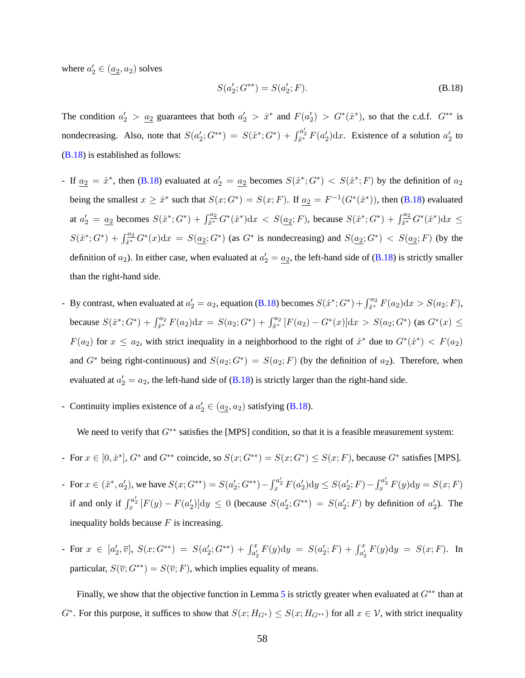where  $a'_2 \in (\underline{a_2}, a_2)$  solves

$$
S(a'_2; G^{**}) = S(a'_2; F). \tag{B.18}
$$

The condition  $a'_2 > a_2$  guarantees that both  $a'_2 > \hat{x}^*$  and  $F(a'_2) > G^*(\hat{x}^*)$ , so that the c.d.f.  $G^{**}$  is nondecreasing. Also, note that  $S(a_2; G^{**}) = S(\hat{x}^*; G^*) + \int_{\hat{x}^*}^{a_2} F(a_2') dx$ . Existence of a solution  $a_2'$  to (B.18) is established as follows:

- If  $\underline{a_2} = \hat{x}^*$ , then (B.18) evaluated at  $a'_2 = \underline{a_2}$  becomes  $S(\hat{x}^*; G^*) < S(\hat{x}^*; F)$  by the definition of  $a_2$ being the smallest  $x \geq \hat{x}^*$  such that  $S(x; G^*) = S(x; F)$ . If  $\underline{a_2} = F^{-1}(G^*(\hat{x}^*))$ , then (B.18) evaluated at  $a'_2 = a_2$  becomes  $S(\hat{x}^*; G^*) + \int_{\hat{x}^*}^{a_2} G^*(\hat{x}^*) dx < S(a_2; F)$ , because  $S(\hat{x}^*; G^*) + \int_{\hat{x}^*}^{a_2} G^*(\hat{x}^*) dx \le$  $S(\hat{x}^*; G^*) + \int_{\hat{x}^*}^{\hat{a}_2} G^*(x) dx = S(\underline{a_2}; G^*)$  (as  $G^*$  is nondecreasing) and  $S(\underline{a_2}; G^*) < S(\underline{a_2}; F)$  (by the definition of  $a_2$ ). In either case, when evaluated at  $a'_2 = \underline{a_2}$ , the left-hand side of (B.18) is strictly smaller than the right-hand side.
- By contrast, when evaluated at  $a'_2 = a_2$ , equation (B.18) becomes  $S(\hat{x}^*; G^*) + \int_{\hat{x}^*}^{a_2} F(a_2) dx > S(a_2; F)$ , because  $S(\hat{x}^*; G^*) + \int_{\hat{x}^*}^{a_2} F(a_2) dx = S(a_2; G^*) + \int_{\hat{x}^*}^{a_2} [F(a_2) - G^*(x)] dx > S(a_2; G^*)$  (as  $G^*(x) \le$  $F(a_2)$  for  $x \le a_2$ , with strict inequality in a neighborhood to the right of  $\hat{x}^*$  due to  $G^*(\hat{x}^*) < F(a_2)$ and  $G^*$  being right-continuous) and  $S(a_2; G^*) = S(a_2; F)$  (by the definition of  $a_2$ ). Therefore, when evaluated at  $a'_2 = a_2$ , the left-hand side of (B.18) is strictly larger than the right-hand side.
- Continuity implies existence of a  $a'_2 \in (a_2, a_2)$  satisfying (B.18).

We need to verify that  $G^{**}$  satisfies the [MPS] condition, so that it is a feasible measurement system:

- For  $x \in [0, \hat{x}^*]$ ,  $G^*$  and  $G^{**}$  coincide, so  $S(x; G^{**}) = S(x; G^*) \leq S(x; F)$ , because  $G^*$  satisfies [MPS].
- For  $x \in (\hat{x}^*, a_2')$ , we have  $S(x; G^{**}) = S(a_2'; G^{**}) \int_x^{a_2'} F(a_2') dy \leq S(a_2'; F) \int_x^{a_2'} F(y) dy = S(x; F)$ if and only if  $\int_x^{a'_2} [F(y) - F(a'_2)] dy \le 0$  (because  $S(a'_2; G^{**}) = S(a'_2; F)$  by definition of  $a'_2$ ). The inequality holds because  $F$  is increasing.
- For  $x \in [a'_2, \overline{v}]$ ,  $S(x; G^{**}) = S(a'_2; G^{**}) + \int_{a'_2}^x F(y) dy = S(a'_2; F) + \int_{a'_2}^x F(y) dy = S(x; F)$ . In particular,  $S(\overline{v}; G^{**}) = S(\overline{v}; F)$ , which implies equality of means.

Finally, we show that the objective function in Lemma [5](#page-52-0) is strictly greater when evaluated at  $G^{**}$  than at  $G^*$ . For this purpose, it suffices to show that  $S(x; H_{G^*}) \leq S(x; H_{G^{**}})$  for all  $x \in V$ , with strict inequality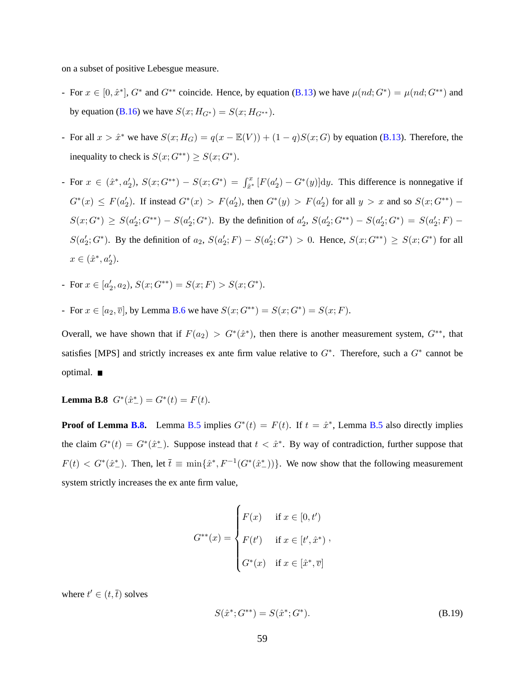<span id="page-58-0"></span>on a subset of positive Lebesgue measure.

- For  $x \in [0, \hat{x}^*]$ ,  $G^*$  and  $G^{**}$  coincide. Hence, by equation [\(B.13](#page-48-0)) we have  $\mu(nd; G^*) = \mu(nd; G^{**})$  and by equation [\(B.16\)](#page-56-0) we have  $S(x; H_{G^*}) = S(x; H_{G^{**}})$ .
- For all  $x > \hat{x}^*$  we have  $S(x; H_G) = q(x \mathbb{E}(V)) + (1 q)S(x; G)$  by equation ([B.13\)](#page-48-0). Therefore, the inequality to check is  $S(x; G^{**}) \geq S(x; G^*)$ .
- For  $x \in (\hat{x}^*, a_2'), S(x; G^{**}) S(x; G^*) = \int_{\hat{x}^*}^x [F(a_2') G^{*}(y)] dy$ . This difference is nonnegative if  $G^*(x) \le F(a_2')$ . If instead  $G^*(x) > F(a_2')$ , then  $G^*(y) > F(a_2')$  for all  $y > x$  and so  $S(x; G^{**})$  –  $S(x;G^*)\geq S(a_2';G^{**})-S(a_2';G^*)$ . By the definition of  $a_2', S(a_2';G^{**})-S(a_2';G^*)=S(a_2';F)$  $S(a_2'; G^*)$ . By the definition of  $a_2$ ,  $S(a_2'; F) - S(a_2'; G^*) > 0$ . Hence,  $S(x; G^{**}) \geq S(x; G^*)$  for all  $x \in (\hat{x}^*, a'_2).$
- For  $x \in [a'_2, a_2)$ ,  $S(x; G^{**}) = S(x; F) > S(x; G^*)$ .
- For  $x \in [a_2, \overline{v}]$ , by Lemma [B.6](#page-55-0) we have  $S(x; G^{**}) = S(x; G^*) = S(x; F)$ .

Overall, we have shown that if  $F(a_2) > G<sup>*</sup>(\hat{x}<sup>*</sup>)$ , then there is another measurement system,  $G<sup>**</sup>$ , that satisfies [MPS] and strictly increases ex ante firm value relative to  $G^*$ . Therefore, such a  $G^*$  cannot be optimal.

**Lemma B.8**  $G^*(\hat{x}^*_-) = G^*(t) = F(t)$ .

**Proof of Lemma B.8.** Lemma [B.5](#page-54-0) implies  $G^*(t) = F(t)$ . If  $t = \hat{x}^*$ , Lemma B.5 also directly implies the claim  $G^*(t) = G^*(\hat{x}^*)$ . Suppose instead that  $t < \hat{x}^*$ . By way of contradiction, further suppose that  $F(t) < G^*(\hat{x}_{-}^*)$ . Then, let  $\bar{t} \equiv \min\{\hat{x}^*, F^{-1}(G^*(\hat{x}_{-}^*))\}$ . We now show that the following measurement system strictly increases the ex ante firm value,

$$
G^{**}(x) = \begin{cases} F(x) & \text{if } x \in [0, t') \\ F(t') & \text{if } x \in [t', \hat{x}^*) \\ G^*(x) & \text{if } x \in [\hat{x}^*, \overline{v}] \end{cases}
$$

where  $t' \in (t, \overline{t})$  solves

$$
S(\hat{x}^*; G^{**}) = S(\hat{x}^*; G^*).
$$
 (B.19)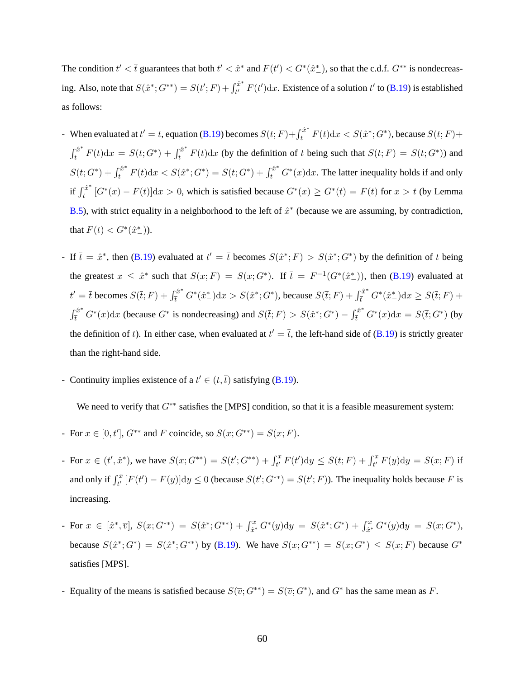The condition  $t' < \bar{t}$  guarantees that both  $t' < \hat{x}^*$  and  $F(t') < G^*(\hat{x}^*_-)$ , so that the c.d.f.  $G^{**}$  is nondecreasing. Also, note that  $S(\hat{x}^*; G^{**}) = S(t'; F) + \int_{t'}^{\hat{x}^*} F(t') dx$ . Existence of a solution  $t'$  to ([B.19\)](#page-58-0) is established as follows:

- When evaluated at  $t' = t$ , equation [\(B.19](#page-58-0)) becomes  $S(t; F) + \int_t^{\hat{x}^*} F(t) dx < S(\hat{x}^*; G^*)$ , because  $S(t; F) +$  $\int_t^{\hat{x}^*} F(t) dx = S(t; G^*) + \int_t^{\hat{x}^*} F(t) dx$  (by the definition of t being such that  $S(t; F) = S(t; G^*)$ ) and  $S(t;G^*) + \int_t^{\hat{x}^*} F(t) dx < S(\hat{x}^*;G^*) = S(t;G^*) + \int_t^{\hat{x}^*} G^*(x) dx$ . The latter inequality holds if and only if  $\int_t^{\hat{x}^*} [G^*(x) - F(t)] dx > 0$ , which is satisfied because  $G^*(x) \ge G^*(t) = F(t)$  for  $x > t$  (by Lemma [B.5\)](#page-54-0), with strict equality in a neighborhood to the left of  $\hat{x}^*$  (because we are assuming, by contradiction, that  $F(t) < G^*(\hat{x}_{-}^*)$ ).
- If  $\bar{t} = \hat{x}^*$ , then ([B.19](#page-58-0)) evaluated at  $t' = \bar{t}$  becomes  $S(\hat{x}^*; F) > S(\hat{x}^*; G^*)$  by the definition of t being the greatest  $x \leq \hat{x}^*$  such that  $S(x; F) = S(x; G^*)$ . If  $\overline{t} = F^{-1}(G^*(\hat{x}^*))$ , then [\(B.19](#page-58-0)) evaluated at  $t' = \bar{t}$  becomes  $S(\bar{t}; F) + \int_{\bar{t}}^{\hat{x}^*} G^*(\hat{x}^*) dx > S(\hat{x}^*; G^*)$ , because  $S(\bar{t}; F) + \int_{\bar{t}}^{\hat{x}^*} G^*(\hat{x}^*) dx \ge S(\bar{t}; F) +$  $\int_{\bar{t}}^{\hat{x}^*} G^*(x) dx$  (because  $G^*$  is nondecreasing) and  $S(\bar{t}; F) > S(\hat{x}^*; G^*) - \int_{\bar{t}}^{\hat{x}^*} G^*(x) dx = S(\bar{t}; G^*)$  (by the definition of t). In either case, when evaluated at  $t' = \bar{t}$ , the left-hand side of [\(B.19](#page-58-0)) is strictly greater than the right-hand side.
- Continuity implies existence of a  $t' \in (t, \bar{t})$  satisfying [\(B.19](#page-58-0)).

We need to verify that  $G^{**}$  satisfies the [MPS] condition, so that it is a feasible measurement system:

- For  $x \in [0, t']$ ,  $G^{**}$  and F coincide, so  $S(x; G^{**}) = S(x; F)$ .
- For  $x \in (t', \hat{x}^*)$ , we have  $S(x; G^{**}) = S(t'; G^{**}) + \int_{t'}^{x} F(t') dy \leq S(t; F) + \int_{t'}^{x} F(y) dy = S(x; F)$  if and only if  $\int_{t'}^{x} [F(t') - F(y)] dy \le 0$  (because  $S(t'; G^{**}) = S(t'; F)$ ). The inequality holds because F is increasing.
- For  $x \in [\hat{x}^*, \overline{v}]$ ,  $S(x; G^{**}) = S(\hat{x}^*; G^{**}) + \int_{\hat{x}^*}^x G^*(y) dy = S(\hat{x}^*; G^*) + \int_{\hat{x}^*}^x G^*(y) dy = S(x; G^*)$ , because  $S(\hat{x}^*; G^*) = S(\hat{x}^*; G^{**})$  by ([B.19](#page-58-0)). We have  $S(x; G^{**}) = S(x; G^*) \leq S(x; F)$  because  $G^*$ satisfies [MPS].
- Equality of the means is satisfied because  $S(\overline{v}; G^{**}) = S(\overline{v}; G^*)$ , and  $G^*$  has the same mean as F.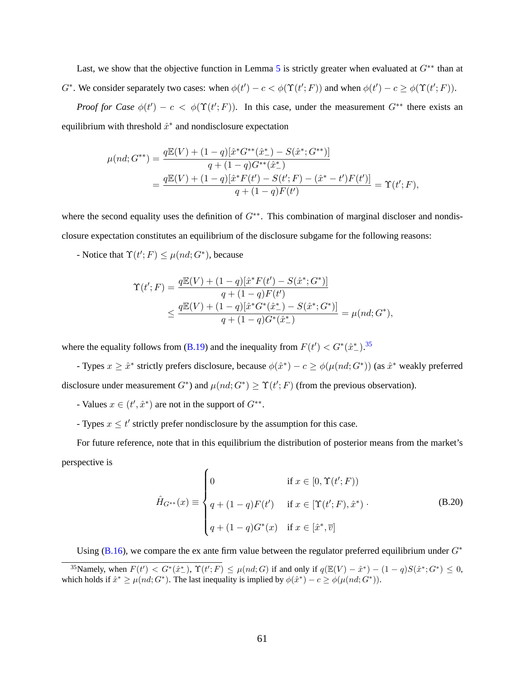<span id="page-60-0"></span>Last, we show that the objective function in Lemma [5](#page-52-0) is strictly greater when evaluated at  $G^{**}$  than at  $G^*$ . We consider separately two cases: when  $\phi(t') - c < \phi(\Upsilon(t';F))$  and when  $\phi(t') - c \geq \phi(\Upsilon(t';F))$ .

*Proof for Case*  $\phi(t') - c < \phi(\Upsilon(t';F))$ . In this case, under the measurement  $G^{**}$  there exists an equilibrium with threshold  $\hat{x}^*$  and nondisclosure expectation

$$
\mu(nd; G^{**}) = \frac{q\mathbb{E}(V) + (1-q)[\hat{x}^*G^{**}(\hat{x}^*) - S(\hat{x}^*; G^{**})]}{q + (1-q)G^{**}(\hat{x}^*)}
$$
  
= 
$$
\frac{q\mathbb{E}(V) + (1-q)[\hat{x}^*F(t') - S(t'; F) - (\hat{x}^* - t')F(t')]}{q + (1-q)F(t')} = \Upsilon(t'; F),
$$

where the second equality uses the definition of  $G<sup>**</sup>$ . This combination of marginal discloser and nondisclosure expectation constitutes an equilibrium of the disclosure subgame for the following reasons:

- Notice that  $\Upsilon(t'; F) \leq \mu(nd; G^*)$ , because

$$
\begin{split} \Upsilon(t';F) &= \frac{q \mathbb{E}(V) + (1-q)[\hat{x}^* F(t') - S(\hat{x}^*; G^*)]}{q + (1-q)F(t')} \\ &\le \frac{q \mathbb{E}(V) + (1-q)[\hat{x}^* G^*(\hat{x}_-^*) - S(\hat{x}^*; G^*)]}{q + (1-q)G^*(\hat{x}_-^*)} = \mu(nd; G^*), \end{split}
$$

where the equality follows from [\(B.19\)](#page-58-0) and the inequality from  $F(t') < G^*(\hat{x}_{-}^*)$ .<sup>35</sup>

- Types  $x \geq \hat{x}^*$  strictly prefers disclosure, because  $\phi(\hat{x}^*) - c \geq \phi(\mu(nd; G^*))$  (as  $\hat{x}^*$  weakly preferred disclosure under measurement  $G^*$ ) and  $\mu(nd; G^*) \ge \Upsilon(t'; F)$  (from the previous observation).

- Values  $x \in (t', \hat{x}^*)$  are not in the support of  $G^{**}$ .

- Types  $x \le t'$  strictly prefer nondisclosure by the assumption for this case.

For future reference, note that in this equilibrium the distribution of posterior means from the market's perspective is

$$
\hat{H}_{G^{**}}(x) \equiv \begin{cases}\n0 & \text{if } x \in [0, \Upsilon(t'; F)) \\
q + (1 - q)F(t') & \text{if } x \in [\Upsilon(t'; F), \hat{x}^*) \\
q + (1 - q)G^*(x) & \text{if } x \in [\hat{x}^*, \overline{v}]\n\end{cases}
$$
\n(B.20)

Using [\(B.16\)](#page-56-0), we compare the ex ante firm value between the regulator preferred equilibrium under  $G^*$ 

<sup>&</sup>lt;sup>35</sup>Namely, when  $F(t') < G^*(\hat{x}^*)$ ,  $\Upsilon(t';F) \leq \mu(nd;G)$  if and only if  $q(\mathbb{E}(V) - \hat{x}^*) - (1-q)S(\hat{x}^*; G^*) \leq 0$ , which holds if  $\hat{x}^* \geq \mu(nd; G^*)$ . The last inequality is implied by  $\phi(\hat{x}^*) - c \geq \phi(\mu(nd; G^*))$ .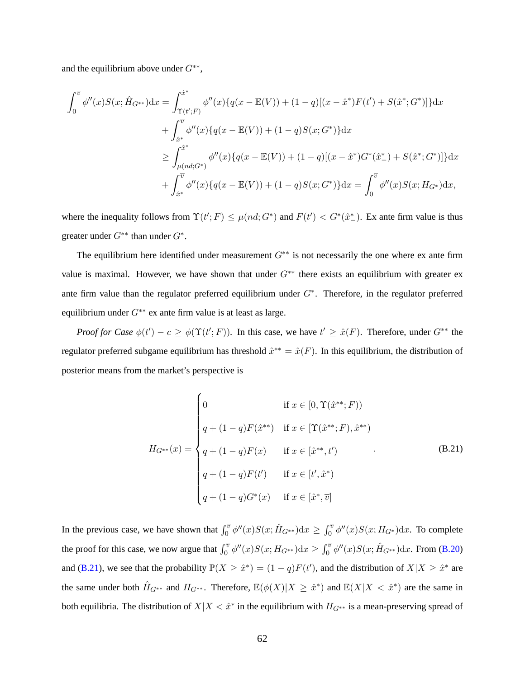and the equilibrium above under  $G^{**}$ ,

$$
\int_0^{\overline{v}} \phi''(x)S(x;\hat{H}_{G^{**}})dx = \int_{\Upsilon(t';F)}^{\hat{x}^*} \phi''(x)\{q(x-\mathbb{E}(V)) + (1-q)[(x-\hat{x}^*)F(t') + S(\hat{x}^*;G^*)]\}dx \n+ \int_{\hat{x}^*}^{\overline{v}} \phi''(x)\{q(x-\mathbb{E}(V)) + (1-q)S(x;G^*)\}dx \n\geq \int_{\mu(nd;G^*)}^{\hat{x}^*} \phi''(x)\{q(x-\mathbb{E}(V)) + (1-q)[(x-\hat{x}^*)G^*(\hat{x}^*) + S(\hat{x}^*;G^*)]\}dx \n+ \int_{\hat{x}^*}^{\overline{v}} \phi''(x)\{q(x-\mathbb{E}(V)) + (1-q)S(x;G^*)\}dx = \int_0^{\overline{v}} \phi''(x)S(x;H_{G^*})dx,
$$

where the inequality follows from  $\Upsilon(t';F) \leq \mu(nd;G^*)$  and  $F(t') < G^*(\hat{x}^*)$ . Ex ante firm value is thus greater under  $G^*$ <sup>\*\*</sup> than under  $G^*$ .

The equilibrium here identified under measurement  $G^{**}$  is not necessarily the one where ex ante firm value is maximal. However, we have shown that under  $G^{**}$  there exists an equilibrium with greater ex ante firm value than the regulator preferred equilibrium under  $G^*$ . Therefore, in the regulator preferred equilibrium under  $G^{**}$  ex ante firm value is at least as large.

*Proof for Case*  $\phi(t') - c \geq \phi(\Upsilon(t';F))$ . In this case, we have  $t' \geq \hat{x}(F)$ . Therefore, under  $G^{**}$  the regulator preferred subgame equilibrium has threshold  $\hat{x}^{**} = \hat{x}(F)$ . In this equilibrium, the distribution of posterior means from the market's perspective is

 $\overline{ }$ 

$$
H_{G^{**}}(x) = \begin{cases} 0 & \text{if } x \in [0, \Upsilon(\hat{x}^{**}; F)) \\ q + (1 - q)F(\hat{x}^{**}) & \text{if } x \in [\Upsilon(\hat{x}^{**}; F), \hat{x}^{**}) \\ q + (1 - q)F(x) & \text{if } x \in [\hat{x}^{**}, t') \\ q + (1 - q)F(t') & \text{if } x \in [t', \hat{x}^*) \\ q + (1 - q)G^*(x) & \text{if } x \in [\hat{x}^*, \overline{v}] \end{cases}
$$
(B.21)

In the previous case, we have shown that  $\int_0^{\overline{v}} \phi''(x)S(x; \hat{H}_{G^{**}})dx \ge \int_0^{\overline{v}} \phi''(x)S(x; H_{G^*})dx$ . To complete the proof for this case, we now argue that  $\int_0^{\overline{v}} \phi''(x)S(x; H_{G^{**}})dx \ge \int_0^{\overline{v}} \phi''(x)S(x; \hat{H}_{G^{**}})dx$ . From [\(B.20](#page-60-0)) and (B.21), we see that the probability  $\mathbb{P}(X \ge \hat{x}^*) = (1-q)F(t')$ , and the distribution of  $X|X \ge \hat{x}^*$  are the same under both  $\hat{H}_{G^{**}}$  and  $H_{G^{**}}$ . Therefore,  $\mathbb{E}(\phi(X)|X \geq \hat{x}^*)$  and  $\mathbb{E}(X|X < \hat{x}^*)$  are the same in both equilibria. The distribution of  $X|X < \hat{x}^*$  in the equilibrium with  $H_{G^{**}}$  is a mean-preserving spread of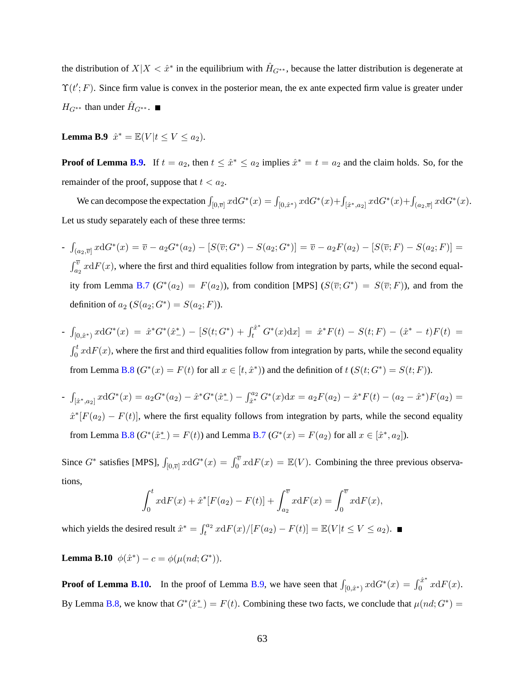<span id="page-62-0"></span>the distribution of  $X|X < \hat{x}^*$  in the equilibrium with  $\hat{H}_{G^{**}}$ , because the latter distribution is degenerate at  $\Upsilon(t';F)$ . Since firm value is convex in the posterior mean, the ex ante expected firm value is greater under  $H_{G^{**}}$  than under  $\hat{H}_{G^{**}}$ . ■

**Lemma B.9**  $\hat{x}^* = \mathbb{E}(V | t \leq V \leq a_2)$ .

**Proof of Lemma B.9.** If  $t = a_2$ , then  $t \le \hat{x}^* \le a_2$  implies  $\hat{x}^* = t = a_2$  and the claim holds. So, for the remainder of the proof, suppose that  $t < a_2$ .

We can decompose the expectation  $\int_{[0,\overline{v}]} x dG^*(x) = \int_{[0,\hat{x}^*)} x dG^*(x) + \int_{[\hat{x}^*,a_2]} x dG^*(x) + \int_{(a_2,\overline{v}]} x dG^*(x)$ . Let us study separately each of these three terms:

- $\int_{(a_2,\overline{v}]} x dG^*(x) = \overline{v} a_2 G^*(a_2) [S(\overline{v};G^*) S(a_2;G^*)] = \overline{v} a_2 F(a_2) [S(\overline{v};F) S(a_2;F)] =$  $\int_{a_2}^{\overline{v}} x dF(x)$ , where the first and third equalities follow from integration by parts, while the second equal-ity from Lemma [B.7](#page-56-0)  $(G^*(a_2) = F(a_2))$ , from condition [MPS]  $(S(\overline{v}; G^*) = S(\overline{v}; F))$ , and from the definition of  $a_2(S(a_2; G^*) = S(a_2; F))$ .
- $-\int_{[0,\hat{x}^*)} x dG^*(x) = \hat{x}^* G^*(\hat{x}^*) [S(t;G^*) + \int_t^{\hat{x}^*} G^*(x) dx] = \hat{x}^* F(t) S(t;F) (\hat{x}^* t)F(t) = 0$  $\int_0^t x dF(x)$ , where the first and third equalities follow from integration by parts, while the second equality from Lemma [B.8](#page-58-0)  $(G^*(x) = F(t)$  for all  $x \in [t, \hat{x}^*)$  and the definition of  $t(S(t; G^*) = S(t; F))$ .
- $\int_{[\hat{x}^*,a_2]} x dG^*(x) = a_2 G^*(a_2) \hat{x}^* G^*(\hat{x}_-) \int_{\hat{x}^*}^{a_2} G^*(x) dx = a_2 F(a_2) \hat{x}^* F(t) (a_2 \hat{x}^*) F(a_2) =$  $\hat{x}^*$ [F(a<sub>2</sub>) – F(t)], where the first equality follows from integration by parts, while the second equality from Lemma [B.8](#page-58-0) ( $G^*(\hat{x}_-^*) = F(t)$ ) and Lemma [B.7](#page-56-0) ( $G^*(x) = F(a_2)$  for all  $x \in [\hat{x}^*, a_2]$ ).

Since  $G^*$  satisfies [MPS],  $\int_{[0,\overline{v}]} x dG^*(x) = \int_0^{\overline{v}} x dF(x) = \mathbb{E}(V)$ . Combining the three previous observations,

$$
\int_0^t x dF(x) + \hat{x}^*[F(a_2) - F(t)] + \int_{a_2}^{\overline{v}} x dF(x) = \int_0^{\overline{v}} x dF(x),
$$

which yields the desired result  $\hat{x}^* = \int_t^{a_2} x \mathrm{d}F(x)/[F(a_2) - F(t)] = \mathbb{E}(V | t \le V \le a_2)$ .

**Lemma B.10**  $\phi(\hat{x}^*) - c = \phi(\mu(nd; G^*))$ .

**Proof of Lemma B.10.** In the proof of Lemma B.9, we have seen that  $\int_{[0,\hat{x}^*]} x dG^*(x) = \int_0^{\hat{x}^*} x dF(x)$ . By Lemma [B.8](#page-58-0), we know that  $G^*(\hat{x}^*) = F(t)$ . Combining these two facts, we conclude that  $\mu(nd; G^*) =$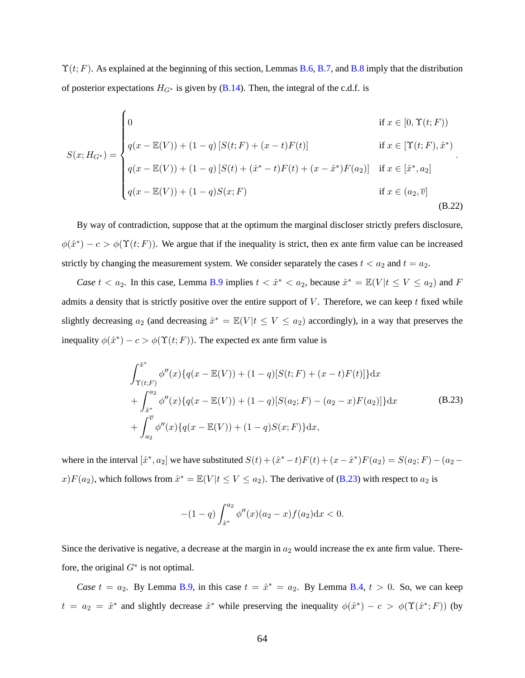$\Upsilon(t; F)$ . As explained at the beginning of this section, Lemmas [B.6](#page-55-0), [B.7,](#page-56-0) and [B.8](#page-58-0) imply that the distribution of posterior expectations  $H_{G^*}$  is given by [\(B.14](#page-52-0)). Then, the integral of the c.d.f. is

$$
S(x; H_{G^*}) = \begin{cases} 0 & \text{if } x \in [0, \Upsilon(t; F)) \\ q(x - \mathbb{E}(V)) + (1 - q) [S(t; F) + (x - t)F(t)] & \text{if } x \in [\Upsilon(t; F), \hat{x}^*) \\ q(x - \mathbb{E}(V)) + (1 - q) [S(t) + (\hat{x}^* - t)F(t) + (x - \hat{x}^*)F(a_2)] & \text{if } x \in [\hat{x}^*, a_2] \\ q(x - \mathbb{E}(V)) + (1 - q)S(x; F) & \text{if } x \in (a_2, \overline{v}] \\ \end{cases}
$$
(B.22)

By way of contradiction, suppose that at the optimum the marginal discloser strictly prefers disclosure,  $\phi(\hat{x}^*) - c > \phi(\Upsilon(t;F))$ . We argue that if the inequality is strict, then ex ante firm value can be increased strictly by changing the measurement system. We consider separately the cases  $t < a_2$  and  $t = a_2$ .

*Case*  $t < a_2$ . In this case, Lemma [B.9](#page-62-0) implies  $t < \hat{x}^* < a_2$ , because  $\hat{x}^* = \mathbb{E}(V | t \le V \le a_2)$  and F admits a density that is strictly positive over the entire support of  $V$ . Therefore, we can keep  $t$  fixed while slightly decreasing  $a_2$  (and decreasing  $\hat{x}^* = \mathbb{E}(V | t \le V \le a_2)$  accordingly), in a way that preserves the inequality  $\phi(\hat{x}^*) - c > \phi(\Upsilon(t;F))$ . The expected ex ante firm value is

$$
\int_{\Upsilon(t;F)}^{\hat{x}^*} \phi''(x) \{ q(x - \mathbb{E}(V)) + (1 - q)[S(t;F) + (x - t)F(t)] \} dx \n+ \int_{\hat{x}^*}^{a_2} \phi''(x) \{ q(x - \mathbb{E}(V)) + (1 - q)[S(a_2;F) - (a_2 - x)F(a_2)] \} dx
$$
\n(B.23)  
\n
$$
+ \int_{a_2}^{\overline{v}} \phi''(x) \{ q(x - \mathbb{E}(V)) + (1 - q)S(x;F) \} dx,
$$

where in the interval  $[\hat{x}^*, a_2]$  we have substituted  $S(t) + (\hat{x}^* - t)F(t) + (x - \hat{x}^*)F(a_2) = S(a_2; F) - (a_2$ x)F(a<sub>2</sub>), which follows from  $\hat{x}^* = \mathbb{E}(V | t \le V \le a_2)$ . The derivative of (B.23) with respect to  $a_2$  is

$$
-(1-q)\int_{\hat{x}^*}^{a_2} \phi''(x)(a_2-x)f(a_2) \mathrm{d}x < 0.
$$

Since the derivative is negative, a decrease at the margin in  $a_2$  would increase the ex ante firm value. Therefore, the original  $G^*$  is not optimal.

*Case*  $t = a_2$ . By Lemma [B.9,](#page-62-0) in this case  $t = \hat{x}^* = a_2$ . By Lemma [B.4,](#page-53-0)  $t > 0$ . So, we can keep  $t = a_2 = \hat{x}^*$  and slightly decrease  $\hat{x}^*$  while preserving the inequality  $\phi(\hat{x}^*) - c > \phi(\Upsilon(\hat{x}^*; F))$  (by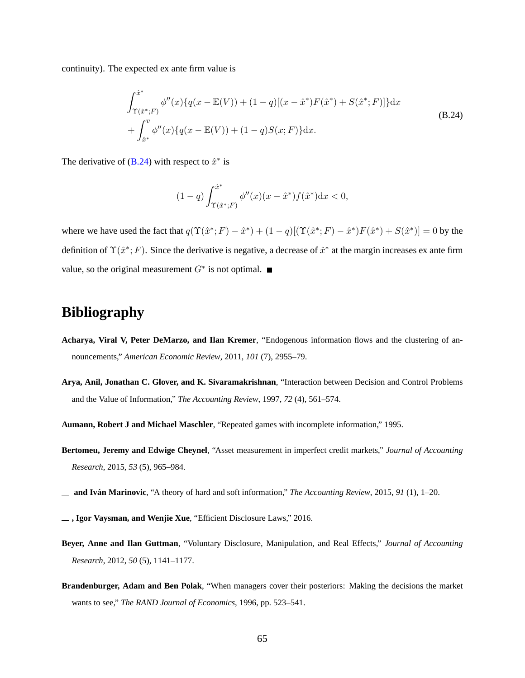<span id="page-64-0"></span>continuity). The expected ex ante firm value is

$$
\int_{\Upsilon(\hat{x}^*,F)}^{\hat{x}^*} \phi''(x) \{ q(x - \mathbb{E}(V)) + (1 - q)[(x - \hat{x}^*)F(\hat{x}^*) + S(\hat{x}^*;F)] \} dx + \int_{\hat{x}^*}^{\overline{v}} \phi''(x) \{ q(x - \mathbb{E}(V)) + (1 - q)S(x;F) \} dx.
$$
 (B.24)

The derivative of (B.24) with respect to  $\hat{x}^*$  is

$$
(1-q)\int_{\Upsilon(\hat{x}^*;F)}^{\hat{x}^*}\phi''(x)(x-\hat{x}^*)f(\hat{x}^*)\mathrm{d}x < 0,
$$

where we have used the fact that  $q(\Upsilon(\hat{x}^*; F) - \hat{x}^*) + (1 - q)[(\Upsilon(\hat{x}^*; F) - \hat{x}^*)F(\hat{x}^*) + S(\hat{x}^*)] = 0$  by the definition of  $\Upsilon(\hat{x}^*,F)$ . Since the derivative is negative, a decrease of  $\hat{x}^*$  at the margin increases ex ante firm value, so the original measurement  $G^*$  is not optimal. ■

# **Bibliography**

- **Acharya, Viral V, Peter DeMarzo, and Ilan Kremer**, "Endogenous information flows and the clustering of announcements," *American Economic Review*, 2011, *101* (7), 2955–79.
- **Arya, Anil, Jonathan C. Glover, and K. Sivaramakrishnan**, "Interaction between Decision and Control Problems and the Value of Information," *The Accounting Review*, 1997, *72* (4), 561–574.

**Aumann, Robert J and Michael Maschler**, "Repeated games with incomplete information," 1995.

- **Bertomeu, Jeremy and Edwige Cheynel**, "Asset measurement in imperfect credit markets," *Journal of Accounting Research*, 2015, *53* (5), 965–984.
- **and Ivan Marinovic ´** , "A theory of hard and soft information," *The Accounting Review*, 2015, *91* (1), 1–20.
- **, Igor Vaysman, and Wenjie Xue**, "Efficient Disclosure Laws," 2016.
- **Beyer, Anne and Ilan Guttman**, "Voluntary Disclosure, Manipulation, and Real Effects," *Journal of Accounting Research*, 2012, *50* (5), 1141–1177.
- **Brandenburger, Adam and Ben Polak**, "When managers cover their posteriors: Making the decisions the market wants to see," *The RAND Journal of Economics*, 1996, pp. 523–541.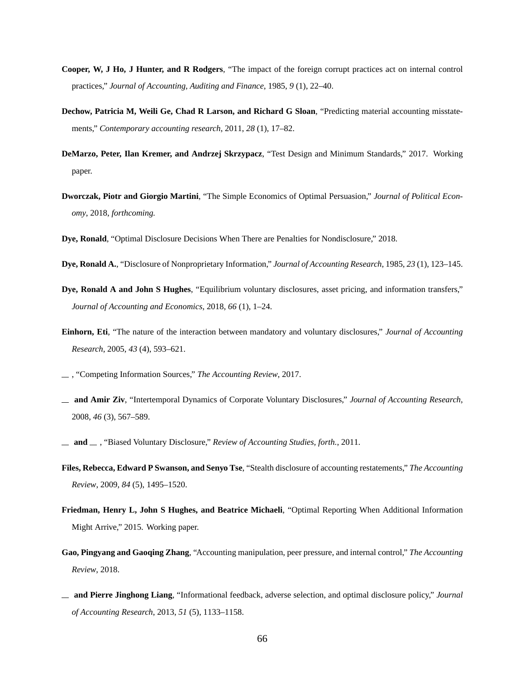- <span id="page-65-0"></span>**Cooper, W, J Ho, J Hunter, and R Rodgers**, "The impact of the foreign corrupt practices act on internal control practices," *Journal of Accounting, Auditing and Finance*, 1985, *9* (1), 22–40.
- **Dechow, Patricia M, Weili Ge, Chad R Larson, and Richard G Sloan**, "Predicting material accounting misstatements," *Contemporary accounting research*, 2011, *28* (1), 17–82.
- **DeMarzo, Peter, Ilan Kremer, and Andrzej Skrzypacz**, "Test Design and Minimum Standards," 2017. Working paper.
- **Dworczak, Piotr and Giorgio Martini**, "The Simple Economics of Optimal Persuasion," *Journal of Political Economy*, 2018, *forthcoming.*
- **Dye, Ronald**, "Optimal Disclosure Decisions When There are Penalties for Nondisclosure," 2018.
- **Dye, Ronald A.**, "Disclosure of Nonproprietary Information," *Journal of Accounting Research*, 1985, *23* (1), 123–145.
- **Dye, Ronald A and John S Hughes**, "Equilibrium voluntary disclosures, asset pricing, and information transfers," *Journal of Accounting and Economics*, 2018, *66* (1), 1–24.
- **Einhorn, Eti**, "The nature of the interaction between mandatory and voluntary disclosures," *Journal of Accounting Research*, 2005, *43* (4), 593–621.
- , "Competing Information Sources," *The Accounting Review*, 2017.
- **and Amir Ziv**, "Intertemporal Dynamics of Corporate Voluntary Disclosures," *Journal of Accounting Research*, 2008, *46* (3), 567–589.
- **and** , "Biased Voluntary Disclosure," *Review of Accounting Studies, forth.*, 2011.
- **Files, Rebecca, Edward P Swanson, and Senyo Tse**, "Stealth disclosure of accounting restatements," *The Accounting Review*, 2009, *84* (5), 1495–1520.
- **Friedman, Henry L, John S Hughes, and Beatrice Michaeli**, "Optimal Reporting When Additional Information Might Arrive," 2015. Working paper.
- **Gao, Pingyang and Gaoqing Zhang**, "Accounting manipulation, peer pressure, and internal control," *The Accounting Review*, 2018.
- **and Pierre Jinghong Liang**, "Informational feedback, adverse selection, and optimal disclosure policy," *Journal of Accounting Research*, 2013, *51* (5), 1133–1158.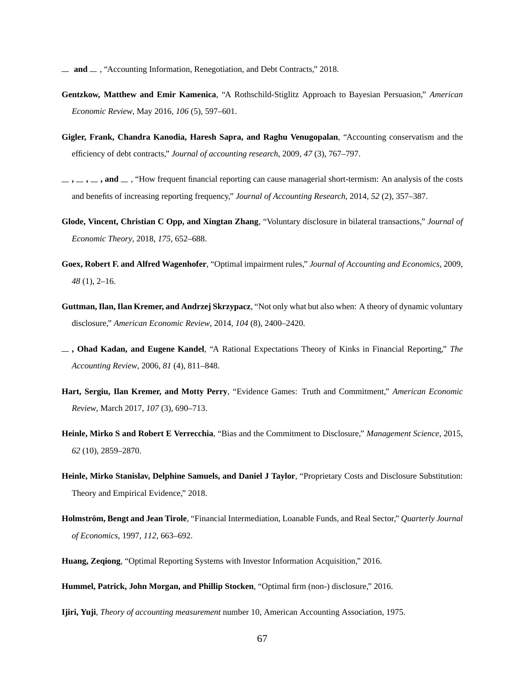<span id="page-66-0"></span> $\equiv$  **and**  $\equiv$ , "Accounting Information, Renegotiation, and Debt Contracts," 2018.

- **Gentzkow, Matthew and Emir Kamenica**, "A Rothschild-Stiglitz Approach to Bayesian Persuasion," *American Economic Review*, May 2016, *106* (5), 597–601.
- **Gigler, Frank, Chandra Kanodia, Haresh Sapra, and Raghu Venugopalan**, "Accounting conservatism and the efficiency of debt contracts," *Journal of accounting research*, 2009, *47* (3), 767–797.
- $\ldots$ ,  $\ldots$ , and  $\ldots$ , "How frequent financial reporting can cause managerial short-termism: An analysis of the costs and benefits of increasing reporting frequency," *Journal of Accounting Research*, 2014, *52* (2), 357–387.
- **Glode, Vincent, Christian C Opp, and Xingtan Zhang**, "Voluntary disclosure in bilateral transactions," *Journal of Economic Theory*, 2018, *175*, 652–688.
- **Goex, Robert F. and Alfred Wagenhofer**, "Optimal impairment rules," *Journal of Accounting and Economics*, 2009, *48* (1), 2–16.
- **Guttman, Ilan, Ilan Kremer, and Andrzej Skrzypacz**, "Not only what but also when: A theory of dynamic voluntary disclosure," *American Economic Review*, 2014, *104* (8), 2400–2420.
- **, Ohad Kadan, and Eugene Kandel**, "A Rational Expectations Theory of Kinks in Financial Reporting," *The Accounting Review*, 2006, *81* (4), 811–848.
- **Hart, Sergiu, Ilan Kremer, and Motty Perry**, "Evidence Games: Truth and Commitment," *American Economic Review*, March 2017, *107* (3), 690–713.
- **Heinle, Mirko S and Robert E Verrecchia**, "Bias and the Commitment to Disclosure," *Management Science*, 2015, *62* (10), 2859–2870.
- **Heinle, Mirko Stanislav, Delphine Samuels, and Daniel J Taylor**, "Proprietary Costs and Disclosure Substitution: Theory and Empirical Evidence," 2018.
- **Holmstrom, Bengt and Jean Tirole ¨** , "Financial Intermediation, Loanable Funds, and Real Sector," *Quarterly Journal of Economics*, 1997, *112*, 663–692.

**Huang, Zeqiong**, "Optimal Reporting Systems with Investor Information Acquisition," 2016.

**Hummel, Patrick, John Morgan, and Phillip Stocken**, "Optimal firm (non-) disclosure," 2016.

**Ijiri, Yuji**, *Theory of accounting measurement* number 10, American Accounting Association, 1975.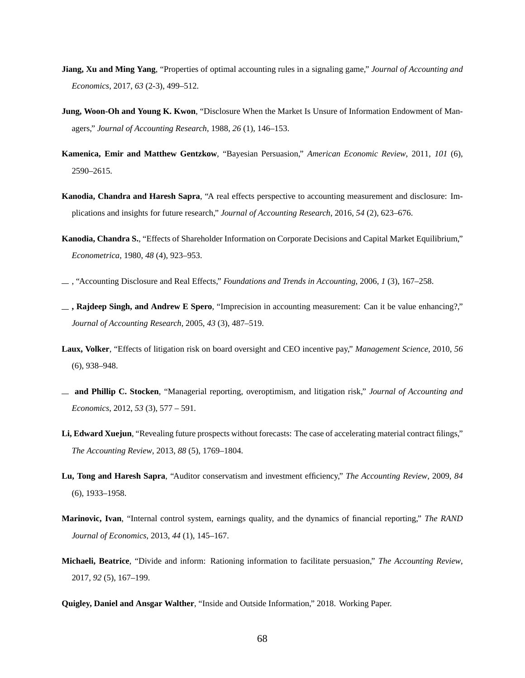- <span id="page-67-0"></span>**Jiang, Xu and Ming Yang**, "Properties of optimal accounting rules in a signaling game," *Journal of Accounting and Economics*, 2017, *63* (2-3), 499–512.
- **Jung, Woon-Oh and Young K. Kwon**, "Disclosure When the Market Is Unsure of Information Endowment of Managers," *Journal of Accounting Research*, 1988, *26* (1), 146–153.
- **Kamenica, Emir and Matthew Gentzkow**, "Bayesian Persuasion," *American Economic Review*, 2011, *101* (6), 2590–2615.
- **Kanodia, Chandra and Haresh Sapra**, "A real effects perspective to accounting measurement and disclosure: Implications and insights for future research," *Journal of Accounting Research*, 2016, *54* (2), 623–676.
- **Kanodia, Chandra S.**, "Effects of Shareholder Information on Corporate Decisions and Capital Market Equilibrium," *Econometrica*, 1980, *48* (4), 923–953.
- , "Accounting Disclosure and Real Effects," *Foundations and Trends in Accounting*, 2006, *1* (3), 167–258.
- **, Rajdeep Singh, and Andrew E Spero**, "Imprecision in accounting measurement: Can it be value enhancing?," *Journal of Accounting Research*, 2005, *43* (3), 487–519.
- **Laux, Volker**, "Effects of litigation risk on board oversight and CEO incentive pay," *Management Science*, 2010, *56* (6), 938–948.
- **and Phillip C. Stocken**, "Managerial reporting, overoptimism, and litigation risk," *Journal of Accounting and Economics*, 2012, *53* (3), 577 – 591.
- **Li, Edward Xuejun**, "Revealing future prospects without forecasts: The case of accelerating material contract filings," *The Accounting Review*, 2013, *88* (5), 1769–1804.
- **Lu, Tong and Haresh Sapra**, "Auditor conservatism and investment efficiency," *The Accounting Review*, 2009, *84* (6), 1933–1958.
- **Marinovic, Ivan**, "Internal control system, earnings quality, and the dynamics of financial reporting," *The RAND Journal of Economics*, 2013, *44* (1), 145–167.
- **Michaeli, Beatrice**, "Divide and inform: Rationing information to facilitate persuasion," *The Accounting Review*, 2017, *92* (5), 167–199.
- **Quigley, Daniel and Ansgar Walther**, "Inside and Outside Information," 2018. Working Paper.